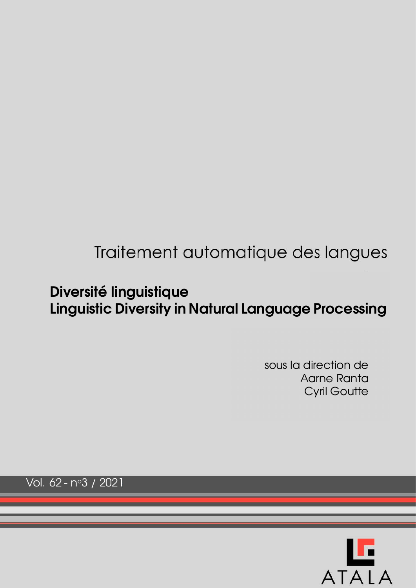# Traitement automatique des langues

# **Diversite linguistique ´ Linguistic Diversity in Natural Language Processing**

sous la direction de Aarne Ranta Cyril Goutte

Vol. 62 - no3 / 2021

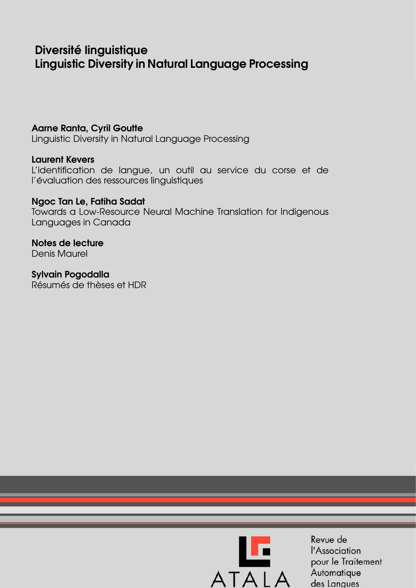## Diversité linguistique **Linguistic Diversity in Natural Language Processing**

## **Aarne Ranta, Cyril Goutte**

Linguistic Diversity in Natural Language Processing

### **Laurent Kevers**

L'identification de langue, un outil au service du corse et de l'évaluation des ressources linguistiques

## Ngoc Tan Le, Fatiha Sadat

Towards a Low-Resource Neural Machine Translation for Indigenous Languages in Canada

### Notes de lecture **Denis Maurel**

**Sylvain Pogodalla** Résumés de thèses et HDR



Revue de l'Association pour le Traitement Automatique des Langues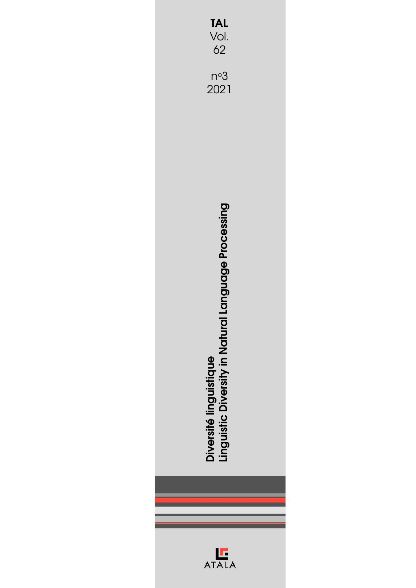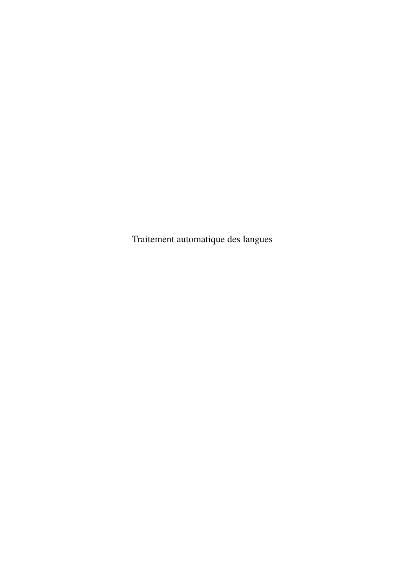Traitement automatique des langues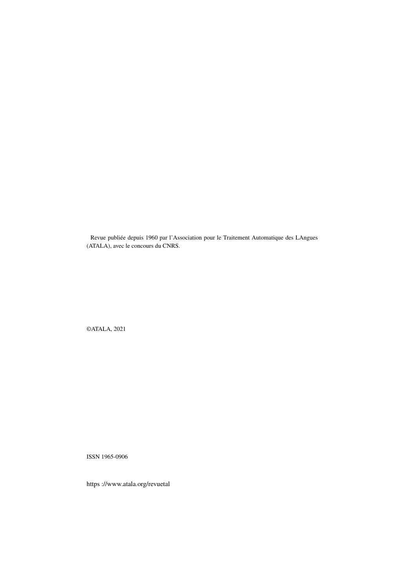Revue publiée depuis 1960 par l'Association pour le Traitement Automatique des LAngues (ATALA), avec le concours du CNRS.

©ATALA, 2021

ISSN 1965-0906

https ://www.atala.org/revuetal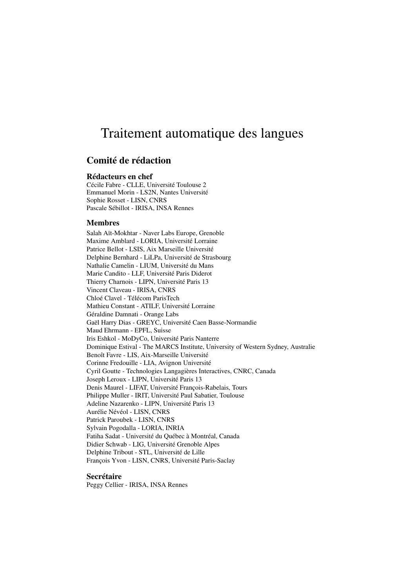## Traitement automatique des langues

### Comité de rédaction

#### Rédacteurs en chef

Cécile Fabre - CLLE, Université Toulouse 2 Emmanuel Morin - LS2N, Nantes Université Sophie Rosset - LISN, CNRS Pascale Sébillot - IRISA, INSA Rennes

#### Membres

Salah Aït-Mokhtar - Naver Labs Europe, Grenoble Maxime Amblard - LORIA, Université Lorraine Patrice Bellot - LSIS, Aix Marseille Université Delphine Bernhard - LiLPa, Université de Strasbourg Nathalie Camelin - LIUM, Université du Mans Marie Candito - LLF, Université Paris Diderot Thierry Charnois - LIPN, Université Paris 13 Vincent Claveau - IRISA, CNRS Chloé Clavel - Télécom ParisTech Mathieu Constant - ATILF, Université Lorraine Géraldine Damnati - Orange Labs Gaël Harry Dias - GREYC, Université Caen Basse-Normandie Maud Ehrmann - EPFL, Suisse Iris Eshkol - MoDyCo, Université Paris Nanterre Dominique Estival - The MARCS Institute, University of Western Sydney, Australie Benoît Favre - LIS, Aix-Marseille Université Corinne Fredouille - LIA, Avignon Université Cyril Goutte - Technologies Langagières Interactives, CNRC, Canada Joseph Leroux - LIPN, Université Paris 13 Denis Maurel - LIFAT, Université François-Rabelais, Tours Philippe Muller - IRIT, Université Paul Sabatier, Toulouse Adeline Nazarenko - LIPN, Université Paris 13 Aurélie Névéol - LISN, CNRS Patrick Paroubek - LISN, CNRS Sylvain Pogodalla - LORIA, INRIA Fatiha Sadat - Université du Québec à Montréal, Canada Didier Schwab - LIG, Université Grenoble Alpes Delphine Tribout - STL, Université de Lille François Yvon - LISN, CNRS, Université Paris-Saclay

#### Secrétaire

Peggy Cellier - IRISA, INSA Rennes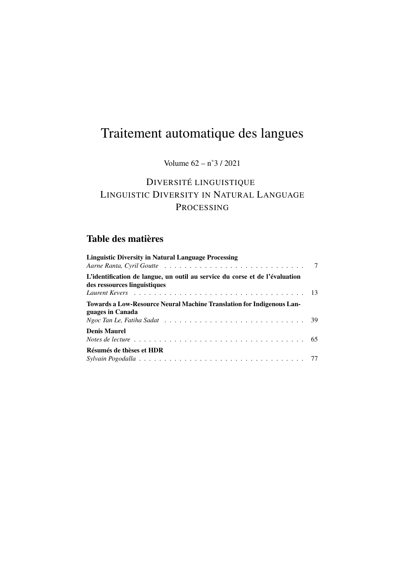# Traitement automatique des langues

## Volume  $62 - n°3 / 2021$

## DIVERSITÉ LINGUISTIQUE LINGUISTIC DIVERSITY IN NATURAL LANGUAGE PROCESSING

## Table des matières

| <b>Linguistic Diversity in Natural Language Processing</b>                                                             |  |
|------------------------------------------------------------------------------------------------------------------------|--|
| L'identification de langue, un outil au service du corse et de l'évaluation<br>des ressources linguistiques            |  |
| Towards a Low-Resource Neural Machine Translation for Indigenous Lan-<br>guages in Canada                              |  |
| <b>Denis Maurel</b><br>Notes de lecture $\ldots \ldots \ldots \ldots \ldots \ldots \ldots \ldots \ldots \ldots \ldots$ |  |
| Résumés de thèses et HDR                                                                                               |  |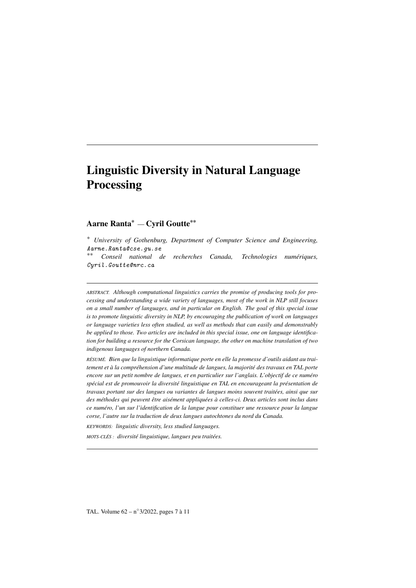## Linguistic Diversity in Natural Language **Processing**

#### Aarne Ranta\* — Cyril Goutte\*\*

*\* University of Gothenburg, Department of Computer Science and Engineering,* Aarne.Ranta@cse.gu.se *\*\* Conseil national de recherches Canada, Technologies numériques,* Cyril.Goutte@nrc.ca

*ABSTRACT. Although computational linguistics carries the promise of producing tools for processing and understanding a wide variety of languages, most of the work in NLP still focuses on a small number of languages, and in particular on English. The goal of this special issue is to promote linguistic diversity in NLP, by encouraging the publication of work on languages or language varieties less often studied, as well as methods that can easily and demonstrably be applied to those. Two articles are included in this special issue, one on language identification for building a resource for the Corsican language, the other on machine translation of two indigenous languages of northern Canada.*

*RÉSUMÉ. Bien que la linguistique informatique porte en elle la promesse d'outils aidant au traitement et à la compréhension d'une multitude de langues, la majorité des travaux en TAL porte encore sur un petit nombre de langues, et en particulier sur l'anglais. L'objectif de ce numéro spécial est de promouvoir la diversité linguistique en TAL en encourageant la présentation de travaux portant sur des langues ou variantes de langues moins souvent traitées, ainsi que sur des méthodes qui peuvent être aisément appliquées à celles-ci. Deux articles sont inclus dans ce numéro, l'un sur l'identification de la langue pour constituer une ressource pour la langue corse, l'autre sur la traduction de deux langues autochtones du nord du Canada.*

*KEYWORDS: linguistic diversity, less studied languages.*

*MOTS-CLÉS : diversité linguistique, langues peu traitées.*

TAL. Volume 62 – n◦ 3/2022, pages 7 à 11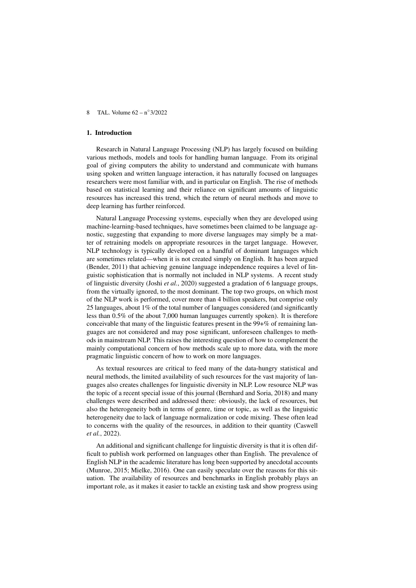#### 1. Introduction

Research in Natural Language Processing (NLP) has largely focused on building various methods, models and tools for handling human language. From its original goal of giving computers the ability to understand and communicate with humans using spoken and written language interaction, it has naturally focused on languages researchers were most familiar with, and in particular on English. The rise of methods based on statistical learning and their reliance on significant amounts of linguistic resources has increased this trend, which the return of neural methods and move to deep learning has further reinforced.

Natural Language Processing systems, especially when they are developed using machine-learning-based techniques, have sometimes been claimed to be language agnostic, suggesting that expanding to more diverse languages may simply be a matter of retraining models on appropriate resources in the target language. However, NLP technology is typically developed on a handful of dominant languages which are sometimes related—when it is not created simply on English. It has been argued (Bender, 2011) that achieving genuine language independence requires a level of linguistic sophistication that is normally not included in NLP systems. A recent study of linguistic diversity (Joshi *et al.*, 2020) suggested a gradation of 6 language groups, from the virtually ignored, to the most dominant. The top two groups, on which most of the NLP work is performed, cover more than 4 billion speakers, but comprise only 25 languages, about 1% of the total number of languages considered (and significantly less than 0.5% of the about 7,000 human languages currently spoken). It is therefore conceivable that many of the linguistic features present in the 99+% of remaining languages are not considered and may pose significant, unforeseen challenges to methods in mainstream NLP. This raises the interesting question of how to complement the mainly computational concern of how methods scale up to more data, with the more pragmatic linguistic concern of how to work on more languages.

As textual resources are critical to feed many of the data-hungry statistical and neural methods, the limited availability of such resources for the vast majority of languages also creates challenges for linguistic diversity in NLP. Low resource NLP was the topic of a recent special issue of this journal (Bernhard and Soria, 2018) and many challenges were described and addressed there: obviously, the lack of resources, but also the heterogeneity both in terms of genre, time or topic, as well as the linguistic heterogeneity due to lack of language normalization or code mixing. These often lead to concerns with the quality of the resources, in addition to their quantity (Caswell *et al.*, 2022).

An additional and significant challenge for linguistic diversity is that it is often difficult to publish work performed on languages other than English. The prevalence of English NLP in the academic literature has long been supported by anecdotal accounts (Munroe, 2015; Mielke, 2016). One can easily speculate over the reasons for this situation. The availability of resources and benchmarks in English probably plays an important role, as it makes it easier to tackle an existing task and show progress using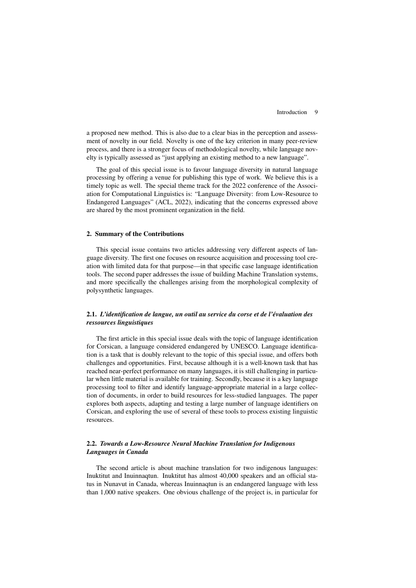a proposed new method. This is also due to a clear bias in the perception and assessment of novelty in our field. Novelty is one of the key criterion in many peer-review process, and there is a stronger focus of methodological novelty, while language novelty is typically assessed as "just applying an existing method to a new language".

The goal of this special issue is to favour language diversity in natural language processing by offering a venue for publishing this type of work. We believe this is a timely topic as well. The special theme track for the 2022 conference of the Association for Computational Linguistics is: "Language Diversity: from Low-Resource to Endangered Languages" (ACL, 2022), indicating that the concerns expressed above are shared by the most prominent organization in the field.

#### 2. Summary of the Contributions

This special issue contains two articles addressing very different aspects of language diversity. The first one focuses on resource acquisition and processing tool creation with limited data for that purpose—in that specific case language identification tools. The second paper addresses the issue of building Machine Translation systems, and more specifically the challenges arising from the morphological complexity of polysynthetic languages.

#### 2.1. *L'identification de langue, un outil au service du corse et de l'évaluation des ressources linguistiques*

The first article in this special issue deals with the topic of language identification for Corsican, a language considered endangered by UNESCO. Language identification is a task that is doubly relevant to the topic of this special issue, and offers both challenges and opportunities. First, because although it is a well-known task that has reached near-perfect performance on many languages, it is still challenging in particular when little material is available for training. Secondly, because it is a key language processing tool to filter and identify language-appropriate material in a large collection of documents, in order to build resources for less-studied languages. The paper explores both aspects, adapting and testing a large number of language identifiers on Corsican, and exploring the use of several of these tools to process existing linguistic resources.

#### 2.2. *Towards a Low-Resource Neural Machine Translation for Indigenous Languages in Canada*

The second article is about machine translation for two indigenous languages: Inuktitut and Inuinnaqtun. Inuktitut has almost 40,000 speakers and an official status in Nunavut in Canada, whereas Inuinnaqtun is an endangered language with less than 1,000 native speakers. One obvious challenge of the project is, in particular for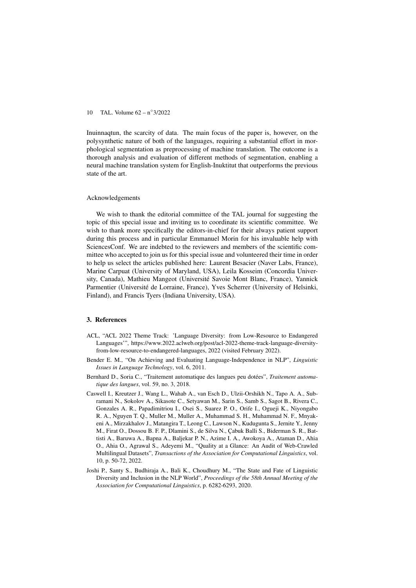Inuinnaqtun, the scarcity of data. The main focus of the paper is, however, on the polysynthetic nature of both of the languages, requiring a substantial effort in morphological segmentation as preprocessing of machine translation. The outcome is a thorough analysis and evaluation of different methods of segmentation, enabling a neural machine translation system for English-Inuktitut that outperforms the previous state of the art.

#### Acknowledgements

We wish to thank the editorial committee of the TAL journal for suggesting the topic of this special issue and inviting us to coordinate its scientific committee. We wish to thank more specifically the editors-in-chief for their always patient support during this process and in particular Emmanuel Morin for his invaluable help with SciencesConf. We are indebted to the reviewers and members of the scientific committee who accepted to join us for this special issue and volunteered their time in order to help us select the articles published here: Laurent Besacier (Naver Labs, France), Marine Carpuat (University of Maryland, USA), Leila Kosseim (Concordia University, Canada), Mathieu Mangeot (Université Savoie Mont Blanc, France), Yannick Parmentier (Université de Lorraine, France), Yves Scherrer (University of Helsinki, Finland), and Francis Tyers (Indiana University, USA).

#### 3. References

- ACL, "ACL 2022 Theme Track: 'Language Diversity: from Low-Resource to Endangered Languages'", https://www.2022.aclweb.org/post/acl-2022-theme-track-language-diversityfrom-low-resource-to-endangered-languages, 2022 (visited February 2022).
- Bender E. M., "On Achieving and Evaluating Language-Independence in NLP", *Linguistic Issues in Language Technology*, vol. 6, 2011.
- Bernhard D., Soria C., "Traitement automatique des langues peu dotées", *Traitement automatique des langues*, vol. 59, no. 3, 2018.
- Caswell I., Kreutzer J., Wang L., Wahab A., van Esch D., Ulzii-Orshikh N., Tapo A. A., Subramani N., Sokolov A., Sikasote C., Setyawan M., Sarin S., Samb S., Sagot B., Rivera C., Gonzales A. R., Papadimitriou I., Osei S., Suarez P. O., Orife I., Ogueji K., Niyongabo R. A., Nguyen T. Q., Muller M., Muller A., Muhammad S. H., Muhammad N. F., Mnyakeni A., Mirzakhalov J., Matangira T., Leong C., Lawson N., Kudugunta S., Jernite Y., Jenny M., Firat O., Dossou B. F. P., Dlamini S., de Silva N., Çabuk Balli S., Biderman S. R., Battisti A., Baruwa A., Bapna A., Baljekar P. N., Azime I. A., Awokoya A., Ataman D., Ahia O., Ahia O., Agrawal S., Adeyemi M., "Quality at a Glance: An Audit of Web-Crawled Multilingual Datasets", *Transactions of the Association for Computational Linguistics*, vol. 10, p. 50-72, 2022.
- Joshi P., Santy S., Budhiraja A., Bali K., Choudhury M., "The State and Fate of Linguistic Diversity and Inclusion in the NLP World", *Proceedings of the 58th Annual Meeting of the Association for Computational Linguistics*, p. 6282-6293, 2020.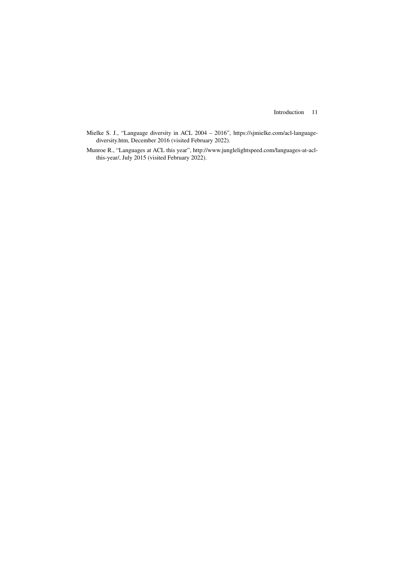Introduction 11

- Mielke S. J., "Language diversity in ACL 2004 2016", https://sjmielke.com/acl-languagediversity.htm, December 2016 (visited February 2022).
- Munroe R., "Languages at ACL this year", http://www.junglelightspeed.com/languages-at-aclthis-year/, July 2015 (visited February 2022).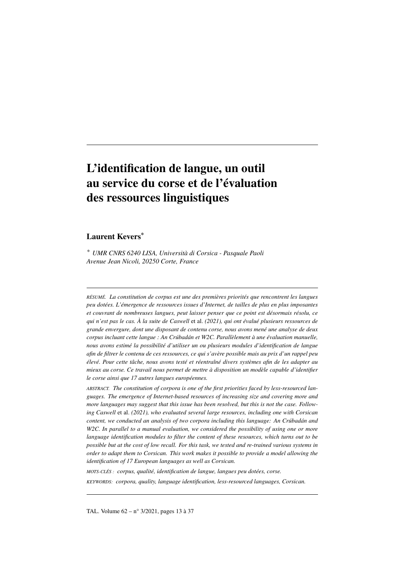## L'identification de langue, un outil au service du corse et de l'évaluation des ressources linguistiques

#### Laurent Kevers\*

*\* UMR CNRS 6240 LISA, Università di Corsica - Pasquale Paoli Avenue Jean Nicoli, 20250 Corte, France*

*RÉSUMÉ. La constitution de corpus est une des premières priorités que rencontrent les langues peu dotées. L'émergence de ressources issues d'Internet, de tailles de plus en plus imposantes et couvrant de nombreuses langues, peut laisser penser que ce point est désormais résolu, ce qui n'est pas le cas. À la suite de Caswell* et al. *(2021), qui ont évalué plusieurs ressources de grande envergure, dont une disposant de contenu corse, nous avons mené une analyse de deux corpus incluant cette langue : An Crúbadán et W2C. Parallèlement à une évaluation manuelle, nous avons estimé la possibilité d'utiliser un ou plusieurs modules d'identification de langue afin de filtrer le contenu de ces ressources, ce qui s'avère possible mais au prix d'un rappel peu élevé. Pour cette tâche, nous avons testé et réentraîné divers systèmes afin de les adapter au mieux au corse. Ce travail nous permet de mettre à disposition un modèle capable d'identifier le corse ainsi que 17 autres langues européennes.*

*ABSTRACT. The constitution of corpora is one of the first priorities faced by less-resourced languages. The emergence of Internet-based resources of increasing size and covering more and more languages may suggest that this issue has been resolved, but this is not the case. Following Caswell* et al. *(2021), who evaluated several large resources, including one with Corsican content, we conducted an analysis of two corpora including this language: An Crúbadán and W2C. In parallel to a manual evaluation, we considered the possibility of using one or more language identification modules to filter the content of these resources, which turns out to be possible but at the cost of low recall. For this task, we tested and re-trained various systems in order to adapt them to Corsican. This work makes it possible to provide a model allowing the identification of 17 European languages as well as Corsican.*

*MOTS-CLÉS : corpus, qualité, identification de langue, langues peu dotées, corse.*

*KEYWORDS: corpora, quality, language identification, less-resourced languages, Corsican.*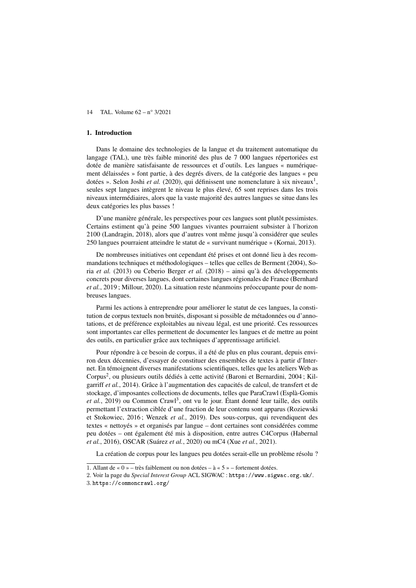#### 1. Introduction

Dans le domaine des technologies de la langue et du traitement automatique du langage (TAL), une très faible minorité des plus de 7 000 langues répertoriées est dotée de manière satisfaisante de ressources et d'outils. Les langues « numériquement délaissées » font partie, à des degrés divers, de la catégorie des langues « peu dotées ». Selon Joshi et al. (2020), qui définissent une nomenclature à six niveaux<sup>1</sup>, seules sept langues intègrent le niveau le plus élevé, 65 sont reprises dans les trois niveaux intermédiaires, alors que la vaste majorité des autres langues se situe dans les deux catégories les plus basses !

D'une manière générale, les perspectives pour ces langues sont plutôt pessimistes. Certains estiment qu'à peine 500 langues vivantes pourraient subsister à l'horizon 2100 (Landragin, 2018), alors que d'autres vont même jusqu'à considérer que seules 250 langues pourraient atteindre le statut de « survivant numérique » (Kornai, 2013).

De nombreuses initiatives ont cependant été prises et ont donné lieu à des recommandations techniques et méthodologiques – telles que celles de Berment (2004), Soria *et al.* (2013) ou Ceberio Berger *et al.* (2018) – ainsi qu'à des développements concrets pour diverses langues, dont certaines langues régionales de France (Bernhard *et al.*, 2019 ; Millour, 2020). La situation reste néanmoins préoccupante pour de nombreuses langues.

Parmi les actions à entreprendre pour améliorer le statut de ces langues, la constitution de corpus textuels non bruités, disposant si possible de métadonnées ou d'annotations, et de préférence exploitables au niveau légal, est une priorité. Ces ressources sont importantes car elles permettent de documenter les langues et de mettre au point des outils, en particulier grâce aux techniques d'apprentissage artificiel.

Pour répondre à ce besoin de corpus, il a été de plus en plus courant, depuis environ deux décennies, d'essayer de constituer des ensembles de textes à partir d'Internet. En témoignent diverses manifestations scientifiques, telles que les ateliers Web as Corpus<sup>2</sup>, ou plusieurs outils dédiés à cette activité (Baroni et Bernardini, 2004; Kilgarriff *et al.*, 2014). Grâce à l'augmentation des capacités de calcul, de transfert et de stockage, d'imposantes collections de documents, telles que ParaCrawl (Esplà-Gomis et al., 2019) ou Common Crawl<sup>3</sup>, ont vu le jour. Étant donné leur taille, des outils permettant l'extraction ciblée d'une fraction de leur contenu sont apparus (Roziewski et Stokowiec, 2016 ; Wenzek *et al.*, 2019). Des sous-corpus, qui revendiquent des textes « nettoyés » et organisés par langue – dont certaines sont considérées comme peu dotées – ont également été mis à disposition, entre autres C4Corpus (Habernal *et al.*, 2016), OSCAR (Suárez *et al.*, 2020) ou mC4 (Xue *et al.*, 2021).

La création de corpus pour les langues peu dotées serait-elle un problème résolu ?

<sup>1</sup>. Allant de « 0 » – très faiblement ou non dotées – à « 5 » – fortement dotées.

<sup>2</sup>. Voir la page du *Special Interest Group* ACL SIGWAC : https://www.sigwac.org.uk/.

<sup>3</sup>. https://commoncrawl.org/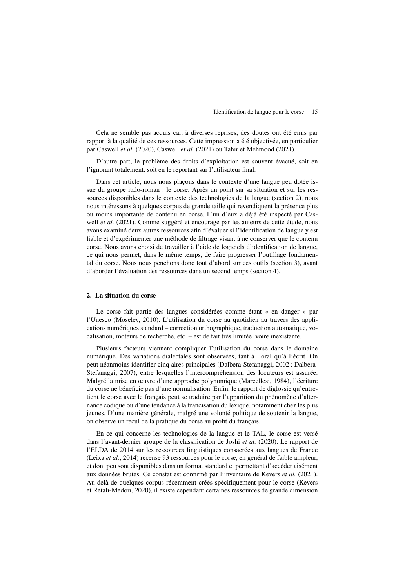Cela ne semble pas acquis car, à diverses reprises, des doutes ont été émis par rapport à la qualité de ces ressources. Cette impression a été objectivée, en particulier par Caswell *et al.* (2020), Caswell *et al.* (2021) ou Tahir et Mehmood (2021).

D'autre part, le problème des droits d'exploitation est souvent évacué, soit en l'ignorant totalement, soit en le reportant sur l'utilisateur final.

Dans cet article, nous nous plaçons dans le contexte d'une langue peu dotée issue du groupe italo-roman : le corse. Après un point sur sa situation et sur les ressources disponibles dans le contexte des technologies de la langue (section 2), nous nous intéressons à quelques corpus de grande taille qui revendiquent la présence plus ou moins importante de contenu en corse. L'un d'eux a déjà été inspecté par Caswell *et al.* (2021). Comme suggéré et encouragé par les auteurs de cette étude, nous avons examiné deux autres ressources afin d'évaluer si l'identification de langue y est fiable et d'expérimenter une méthode de filtrage visant à ne conserver que le contenu corse. Nous avons choisi de travailler à l'aide de logiciels d'identification de langue, ce qui nous permet, dans le même temps, de faire progresser l'outillage fondamental du corse. Nous nous penchons donc tout d'abord sur ces outils (section 3), avant d'aborder l'évaluation des ressources dans un second temps (section 4).

#### 2. La situation du corse

Le corse fait partie des langues considérées comme étant « en danger » par l'Unesco (Moseley, 2010). L'utilisation du corse au quotidien au travers des applications numériques standard – correction orthographique, traduction automatique, vocalisation, moteurs de recherche, etc. – est de fait très limitée, voire inexistante.

Plusieurs facteurs viennent compliquer l'utilisation du corse dans le domaine numérique. Des variations dialectales sont observées, tant à l'oral qu'à l'écrit. On peut néanmoins identifier cinq aires principales (Dalbera-Stefanaggi, 2002 ; Dalbera-Stefanaggi, 2007), entre lesquelles l'intercompréhension des locuteurs est assurée. Malgré la mise en œuvre d'une approche polynomique (Marcellesi, 1984), l'écriture du corse ne bénéficie pas d'une normalisation. Enfin, le rapport de diglossie qu'entretient le corse avec le français peut se traduire par l'apparition du phénomène d'alternance codique ou d'une tendance à la francisation du lexique, notamment chez les plus jeunes. D'une manière générale, malgré une volonté politique de soutenir la langue, on observe un recul de la pratique du corse au profit du français.

En ce qui concerne les technologies de la langue et le TAL, le corse est versé dans l'avant-dernier groupe de la classification de Joshi *et al.* (2020). Le rapport de l'ELDA de 2014 sur les ressources linguistiques consacrées aux langues de France (Leixa *et al.*, 2014) recense 93 ressources pour le corse, en général de faible ampleur, et dont peu sont disponibles dans un format standard et permettant d'accéder aisément aux données brutes. Ce constat est confirmé par l'inventaire de Kevers *et al.* (2021). Au-delà de quelques corpus récemment créés spécifiquement pour le corse (Kevers et Retali-Medori, 2020), il existe cependant certaines ressources de grande dimension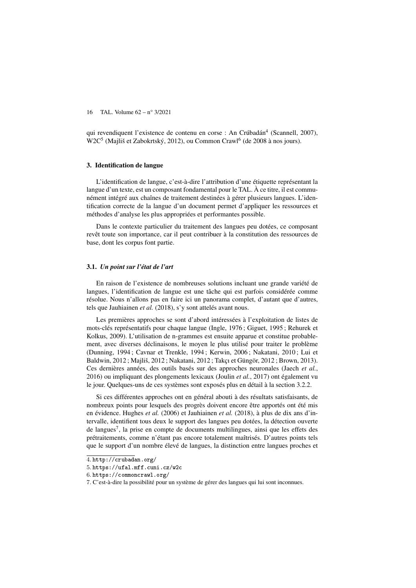qui revendiquent l'existence de contenu en corse : An Crúbadán<sup>4</sup> (Scannell, 2007), W2C<sup>5</sup> (Majliš et Zabokrtský, 2012), ou Common Crawl<sup>6</sup> (de 2008 à nos jours).

#### 3. Identification de langue

L'identification de langue, c'est-à-dire l'attribution d'une étiquette représentant la langue d'un texte, est un composant fondamental pour le TAL. À ce titre, il est communément intégré aux chaînes de traitement destinées à gérer plusieurs langues. L'identification correcte de la langue d'un document permet d'appliquer les ressources et méthodes d'analyse les plus appropriées et performantes possible.

Dans le contexte particulier du traitement des langues peu dotées, ce composant revêt toute son importance, car il peut contribuer à la constitution des ressources de base, dont les corpus font partie.

#### 3.1. *Un point sur l'état de l'art*

En raison de l'existence de nombreuses solutions incluant une grande variété de langues, l'identification de langue est une tâche qui est parfois considérée comme résolue. Nous n'allons pas en faire ici un panorama complet, d'autant que d'autres, tels que Jauhiainen *et al.* (2018), s'y sont attelés avant nous.

Les premières approches se sont d'abord intéressées à l'exploitation de listes de mots-clés représentatifs pour chaque langue (Ingle, 1976 ; Giguet, 1995 ; Rehurek et Kolkus, 2009). L'utilisation de n-grammes est ensuite apparue et constitue probablement, avec diverses déclinaisons, le moyen le plus utilisé pour traiter le problème (Dunning, 1994 ; Cavnar et Trenkle, 1994 ; Kerwin, 2006 ; Nakatani, 2010 ; Lui et Baldwin, 2012 ; Majliš, 2012 ; Nakatani, 2012 ; Takçı et Güngör, 2012 ; Brown, 2013). Ces dernières années, des outils basés sur des approches neuronales (Jaech *et al.*, 2016) ou impliquant des plongements lexicaux (Joulin *et al.*, 2017) ont également vu le jour. Quelques-uns de ces systèmes sont exposés plus en détail à la section 3.2.2.

Si ces différentes approches ont en général abouti à des résultats satisfaisants, de nombreux points pour lesquels des progrès doivent encore être apportés ont été mis en évidence. Hughes *et al.* (2006) et Jauhiainen *et al.* (2018), à plus de dix ans d'intervalle, identifient tous deux le support des langues peu dotées, la détection ouverte de langues<sup>7</sup>, la prise en compte de documents multilingues, ainsi que les effets des prétraitements, comme n'étant pas encore totalement maîtrisés. D'autres points tels que le support d'un nombre élevé de langues, la distinction entre langues proches et

<sup>4</sup>. http://crubadan.org/

<sup>5</sup>. https://ufal.mff.cuni.cz/w2c

<sup>6</sup>. https://commoncrawl.org/

<sup>7</sup>. C'est-à-dire la possibilité pour un système de gérer des langues qui lui sont inconnues.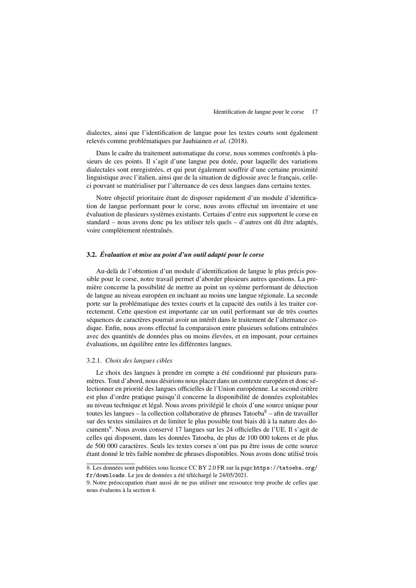dialectes, ainsi que l'identification de langue pour les textes courts sont également relevés comme problématiques par Jauhiainen *et al.* (2018).

Dans le cadre du traitement automatique du corse, nous sommes confrontés à plusieurs de ces points. Il s'agit d'une langue peu dotée, pour laquelle des variations dialectales sont enregistrées, et qui peut également souffrir d'une certaine proximité linguistique avec l'italien, ainsi que de la situation de diglossie avec le français, celleci pouvant se matérialiser par l'alternance de ces deux langues dans certains textes.

Notre objectif prioritaire étant de disposer rapidement d'un module d'identification de langue performant pour le corse, nous avons effectué un inventaire et une évaluation de plusieurs systèmes existants. Certains d'entre eux supportent le corse en standard – nous avons donc pu les utiliser tels quels – d'autres ont dû être adaptés, voire complètement réentraînés.

#### 3.2. *Évaluation et mise au point d'un outil adapté pour le corse*

Au-delà de l'obtention d'un module d'identification de langue le plus précis possible pour le corse, notre travail permet d'aborder plusieurs autres questions. La première concerne la possibilité de mettre au point un système performant de détection de langue au niveau européen en incluant au moins une langue régionale. La seconde porte sur la problématique des textes courts et la capacité des outils à les traiter correctement. Cette question est importante car un outil performant sur de très courtes séquences de caractères pourrait avoir un intérêt dans le traitement de l'alternance codique. Enfin, nous avons effectué la comparaison entre plusieurs solutions entraînées avec des quantités de données plus ou moins élevées, et en imposant, pour certaines évaluations, un équilibre entre les différentes langues.

#### 3.2.1. *Choix des langues cibles*

Le choix des langues à prendre en compte a été conditionné par plusieurs paramètres. Tout d'abord, nous désirions nous placer dans un contexte européen et donc sélectionner en priorité des langues officielles de l'Union européenne. Le second critère est plus d'ordre pratique puisqu'il concerne la disponibilité de données exploitables au niveau technique et légal. Nous avons privilégié le choix d'une source unique pour toutes les langues – la collection collaborative de phrases Tatoeba $\delta$  – afin de travailler sur des textes similaires et de limiter le plus possible tout biais dû à la nature des documents<sup>9</sup>. Nous avons conservé 17 langues sur les 24 officielles de l'UE. Il s'agit de celles qui disposent, dans les données Tatoeba, de plus de 100 000 tokens et de plus de 500 000 caractères. Seuls les textes corses n'ont pas pu être issus de cette source étant donné le très faible nombre de phrases disponibles. Nous avons donc utilisé trois

<sup>8</sup>. Les données sont publiées sous licence CC BY 2.0 FR sur la page https://tatoeba.org/ fr/downloads. Le jeu de données a été téléchargé le 24/05/2021.

<sup>9</sup>. Notre préoccupation étant aussi de ne pas utiliser une ressource trop proche de celles que nous évaluons à la section 4.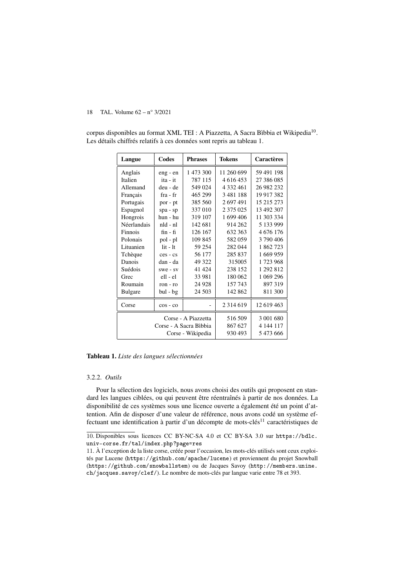| Langue              | Codes           | <b>Phrases</b>         | <b>Tokens</b> | <b>Caractères</b> |
|---------------------|-----------------|------------------------|---------------|-------------------|
| Anglais             | eng - en        | 1 473 300              | 11 260 699    | 59 491 198        |
| Italien             | ita - it        | 787 115                | 4 616 453     | 27 386 085        |
| Allemand            | deu - de        | 549 024                | 4 332 461     | 26 982 232        |
| Français            | $fra - fr$      | 465 299                | 3 481 188     | 19 917 382        |
| Portugais           | por - pt        | 385 560                | 2697491       | 15 215 273        |
| Espagnol            | spa - sp        | 337 010                | 2 3 7 5 0 2 5 | 13 492 307        |
| Hongrois            | hun - hu        | 319 107                | 1 699 406     | 11 303 334        |
| Néerlandais         | $nld - nl$      | 142 681                | 914 262       | 5 133 999         |
| Finnois             | $fin - fi$      | 126 167                | 632 363       | 4 676 176         |
| Polonais            | pol - pl        | 109 845                | 582059        | 3 790 406         |
| Lituanien           | $1it - It$      | 59 254                 | 282 044       | 1862723           |
| Tchèque             | ces - cs        | 56 177                 | 285 837       | 1 669 959         |
| Danois              | dan - da        | 49 322                 | 315005        | 1723968           |
| Suédois             | $swe - sv$      | 41 4 24                | 238 152       | 1 292 812         |
| Grec                | ell - el        | 33 981                 | 180 062       | 1 069 296         |
| Roumain             | $ron - ro$      | 24 9 28                | 157 743       | 897319            |
| <b>Bulgare</b>      | bul - bg        | 24 503                 | 142 862       | 811 300           |
| Corse               | $\cos$ - $\cos$ |                        | 2 3 1 4 6 1 9 | 12 619 463        |
| Corse - A Piazzetta |                 |                        | 516 509       | 3 001 680         |
|                     |                 | Corse - A Sacra Bìbbia | 867 627       | 4 144 117         |
|                     |                 | Corse - Wikipedia      | 930 493       | 5473666           |

corpus disponibles au format XML TEI : A Piazzetta, A Sacra Bìbbia et Wikipedia<sup>10</sup>. Les détails chiffrés relatifs à ces données sont repris au tableau 1.

Tableau 1. *Liste des langues sélectionnées*

#### 3.2.2. *Outils*

Pour la sélection des logiciels, nous avons choisi des outils qui proposent en standard les langues ciblées, ou qui peuvent être réentraînés à partir de nos données. La disponibilité de ces systèmes sous une licence ouverte a également été un point d'attention. Afin de disposer d'une valeur de référence, nous avons codé un système effectuant une identification à partir d'un décompte de mots-clés<sup>11</sup> caractéristiques de

<sup>10</sup>. Disponibles sous licences CC BY-NC-SA 4.0 et CC BY-SA 3.0 sur https://bdlc. univ-corse.fr/tal/index.php?page=res

<sup>11</sup>. À l'exception de la liste corse, créée pour l'occasion, les mots-clés utilisés sont ceux exploités par Lucene (https://github.com/apache/lucene) et proviennent du projet Snowball (https://github.com/snowballstem) ou de Jacques Savoy (http://members.unine. ch/jacques.savoy/clef/). Le nombre de mots-clés par langue varie entre 78 et 393.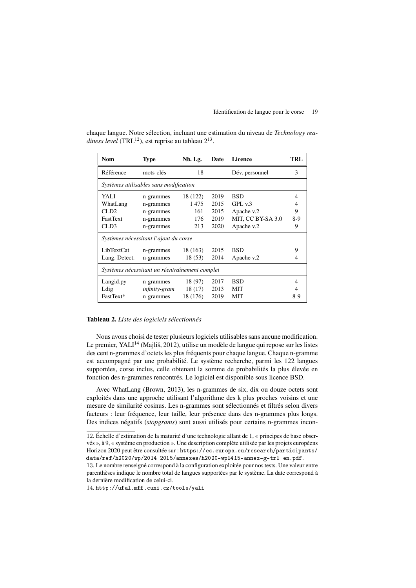chaque langue. Notre sélection, incluant une estimation du niveau de *Technology rea*diness level (TRL<sup>12</sup>), est reprise au tableau 2<sup>13</sup>.

| <b>Nom</b>      | <b>Type</b>                                    | Nb. Lg.  | Date | Licence           | TRL |
|-----------------|------------------------------------------------|----------|------|-------------------|-----|
| Référence       | mots-clés                                      | 18       |      | Dév. personnel    | 3   |
|                 | Systèmes utilisables sans modification         |          |      |                   |     |
| YALI            | n-grammes                                      | 18 (122) | 2019 | <b>BSD</b>        | 4   |
| WhatLang        | n-grammes                                      | 1475     | 2015 | GPL v.3           | 4   |
| CLD2            | n-grammes                                      | 161      | 2015 | Apache v.2        | 9   |
| <b>FastText</b> | n-grammes                                      | 176      | 2019 | MIT, CC BY-SA 3.0 | 8-9 |
| CLD3            | n-grammes                                      | 213      | 2020 | Apache v.2        | 9   |
|                 | Systèmes nécessitant l'ajout du corse          |          |      |                   |     |
| LibTextCat      | n-grammes                                      | 18 (163) | 2015 | <b>BSD</b>        | 9   |
| Lang. Detect.   | n-grammes                                      | 18(53)   | 2014 | Apache v.2        |     |
|                 | Systèmes nécessitant un réentraînement complet |          |      |                   |     |
| Langid.py       | n-grammes                                      | 18 (97)  | 2017 | <b>BSD</b>        | 4   |
| Ldig            | infinity-gram                                  | 18 (17)  | 2013 | <b>MIT</b>        |     |
| FastText*       | n-grammes                                      | 18 (176) | 2019 | MIT               | 8-9 |

#### Tableau 2. *Liste des logiciels sélectionnés*

Nous avons choisi de tester plusieurs logiciels utilisables sans aucune modification. Le premier, YALI<sup>14</sup> (Majliš, 2012), utilise un modèle de langue qui repose sur les listes des cent n-grammes d'octets les plus fréquents pour chaque langue. Chaque n-gramme est accompagné par une probabilité. Le système recherche, parmi les 122 langues supportées, corse inclus, celle obtenant la somme de probabilités la plus élevée en fonction des n-grammes rencontrés. Le logiciel est disponible sous licence BSD.

Avec WhatLang (Brown, 2013), les n-grammes de six, dix ou douze octets sont exploités dans une approche utilisant l'algorithme des k plus proches voisins et une mesure de similarité cosinus. Les n-grammes sont sélectionnés et filtrés selon divers facteurs : leur fréquence, leur taille, leur présence dans des n-grammes plus longs. Des indices négatifs (*stopgrams*) sont aussi utilisés pour certains n-grammes incon-

<sup>12</sup>. Échelle d'estimation de la maturité d'une technologie allant de 1, « principes de base observés », à 9, « système en production ». Une description complète utilisée par les projets européens Horizon 2020 peut être consultée sur : https://ec.europa.eu/research/participants/ data/ref/h2020/wp/2014\_2015/annexes/h2020-wp1415-annex-g-trl\_en.pdf.

<sup>13</sup>. Le nombre renseigné correspond à la configuration exploitée pour nos tests. Une valeur entre parenthèses indique le nombre total de langues supportées par le système. La date correspond à la dernière modification de celui-ci.

<sup>14</sup>. http://ufal.mff.cuni.cz/tools/yali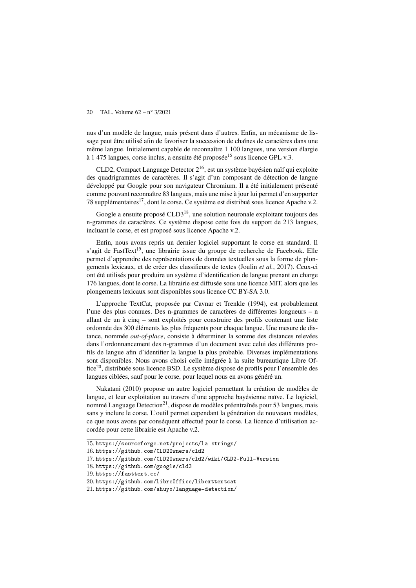nus d'un modèle de langue, mais présent dans d'autres. Enfin, un mécanisme de lissage peut être utilisé afin de favoriser la succession de chaînes de caractères dans une même langue. Initialement capable de reconnaître 1 100 langues, une version élargie à 1 475 langues, corse inclus, a ensuite été proposée<sup>15</sup> sous licence GPL v.3.

CLD2, Compact Language Detector 216, est un système bayésien naïf qui exploite des quadrigrammes de caractères. Il s'agit d'un composant de détection de langue développé par Google pour son navigateur Chromium. Il a été initialement présenté comme pouvant reconnaître 83 langues, mais une mise à jour lui permet d'en supporter 78 supplémentaires<sup>17</sup>, dont le corse. Ce système est distribué sous licence Apache v.2.

Google a ensuite proposé CLD3<sup>18</sup>, une solution neuronale exploitant toujours des n-grammes de caractères. Ce système dispose cette fois du support de 213 langues, incluant le corse, et est proposé sous licence Apache v.2.

Enfin, nous avons repris un dernier logiciel supportant le corse en standard. Il s'agit de FastText<sup>19</sup>, une librairie issue du groupe de recherche de Facebook. Elle permet d'apprendre des représentations de données textuelles sous la forme de plongements lexicaux, et de créer des classifieurs de textes (Joulin *et al.*, 2017). Ceux-ci ont été utilisés pour produire un système d'identification de langue prenant en charge 176 langues, dont le corse. La librairie est diffusée sous une licence MIT, alors que les plongements lexicaux sont disponibles sous licence CC BY-SA 3.0.

L'approche TextCat, proposée par Cavnar et Trenkle (1994), est probablement l'une des plus connues. Des n-grammes de caractères de différentes longueurs – n allant de un à cinq – sont exploités pour construire des profils contenant une liste ordonnée des 300 éléments les plus fréquents pour chaque langue. Une mesure de distance, nommée *out-of-place*, consiste à déterminer la somme des distances relevées dans l'ordonnancement des n-grammes d'un document avec celui des différents profils de langue afin d'identifier la langue la plus probable. Diverses implémentations sont disponibles. Nous avons choisi celle intégrée à la suite bureautique Libre Office<sup>20</sup>, distribuée sous licence BSD. Le système dispose de profils pour l'ensemble des langues ciblées, sauf pour le corse, pour lequel nous en avons généré un.

Nakatani (2010) propose un autre logiciel permettant la création de modèles de langue, et leur exploitation au travers d'une approche bayésienne naïve. Le logiciel, nommé Language Detection<sup>21</sup>, dispose de modèles préentraînés pour 53 langues, mais sans y inclure le corse. L'outil permet cependant la génération de nouveaux modèles, ce que nous avons par conséquent effectué pour le corse. La licence d'utilisation accordée pour cette librairie est Apache v.2.

<sup>15</sup>. https://sourceforge.net/projects/la-strings/

<sup>16</sup>. https://github.com/CLD2Owners/cld2

<sup>17</sup>. https://github.com/CLD2Owners/cld2/wiki/CLD2-Full-Version

<sup>18</sup>. https://github.com/google/cld3

<sup>19</sup>. https://fasttext.cc/

<sup>20</sup>. https://github.com/LibreOffice/libexttextcat

<sup>21</sup>. https://github.com/shuyo/language-detection/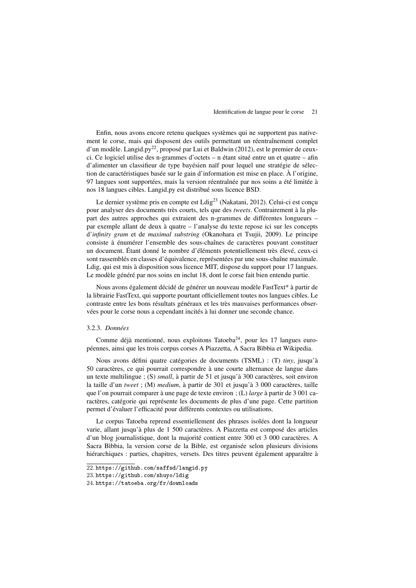Enfin, nous avons encore retenu quelques systèmes qui ne supportent pas nativement le corse, mais qui disposent des outils permettant un réentraînement complet d'un modèle. Langid.py<sup>22</sup>, proposé par Lui et Baldwin (2012), est le premier de ceuxci. Ce logiciel utilise des n-grammes d'octets – n étant situé entre un et quatre – afin d'alimenter un classifieur de type bayésien naïf pour lequel une stratégie de sélection de caractéristiques basée sur le gain d'information est mise en place. À l'origine, 97 langues sont supportées, mais la version réentraînée par nos soins a été limitée à nos 18 langues cibles. Langid.py est distribué sous licence BSD.

Le dernier système pris en compte est Ldig<sup>23</sup> (Nakatani, 2012). Celui-ci est conçu pour analyser des documents très courts, tels que des *tweets*. Contrairement à la plupart des autres approches qui extraient des n-grammes de différentes longueurs – par exemple allant de deux à quatre – l'analyse du texte repose ici sur les concepts d'*infinity gram* et de *maximal substring* (Okanohara et Tsujii, 2009). Le principe consiste à énumérer l'ensemble des sous-chaînes de caractères pouvant constituer un document. Étant donné le nombre d'éléments potentiellement très élevé, ceux-ci sont rassemblés en classes d'équivalence, représentées par une sous-chaîne maximale. Ldig, qui est mis à disposition sous licence MIT, dispose du support pour 17 langues. Le modèle généré par nos soins en inclut 18, dont le corse fait bien entendu partie.

Nous avons également décidé de générer un nouveau modèle FastText\* à partir de la librairie FastText, qui supporte pourtant officiellement toutes nos langues cibles. Le contraste entre les bons résultats généraux et les très mauvaises performances observées pour le corse nous a cependant incités à lui donner une seconde chance.

#### 3.2.3. *Données*

Comme déjà mentionné, nous exploitons Tatoeba<sup>24</sup>, pour les 17 langues européennes, ainsi que les trois corpus corses A Piazzetta, A Sacra Bìbbia et Wikipedia.

Nous avons défini quatre catégories de documents (TSML) : (T) *tiny*, jusqu'à 50 caractères, ce qui pourrait correspondre à une courte alternance de langue dans un texte multilingue ; (S) *small*, à partir de 51 et jusqu'à 300 caractères, soit environ la taille d'un *tweet* ; (M) *medium*, à partir de 301 et jusqu'à 3 000 caractères, taille que l'on pourrait comparer à une page de texte environ ; (L) *large* à partir de 3 001 caractères, catégorie qui représente les documents de plus d'une page. Cette partition permet d'évaluer l'efficacité pour différents contextes ou utilisations.

Le corpus Tatoeba reprend essentiellement des phrases isolées dont la longueur varie, allant jusqu'à plus de 1 500 caractères. A Piazzetta est composé des articles d'un blog journalistique, dont la majorité contient entre 300 et 3 000 caractères. A Sacra Bìbbia, la version corse de la Bible, est organisée selon plusieurs divisions hiérarchiques : parties, chapitres, versets. Des titres peuvent également apparaître à

<sup>22</sup>. https://github.com/saffsd/langid.py

<sup>23</sup>. https://github.com/shuyo/ldig

<sup>24</sup>. https://tatoeba.org/fr/downloads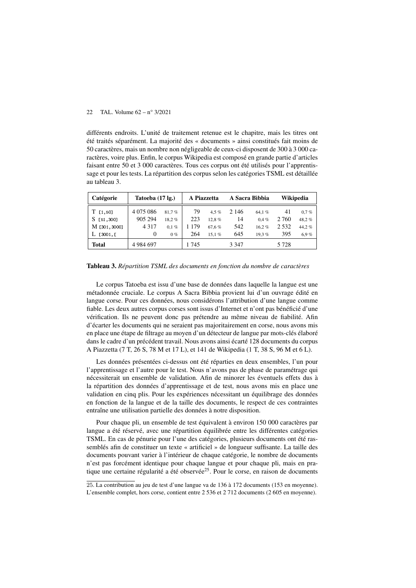différents endroits. L'unité de traitement retenue est le chapitre, mais les titres ont été traités séparément. La majorité des « documents » ainsi constitués fait moins de 50 caractères, mais un nombre non négligeable de ceux-ci disposent de 300 à 3 000 caractères, voire plus. Enfin, le corpus Wikipedia est composé en grande partie d'articles faisant entre 50 et 3 000 caractères. Tous ces corpus ont été utilisés pour l'apprentissage et pour les tests. La répartition des corpus selon les catégories TSML est détaillée au tableau 3.

| Catégorie       | Tatoeba (17 lg.) |         | A Piazzetta |         |         | A Sacra Bìbbia | Wikipedia |         |
|-----------------|------------------|---------|-------------|---------|---------|----------------|-----------|---------|
| $T$ [1,50]      | 4 0 7 5 0 8 6    | 81.7%   | 79          | 4.5 $%$ | 2 1 4 6 | 64.1%          | 41        | $0.7\%$ |
| <b>F51.3001</b> | 905 294          | 18.2%   | 223         | 12.8%   | 14      | $0.4\%$        | 2 760     | 48.2%   |
| M [301,3000]    | 4 3 1 7          | $0.1\%$ | 179         | 67.6%   | 542     | 16.2%          | 2 5 3 2   | 44.2%   |
| 13001.<br>L.    | 0                | 0%      | 264         | 15.1%   | 645     | 19.3%          | 395       | 6.9%    |
| Total           | 4 9 8 4 6 9 7    |         | 1 745       |         | 3 3 4 7 |                | 5 7 2 8   |         |

Tableau 3. *Répartition TSML des documents en fonction du nombre de caractères*

Le corpus Tatoeba est issu d'une base de données dans laquelle la langue est une métadonnée cruciale. Le corpus A Sacra Bìbbia provient lui d'un ouvrage édité en langue corse. Pour ces données, nous considérons l'attribution d'une langue comme fiable. Les deux autres corpus corses sont issus d'Internet et n'ont pas bénéficié d'une vérification. Ils ne peuvent donc pas prétendre au même niveau de fiabilité. Afin d'écarter les documents qui ne seraient pas majoritairement en corse, nous avons mis en place une étape de filtrage au moyen d'un détecteur de langue par mots-clés élaboré dans le cadre d'un précédent travail. Nous avons ainsi écarté 128 documents du corpus A Piazzetta (7 T, 26 S, 78 M et 17 L), et 141 de Wikipedia (1 T, 38 S, 96 M et 6 L).

Les données présentées ci-dessus ont été réparties en deux ensembles, l'un pour l'apprentissage et l'autre pour le test. Nous n'avons pas de phase de paramétrage qui nécessiterait un ensemble de validation. Afin de minorer les éventuels effets dus à la répartition des données d'apprentissage et de test, nous avons mis en place une validation en cinq plis. Pour les expériences nécessitant un équilibrage des données en fonction de la langue et de la taille des documents, le respect de ces contraintes entraîne une utilisation partielle des données à notre disposition.

Pour chaque pli, un ensemble de test équivalent à environ 150 000 caractères par langue a été réservé, avec une répartition équilibrée entre les différentes catégories TSML. En cas de pénurie pour l'une des catégories, plusieurs documents ont été rassemblés afin de constituer un texte « artificiel » de longueur suffisante. La taille des documents pouvant varier à l'intérieur de chaque catégorie, le nombre de documents n'est pas forcément identique pour chaque langue et pour chaque pli, mais en pratique une certaine régularité a été observée<sup>25</sup>. Pour le corse, en raison de documents

<sup>25</sup>. La contribution au jeu de test d'une langue va de 136 à 172 documents (153 en moyenne). L'ensemble complet, hors corse, contient entre 2 536 et 2 712 documents (2 605 en moyenne).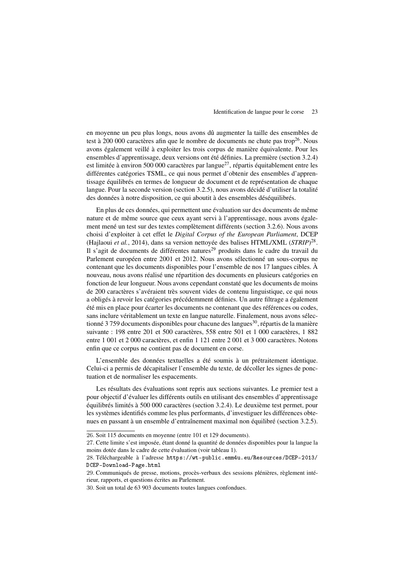en moyenne un peu plus longs, nous avons dû augmenter la taille des ensembles de test à 200 000 caractères afin que le nombre de documents ne chute pas trop<sup>26</sup>. Nous avons également veillé à exploiter les trois corpus de manière équivalente. Pour les ensembles d'apprentissage, deux versions ont été définies. La première (section 3.2.4) est limitée à environ 500 000 caractères par langue<sup>27</sup>, répartis équitablement entre les différentes catégories TSML, ce qui nous permet d'obtenir des ensembles d'apprentissage équilibrés en termes de longueur de document et de représentation de chaque langue. Pour la seconde version (section 3.2.5), nous avons décidé d'utiliser la totalité des données à notre disposition, ce qui aboutit à des ensembles déséquilibrés.

En plus de ces données, qui permettent une évaluation sur des documents de même nature et de même source que ceux ayant servi à l'apprentissage, nous avons également mené un test sur des textes complètement différents (section 3.2.6). Nous avons choisi d'exploiter à cet effet le *Digital Corpus of the European Parliament*, DCEP (Hajlaoui *et al.*, 2014), dans sa version nettoyée des balises HTML/XML (*STRIP*) 28 . Il s'agit de documents de différentes natures<sup>29</sup> produits dans le cadre du travail du Parlement européen entre 2001 et 2012. Nous avons sélectionné un sous-corpus ne contenant que les documents disponibles pour l'ensemble de nos 17 langues cibles. À nouveau, nous avons réalisé une répartition des documents en plusieurs catégories en fonction de leur longueur. Nous avons cependant constaté que les documents de moins de 200 caractères s'avéraient très souvent vides de contenu linguistique, ce qui nous a obligés à revoir les catégories précédemment définies. Un autre filtrage a également été mis en place pour écarter les documents ne contenant que des références ou codes, sans inclure véritablement un texte en langue naturelle. Finalement, nous avons sélectionné 3 759 documents disponibles pour chacune des langues<sup>30</sup>, répartis de la manière suivante : 198 entre 201 et 500 caractères, 558 entre 501 et 1 000 caractères, 1 882 entre 1 001 et 2 000 caractères, et enfin 1 121 entre 2 001 et 3 000 caractères. Notons enfin que ce corpus ne contient pas de document en corse.

L'ensemble des données textuelles a été soumis à un prétraitement identique. Celui-ci a permis de décapitaliser l'ensemble du texte, de décoller les signes de ponctuation et de normaliser les espacements.

Les résultats des évaluations sont repris aux sections suivantes. Le premier test a pour objectif d'évaluer les différents outils en utilisant des ensembles d'apprentissage équilibrés limités à 500 000 caractères (section 3.2.4). Le deuxième test permet, pour les systèmes identifiés comme les plus performants, d'investiguer les différences obtenues en passant à un ensemble d'entraînement maximal non équilibré (section 3.2.5).

<sup>26</sup>. Soit 115 documents en moyenne (entre 101 et 129 documents).

<sup>27</sup>. Cette limite s'est imposée, étant donné la quantité de données disponibles pour la langue la moins dotée dans le cadre de cette évaluation (voir tableau 1).

<sup>28</sup>. Téléchargeable à l'adresse https://wt-public.emm4u.eu/Resources/DCEP-2013/ DCEP-Download-Page.html

<sup>29</sup>. Communiqués de presse, motions, procès-verbaux des sessions plénières, règlement intérieur, rapports, et questions écrites au Parlement.

<sup>30</sup>. Soit un total de 63 903 documents toutes langues confondues.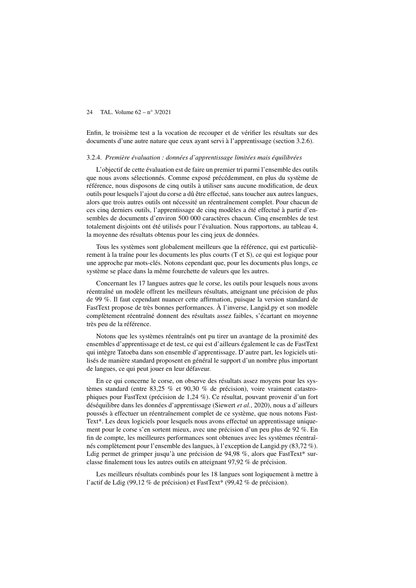Enfin, le troisième test a la vocation de recouper et de vérifier les résultats sur des documents d'une autre nature que ceux ayant servi à l'apprentissage (section 3.2.6).

#### 3.2.4. *Première évaluation : données d'apprentissage limitées mais équilibrées*

L'objectif de cette évaluation est de faire un premier tri parmi l'ensemble des outils que nous avons sélectionnés. Comme exposé précédemment, en plus du système de référence, nous disposons de cinq outils à utiliser sans aucune modification, de deux outils pour lesquels l'ajout du corse a dû être effectué, sans toucher aux autres langues, alors que trois autres outils ont nécessité un réentraînement complet. Pour chacun de ces cinq derniers outils, l'apprentissage de cinq modèles a été effectué à partir d'ensembles de documents d'environ 500 000 caractères chacun. Cinq ensembles de test totalement disjoints ont été utilisés pour l'évaluation. Nous rapportons, au tableau 4, la moyenne des résultats obtenus pour les cinq jeux de données.

Tous les systèmes sont globalement meilleurs que la référence, qui est particulièrement à la traîne pour les documents les plus courts (T et S), ce qui est logique pour une approche par mots-clés. Notons cependant que, pour les documents plus longs, ce système se place dans la même fourchette de valeurs que les autres.

Concernant les 17 langues autres que le corse, les outils pour lesquels nous avons réentraîné un modèle offrent les meilleurs résultats, atteignant une précision de plus de 99 %. Il faut cependant nuancer cette affirmation, puisque la version standard de FastText propose de très bonnes performances. À l'inverse, Langid.py et son modèle complètement réentraîné donnent des résultats assez faibles, s'écartant en moyenne très peu de la référence.

Notons que les systèmes réentraînés ont pu tirer un avantage de la proximité des ensembles d'apprentissage et de test, ce qui est d'ailleurs également le cas de FastText qui intègre Tatoeba dans son ensemble d'apprentissage. D'autre part, les logiciels utilisés de manière standard proposent en général le support d'un nombre plus important de langues, ce qui peut jouer en leur défaveur.

En ce qui concerne le corse, on observe des résultats assez moyens pour les systèmes standard (entre 83,25 % et 90,30 % de précision), voire vraiment catastrophiques pour FastText (précision de 1,24 %). Ce résultat, pouvant provenir d'un fort déséquilibre dans les données d'apprentissage (Siewert *et al.*, 2020), nous a d'ailleurs poussés à effectuer un réentraînement complet de ce système, que nous notons Fast-Text\*. Les deux logiciels pour lesquels nous avons effectué un apprentissage uniquement pour le corse s'en sortent mieux, avec une précision d'un peu plus de 92 %. En fin de compte, les meilleures performances sont obtenues avec les systèmes réentraînés complètement pour l'ensemble des langues, à l'exception de Langid.py (83,72 %). Ldig permet de grimper jusqu'à une précision de 94,98 %, alors que FastText\* surclasse finalement tous les autres outils en atteignant 97,92 % de précision.

Les meilleurs résultats combinés pour les 18 langues sont logiquement à mettre à l'actif de Ldig (99,12 % de précision) et FastText\* (99,42 % de précision).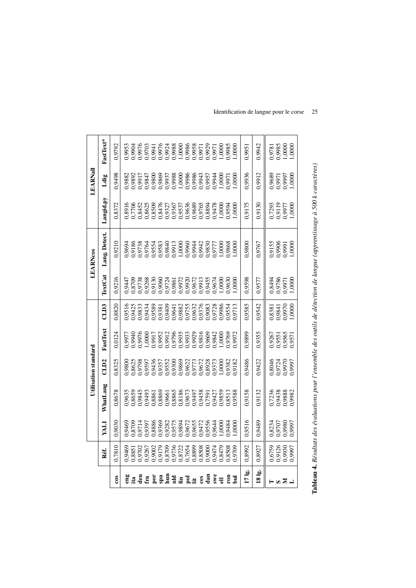|              |                                                                                      |                                      |                                                                                                                                                                                                                                      | Utilisation standard                 |                                      |                                                                                                                     |                                      | <b>LEARNcos</b>                      |                                                | LEARNall                             |                                      |
|--------------|--------------------------------------------------------------------------------------|--------------------------------------|--------------------------------------------------------------------------------------------------------------------------------------------------------------------------------------------------------------------------------------|--------------------------------------|--------------------------------------|---------------------------------------------------------------------------------------------------------------------|--------------------------------------|--------------------------------------|------------------------------------------------|--------------------------------------|--------------------------------------|
|              | Réf.                                                                                 | <b>ITRX</b>                          | WhatLang                                                                                                                                                                                                                             | CLD <sub>2</sub>                     | FastText                             | CLD3                                                                                                                | <b>TextCat</b>                       | Lang. Detect.                        | Langid.py                                      | Ldig                                 | FastText*                            |
| 800          | 0,7810                                                                               | 0,9030                               | 0,8678                                                                                                                                                                                                                               | 0,8325                               | 0,0124                               | 0,8820                                                                                                              | 0,9216                               | 0,9210                               | 0,8372                                         | 0,9498                               | 0,9792                               |
| eng          |                                                                                      |                                      |                                                                                                                                                                                                                                      |                                      |                                      |                                                                                                                     |                                      |                                      |                                                |                                      |                                      |
| $\mathbf{B}$ |                                                                                      |                                      |                                                                                                                                                                                                                                      |                                      |                                      |                                                                                                                     |                                      |                                      |                                                |                                      |                                      |
| g            |                                                                                      |                                      |                                                                                                                                                                                                                                      |                                      |                                      |                                                                                                                     |                                      |                                      |                                                |                                      |                                      |
| £.           | 69<br>638506023660236886672866<br>638506025728688866748866<br>6385060263688866748866 |                                      | 0,063<br>0,08453 0,000 0,000 0,000 0,000 0,000 0,000 0,000 0,000 0,000 0,000 0,000 0,000 0,000 0,000 0,000 0,000 0,000<br>0,000 0,000 0,000 0,000 0,000 0,000 0,000 0,000 0,000 0,000 0,000 0,000 0,000 0,000 0,000 0,000 0,000 0,00 |                                      |                                      | 16513536<br>0383353636438265688866<br>0383536382643826568866<br>038353826438265688866554<br>03936458886656886656554 |                                      |                                      |                                                |                                      |                                      |
| ä            |                                                                                      |                                      |                                                                                                                                                                                                                                      |                                      |                                      |                                                                                                                     |                                      |                                      |                                                |                                      |                                      |
|              |                                                                                      |                                      |                                                                                                                                                                                                                                      |                                      |                                      |                                                                                                                     |                                      |                                      |                                                |                                      |                                      |
|              |                                                                                      |                                      |                                                                                                                                                                                                                                      |                                      |                                      |                                                                                                                     |                                      |                                      |                                                |                                      |                                      |
| $R = 3$      |                                                                                      |                                      |                                                                                                                                                                                                                                      |                                      |                                      |                                                                                                                     |                                      |                                      |                                                |                                      |                                      |
|              |                                                                                      |                                      |                                                                                                                                                                                                                                      |                                      |                                      |                                                                                                                     |                                      |                                      |                                                |                                      |                                      |
| $\bar{z}$    |                                                                                      |                                      |                                                                                                                                                                                                                                      |                                      |                                      |                                                                                                                     |                                      |                                      |                                                |                                      |                                      |
|              |                                                                                      |                                      |                                                                                                                                                                                                                                      |                                      |                                      |                                                                                                                     |                                      |                                      |                                                |                                      |                                      |
| ces          |                                                                                      |                                      |                                                                                                                                                                                                                                      |                                      |                                      |                                                                                                                     |                                      |                                      |                                                |                                      |                                      |
| dan          |                                                                                      |                                      |                                                                                                                                                                                                                                      |                                      |                                      |                                                                                                                     |                                      |                                      |                                                |                                      |                                      |
| swe          |                                                                                      |                                      |                                                                                                                                                                                                                                      |                                      |                                      |                                                                                                                     |                                      |                                      |                                                |                                      |                                      |
|              |                                                                                      |                                      |                                                                                                                                                                                                                                      |                                      |                                      |                                                                                                                     |                                      |                                      |                                                |                                      |                                      |
| ទី           |                                                                                      |                                      |                                                                                                                                                                                                                                      |                                      |                                      |                                                                                                                     |                                      |                                      |                                                |                                      |                                      |
| 髙            |                                                                                      |                                      |                                                                                                                                                                                                                                      |                                      |                                      |                                                                                                                     |                                      |                                      |                                                |                                      |                                      |
| 17lg         | 0,8992                                                                               | 0,9516                               | 0,9158                                                                                                                                                                                                                               | 0,9486                               | 0,9899                               | 0,9585                                                                                                              | 0,9598                               | 0,9800                               | 0,9175                                         | 0,9936                               | 0,9951                               |
| $18\lg$      | 0,8927                                                                               | 0,9489                               | 0,9132                                                                                                                                                                                                                               | 0,9422                               | 0,9355                               | 0,9542                                                                                                              | 0,9577                               | 0,9767                               | 0,9130                                         | 0,9912                               | 0,9942                               |
|              |                                                                                      |                                      |                                                                                                                                                                                                                                      |                                      |                                      |                                                                                                                     |                                      |                                      |                                                |                                      |                                      |
| $\omega$     |                                                                                      |                                      |                                                                                                                                                                                                                                      |                                      |                                      |                                                                                                                     |                                      |                                      |                                                |                                      |                                      |
| ≥            | 0,6759<br>0,9126<br>0,9930<br>0,9997                                                 | 0,8234<br>0,9707<br>0,9980<br>0,9997 | 0,7236<br>0,9438<br>0,9888<br>0,9982                                                                                                                                                                                                 | 0.8046<br>0.9724<br>0.9970<br>0.9997 | 0,9267<br>0,9551<br>0,9565<br>0,9571 | 0,8381<br>0,9841<br>0,9970<br>1,0000                                                                                | 0,8494<br>0,9786<br>1,0000<br>1,0000 | 0,9155<br>0,9906<br>0,9991<br>1,0000 | 0,7293<br>0,9119<br>779977<br>1,0000<br>1,0000 | 0,9689<br>1,9971<br>7,0000<br>1,0000 | 0,9781<br>0,9985<br>1,0000<br>1,0000 |
|              |                                                                                      |                                      |                                                                                                                                                                                                                                      |                                      |                                      |                                                                                                                     |                                      |                                      |                                                |                                      |                                      |
|              |                                                                                      |                                      |                                                                                                                                                                                                                                      |                                      |                                      |                                                                                                                     |                                      |                                      |                                                |                                      |                                      |

### Identification de langue pour le corse 25

Tableau 4. Résultats des évaluations pour l'ensemble des outils de détection de langue (apprentissage à 500 k caractères)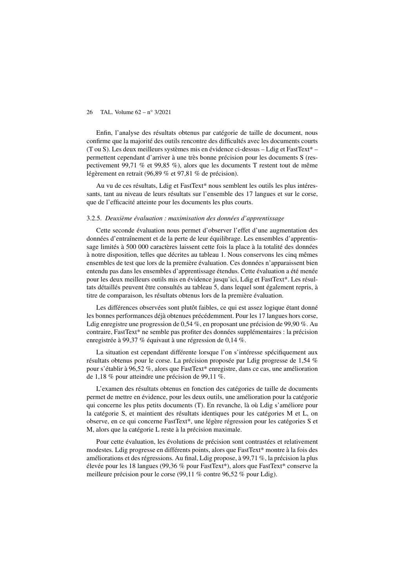Enfin, l'analyse des résultats obtenus par catégorie de taille de document, nous confirme que la majorité des outils rencontre des difficultés avec les documents courts (T ou S). Les deux meilleurs systèmes mis en évidence ci-dessus – Ldig et FastText\* – permettent cependant d'arriver à une très bonne précision pour les documents S (respectivement 99,71 % et 99,85 %), alors que les documents T restent tout de même légèrement en retrait (96,89 % et 97,81 % de précision).

Au vu de ces résultats, Ldig et FastText\* nous semblent les outils les plus intéressants, tant au niveau de leurs résultats sur l'ensemble des 17 langues et sur le corse, que de l'efficacité atteinte pour les documents les plus courts.

#### 3.2.5. *Deuxième évaluation : maximisation des données d'apprentissage*

Cette seconde évaluation nous permet d'observer l'effet d'une augmentation des données d'entraînement et de la perte de leur équilibrage. Les ensembles d'apprentissage limités à 500 000 caractères laissent cette fois la place à la totalité des données à notre disposition, telles que décrites au tableau 1. Nous conservons les cinq mêmes ensembles de test que lors de la première évaluation. Ces données n'apparaissent bien entendu pas dans les ensembles d'apprentissage étendus. Cette évaluation a été menée pour les deux meilleurs outils mis en évidence jusqu'ici, Ldig et FastText\*. Les résultats détaillés peuvent être consultés au tableau 5, dans lequel sont également repris, à titre de comparaison, les résultats obtenus lors de la première évaluation.

Les différences observées sont plutôt faibles, ce qui est assez logique étant donné les bonnes performances déjà obtenues précédemment. Pour les 17 langues hors corse, Ldig enregistre une progression de 0,54 %, en proposant une précision de 99,90 %. Au contraire, FastText\* ne semble pas profiter des données supplémentaires : la précision enregistrée à 99,37 % équivaut à une régression de 0,14 %.

La situation est cependant différente lorsque l'on s'intéresse spécifiquement aux résultats obtenus pour le corse. La précision proposée par Ldig progresse de 1,54 % pour s'établir à 96,52 %, alors que FastText\* enregistre, dans ce cas, une amélioration de 1,18 % pour atteindre une précision de 99,11 %.

L'examen des résultats obtenus en fonction des catégories de taille de documents permet de mettre en évidence, pour les deux outils, une amélioration pour la catégorie qui concerne les plus petits documents (T). En revanche, là où Ldig s'améliore pour la catégorie S, et maintient des résultats identiques pour les catégories M et L, on observe, en ce qui concerne FastText\*, une légère régression pour les catégories S et M, alors que la catégorie L reste à la précision maximale.

Pour cette évaluation, les évolutions de précision sont contrastées et relativement modestes. Ldig progresse en différents points, alors que FastText\* montre à la fois des améliorations et des régressions. Au final, Ldig propose, à 99,71 %, la précision la plus élevée pour les 18 langues (99,36 % pour FastText\*), alors que FastText\* conserve la meilleure précision pour le corse (99,11 % contre 96,52 % pour Ldig).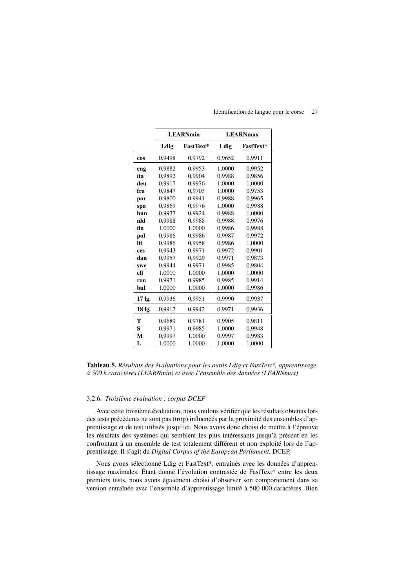|        |        | <b>LEARNmin</b>  |        | <b>LEARNmax</b>  |
|--------|--------|------------------|--------|------------------|
|        | Ldig   | <b>FastText*</b> | Ldig   | <b>FastText*</b> |
| cos    | 0.9498 | 0.9792           | 0,9652 | 0.9911           |
| eng    | 0.9882 | 0.9953           | 1.0000 | 0.9952           |
| ita    | 0,9892 | 0,9904           | 0,9988 | 0,9856           |
| deu    | 0.9917 | 0.9976           | 1,0000 | 1,0000           |
| fra    | 0.9847 | 0.9703           | 1.0000 | 0.9753           |
| por    | 0,9800 | 0.9941           | 0,9988 | 0,9965           |
| spa    | 0.9869 | 0.9976           | 1.0000 | 0.9988           |
| hun    | 0,9937 | 0,9924           | 0,9988 | 1,0000           |
| nld    | 0.9988 | 0.9988           | 0.9988 | 0.9976           |
| fin    | 1.0000 | 1.0000           | 0.9986 | 0.9988           |
| pol    | 0.9986 | 0.9986           | 0.9987 | 0,9972           |
| lit    | 0.9986 | 0.9958           | 0.9986 | 1,0000           |
| ces    | 0.9943 | 0.9971           | 0.9972 | 0.9901           |
| dan    | 0,9957 | 0.9929           | 0,9971 | 0,9873           |
| swe    | 0.9944 | 0.9971           | 0.9985 | 0,9804           |
| ell    | 1,0000 | 1,0000           | 1,0000 | 1,0000           |
| ron    | 0.9971 | 0.9985           | 0.9985 | 0.9914           |
| bul    | 1.0000 | 1,0000           | 1,0000 | 0.9986           |
| 17 lg. | 0,9936 | 0,9951           | 0,9990 | 0,9937           |
| 18 lg. | 0,9912 | 0.9942           | 0,9971 | 0,9936           |
| T      | 0,9689 | 0.9781           | 0,9905 | 0,9811           |
| S      | 0.9971 | 0.9985           | 1,0000 | 0.9948           |
| M      | 0.9997 | 1.0000           | 0.9997 | 0.9983           |
| L      | 1,0000 | 1,0000           | 1,0000 | 1,0000           |

#### Identification de langue pour le corse 27

Tableau 5. Résultats des évaluations pour les outils Ldig et FastText\*, apprentissage à 500 k caractères (LEARNmin) et avec l'ensemble des données (LEARNmax)

#### 3.2.6. Troisième évaluation : corpus DCEP

Avec cette troisième évaluation, nous voulons vérifier que les résultats obtenus lors des tests précédents ne sont pas (trop) influencés par la proximité des ensembles d'apprentissage et de test utilisés jusqu'ici. Nous avons donc choisi de mettre à l'épreuve les résultats des systèmes qui semblent les plus intéressants jusqu'à présent en les confrontant à un ensemble de test totalement différent et non exploité lors de l'apprentissage. Il s'agit du Digital Corpus of the European Parliament, DCEP.

Nous avons sélectionné Ldig et FastText\*, entraînés avec les données d'apprentissage maximales. Étant donné l'évolution contrastée de FastText\* entre les deux premiers tests, nous avons également choisi d'observer son comportement dans sa version entraînée avec l'ensemble d'apprentissage limité à 500 000 caractères. Bien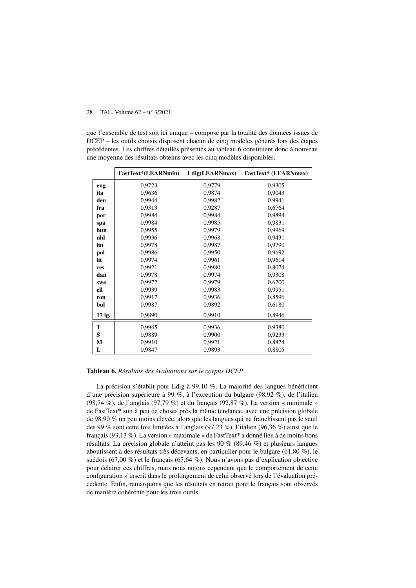que l'ensemble de test soit ici unique – composé par la totalité des données issues de DCEP – les outils choisis disposent chacun de cinq modèles générés lors des étapes précédentes. Les chiffres détaillés présentés au tableau 6 constituent donc à nouveau une moyenne des résultats obtenus avec les cinq modèles disponibles.

|        | <b>FastText*(LEARNmin)</b> | Ldig(LEARNmax) | <b>FastText*</b> (LEARNmax) |
|--------|----------------------------|----------------|-----------------------------|
| eng    | 0,9723                     | 0,9779         | 0,9305                      |
| ita    | 0,9636                     | 0,9874         | 0,9043                      |
| deu    | 0,9944                     | 0,9982         | 0,9941                      |
| fra    | 0,9313                     | 0,9287         | 0,6764                      |
| por    | 0,9984                     | 0,9984         | 0,9894                      |
| spa    | 0,9984                     | 0,9985         | 0,9831                      |
| hun    | 0,9955                     | 0,9979         | 0,9969                      |
| nld    | 0,9936                     | 0,9968         | 0,9431                      |
| fin    | 0,9978                     | 0,9987         | 0,9790                      |
| pol    | 0,9986                     | 0,9950         | 0,9692                      |
| lit    | 0,9974                     | 0,9961         | 0,9614                      |
| ces    | 0,9921                     | 0,9980         | 0,8074                      |
| dan    | 0,9978                     | 0,9974         | 0,9308                      |
| swe    | 0,9972                     | 0,9979         | 0,6700                      |
| ell    | 0.9939                     | 0,9983         | 0,9951                      |
| ron    | 0,9917                     | 0,9936         | 0,8596                      |
| bul    | 0,9987                     | 0,9892         | 0,6180                      |
| 17 lg. | 0,9890                     | 0,9910         | 0,8946                      |
| T      | 0,9945                     | 0,9936         | 0,9380                      |
| S      | 0,9889                     | 0,9900         | 0,9233                      |
| M      | 0,9910                     | 0,9921         | 0,8874                      |
| L      | 0,9847                     | 0,9893         | 0,8805                      |

#### Tableau 6. *Résultats des évaluations sur le corpus DCEP*

La précision s'établit pour Ldig à 99,10 %. La majorité des langues bénéficient d'une précision supérieure à 99 %, à l'exception du bulgare (98,92 %), de l'italien (98,74 %), de l'anglais (97,79 %) et du français (92,87 %). La version « minimale » de FastText\* suit à peu de choses près la même tendance, avec une précision globale de 98,90 % un peu moins élevée, alors que les langues qui ne franchissent pas le seuil des 99 % sont cette fois limitées à l'anglais (97,23 %), l'italien (96,36 %) ainsi que le français (93,13 %). La version « maximale » de FastText\* a donné lieu à de moins bons résultats. La précision globale n'atteint pas les 90 % (89,46 %) et plusieurs langues aboutissent à des résultats très décevants, en particulier pour le bulgare (61,80 %), le suédois (67,00 %) et le français (67,64 %). Nous n'avons pas d'explication objective pour éclairer ces chiffres, mais nous notons cependant que le comportement de cette configuration s'inscrit dans le prolongement de celui observé lors de l'évaluation précédente. Enfin, remarquons que les résultats en retrait pour le français sont observés de manière cohérente pour les trois outils.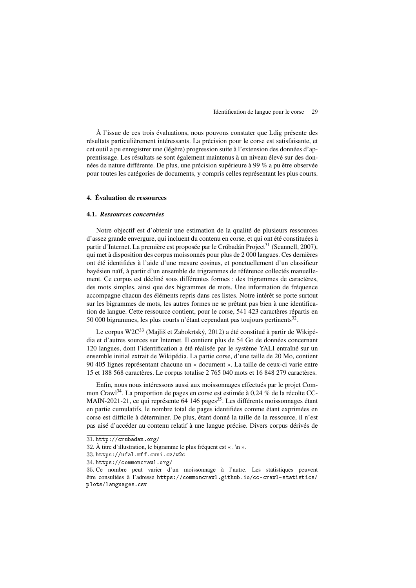À l'issue de ces trois évaluations, nous pouvons constater que Ldig présente des résultats particulièrement intéressants. La précision pour le corse est satisfaisante, et cet outil a pu enregistrer une (légère) progression suite à l'extension des données d'apprentissage. Les résultats se sont également maintenus à un niveau élevé sur des données de nature différente. De plus, une précision supérieure à 99 % a pu être observée pour toutes les catégories de documents, y compris celles représentant les plus courts.

#### 4. Évaluation de ressources

#### 4.1. *Ressources concernées*

Notre objectif est d'obtenir une estimation de la qualité de plusieurs ressources d'assez grande envergure, qui incluent du contenu en corse, et qui ont été constituées à partir d'Internet. La première est proposée par le Crúbadán Project<sup>31</sup> (Scannell, 2007), qui met à disposition des corpus moissonnés pour plus de 2 000 langues. Ces dernières ont été identifiées à l'aide d'une mesure cosinus, et ponctuellement d'un classifieur bayésien naïf, à partir d'un ensemble de trigrammes de référence collectés manuellement. Ce corpus est décliné sous différentes formes : des trigrammes de caractères, des mots simples, ainsi que des bigrammes de mots. Une information de fréquence accompagne chacun des éléments repris dans ces listes. Notre intérêt se porte surtout sur les bigrammes de mots, les autres formes ne se prêtant pas bien à une identification de langue. Cette ressource contient, pour le corse, 541 423 caractères répartis en 50 000 bigrammes, les plus courts n'étant cependant pas toujours pertinents $^{32}$ .

Le corpus W2C<sup>33</sup> (Majliš et Zabokrtský, 2012) a été constitué à partir de Wikipédia et d'autres sources sur Internet. Il contient plus de 54 Go de données concernant 120 langues, dont l'identification a été réalisée par le système YALI entraîné sur un ensemble initial extrait de Wikipédia. La partie corse, d'une taille de 20 Mo, contient 90 405 lignes représentant chacune un « document ». La taille de ceux-ci varie entre 15 et 188 568 caractères. Le corpus totalise 2 765 040 mots et 16 848 279 caractères.

Enfin, nous nous intéressons aussi aux moissonnages effectués par le projet Common Crawl<sup>34</sup>. La proportion de pages en corse est estimée à 0,24 % de la récolte CC-MAIN-2021-21, ce qui représente 64 146 pages<sup>35</sup>. Les différents moissonnages étant en partie cumulatifs, le nombre total de pages identifiées comme étant exprimées en corse est difficile à déterminer. De plus, étant donné la taille de la ressource, il n'est pas aisé d'accéder au contenu relatif à une langue précise. Divers corpus dérivés de

<sup>31</sup>. http://crubadan.org/

<sup>32</sup>. À titre d'illustration, le bigramme le plus fréquent est « . \n ».

<sup>33</sup>. https://ufal.mff.cuni.cz/w2c

<sup>34</sup>. https://commoncrawl.org/

<sup>35</sup>. Ce nombre peut varier d'un moissonnage à l'autre. Les statistiques peuvent être consultées à l'adresse https://commoncrawl.github.io/cc-crawl-statistics/ plots/languages.csv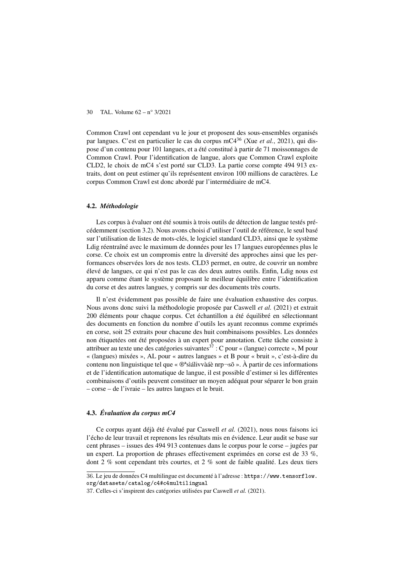Common Crawl ont cependant vu le jour et proposent des sous-ensembles organisés par langues. C'est en particulier le cas du corpus mC4<sup>36</sup> (Xue *et al.*, 2021), qui dispose d'un contenu pour 101 langues, et a été constitué à partir de 71 moissonnages de Common Crawl. Pour l'identification de langue, alors que Common Crawl exploite CLD2, le choix de mC4 s'est porté sur CLD3. La partie corse compte 494 913 extraits, dont on peut estimer qu'ils représentent environ 100 millions de caractères. Le corpus Common Crawl est donc abordé par l'intermédiaire de mC4.

#### 4.2. *Méthodologie*

Les corpus à évaluer ont été soumis à trois outils de détection de langue testés précédemment (section 3.2). Nous avons choisi d'utiliser l'outil de référence, le seul basé sur l'utilisation de listes de mots-clés, le logiciel standard CLD3, ainsi que le système Ldig réentraîné avec le maximum de données pour les 17 langues européennes plus le corse. Ce choix est un compromis entre la diversité des approches ainsi que les performances observées lors de nos tests. CLD3 permet, en outre, de couvrir un nombre élevé de langues, ce qui n'est pas le cas des deux autres outils. Enfin, Ldig nous est apparu comme étant le système proposant le meilleur équilibre entre l'identification du corse et des autres langues, y compris sur des documents très courts.

Il n'est évidemment pas possible de faire une évaluation exhaustive des corpus. Nous avons donc suivi la méthodologie proposée par Caswell *et al.* (2021) et extrait 200 éléments pour chaque corpus. Cet échantillon a été équilibré en sélectionnant des documents en fonction du nombre d'outils les ayant reconnus comme exprimés en corse, soit 25 extraits pour chacune des huit combinaisons possibles. Les données non étiquetées ont été proposées à un expert pour annotation. Cette tâche consiste à attribuer au texte une des catégories suivantes  $\frac{3}{7}$ : C pour « (langue) correcte », M pour « (langues) mixées », AL pour « autres langues » et B pour « bruit », c'est-à-dire du contenu non linguistique tel que «  $\mathbb{O}^4$ sìálivvàáè nrp $\neg$ sõ ». À partir de ces informations et de l'identification automatique de langue, il est possible d'estimer si les différentes combinaisons d'outils peuvent constituer un moyen adéquat pour séparer le bon grain – corse – de l'ivraie – les autres langues et le bruit.

#### 4.3. *Évaluation du corpus mC4*

Ce corpus ayant déjà été évalué par Caswell *et al.* (2021), nous nous faisons ici l'écho de leur travail et reprenons les résultats mis en évidence. Leur audit se base sur cent phrases – issues des 494 913 contenues dans le corpus pour le corse – jugées par un expert. La proportion de phrases effectivement exprimées en corse est de 33 %, dont 2 % sont cependant très courtes, et 2 % sont de faible qualité. Les deux tiers

<sup>36</sup>. Le jeu de données C4 multilingue est documenté à l'adresse : https://www.tensorflow. org/datasets/catalog/c4#c4multilingual

<sup>37</sup>. Celles-ci s'inspirent des catégories utilisées par Caswell *et al.* (2021).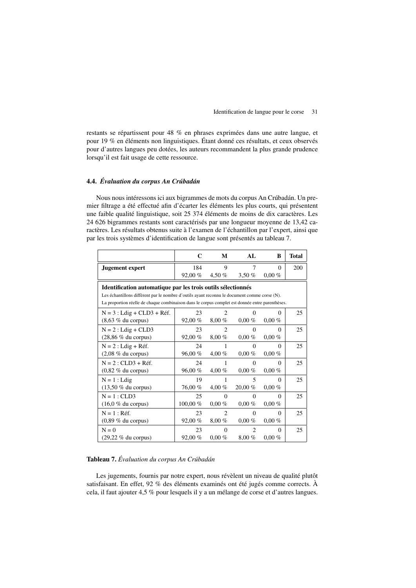restants se répartissent pour 48 % en phrases exprimées dans une autre langue, et pour 19 % en éléments non linguistiques. Étant donné ces résultats, et ceux observés pour d'autres langues peu dotées, les auteurs recommandent la plus grande prudence lorsqu'il est fait usage de cette ressource.

#### 4.4. *Évaluation du corpus An Crúbadán*

Nous nous intéressons ici aux bigrammes de mots du corpus An Crúbadán. Un premier filtrage a été effectué afin d'écarter les éléments les plus courts, qui présentent une faible qualité linguistique, soit 25 374 éléments de moins de dix caractères. Les 24 626 bigrammes restants sont caractérisés par une longueur moyenne de 13,42 caractères. Les résultats obtenus suite à l'examen de l'échantillon par l'expert, ainsi que par les trois systèmes d'identification de langue sont présentés au tableau 7.

|                                                                                                 | C        | M              | AI.            | B        | <b>Total</b> |
|-------------------------------------------------------------------------------------------------|----------|----------------|----------------|----------|--------------|
| <b>Jugement</b> expert                                                                          | 184      | 9              | 7              | $\Omega$ | 200          |
|                                                                                                 | 92,00 %  | 4,50 %         | 3,50%          | $0,00\%$ |              |
| Identification automatique par les trois outils sélectionnés                                    |          |                |                |          |              |
| Les échantillons diffèrent par le nombre d'outils ayant reconnu le document comme corse (N).    |          |                |                |          |              |
| La proportion réelle de chaque combinaison dans le corpus complet est donnée entre parenthèses. |          |                |                |          |              |
| $N = 3$ : Ldig + CLD3 + Réf.                                                                    | 23       | $\mathfrak{D}$ | 0              | $\Omega$ | 25           |
| $(8,63\%$ du corpus)                                                                            | 92,00%   | 8,00%          | $0.00\%$       | $0.00\%$ |              |
| $N = 2$ : Ldig + CLD3                                                                           | 23       | $\mathfrak{D}$ | $\Omega$       | $\Omega$ | 25           |
| $(28,86\%$ du corpus)                                                                           | 92,00 %  | 8,00%          | $0.00\%$       | $0.00\%$ |              |
| $N = 2$ : Ldig + Réf.                                                                           | 24       | 1              | 0              | $\Omega$ | 25           |
| $(2,08\%$ du corpus)                                                                            | 96,00%   | $4,00\%$       | $0.00\%$       | $0.00\%$ |              |
| $N = 2$ : CLD3 + Réf.                                                                           | 24       | 1              | $\Omega$       | $\Omega$ | 25           |
| $(0,82 \%$ du corpus)                                                                           | 96,00%   | $4,00\%$       | $0.00\%$       | $0.00\%$ |              |
| $N = 1$ : Ldig                                                                                  | 19       | 1              | 5              | $\Omega$ | 25           |
| $(13,50\%$ du corpus)                                                                           | 76,00 %  | $4,00\%$       | $20,00\%$      | $0.00\%$ |              |
| $N = 1$ : CLD3                                                                                  | 25       | $\Omega$       | $\Omega$       | $\Omega$ | 25           |
| $(16.0 %$ du corpus)                                                                            | 100,00 % | $0.00\%$       | $0.00\%$       | $0.00\%$ |              |
| $N = 1$ : Réf.                                                                                  | 23       | $\mathfrak{D}$ | $\Omega$       | $\Omega$ | 25           |
| $(0.89\%$ du corpus)                                                                            | 92,00%   | $8,00\%$       | $0.00\%$       | $0,00\%$ |              |
| $N = 0$                                                                                         | 23       | $\Omega$       | $\overline{c}$ | $\Omega$ | 25           |
| $(29,22\%$ du corpus)                                                                           | 92,00%   | $0,00\%$       | $8,00\%$       | $0.00\%$ |              |

#### Tableau 7. *Évaluation du corpus An Crúbadán*

Les jugements, fournis par notre expert, nous révèlent un niveau de qualité plutôt satisfaisant. En effet, 92 % des éléments examinés ont été jugés comme corrects. À cela, il faut ajouter 4,5 % pour lesquels il y a un mélange de corse et d'autres langues.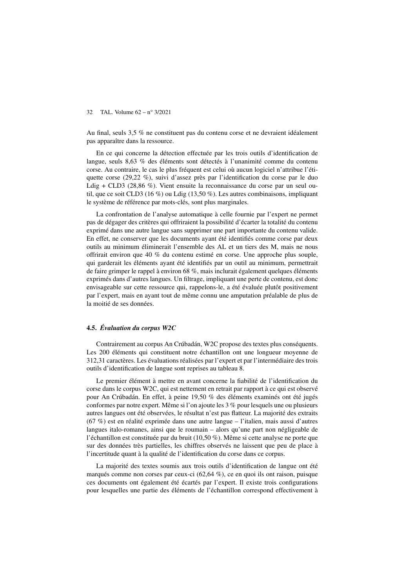Au final, seuls 3,5 % ne constituent pas du contenu corse et ne devraient idéalement pas apparaître dans la ressource.

En ce qui concerne la détection effectuée par les trois outils d'identification de langue, seuls 8,63 % des éléments sont détectés à l'unanimité comme du contenu corse. Au contraire, le cas le plus fréquent est celui où aucun logiciel n'attribue l'étiquette corse (29,22 %), suivi d'assez près par l'identification du corse par le duo Ldig + CLD3 (28,86 %). Vient ensuite la reconnaissance du corse par un seul outil, que ce soit CLD3 (16 %) ou Ldig (13,50 %). Les autres combinaisons, impliquant le système de référence par mots-clés, sont plus marginales.

La confrontation de l'analyse automatique à celle fournie par l'expert ne permet pas de dégager des critères qui offriraient la possibilité d'écarter la totalité du contenu exprimé dans une autre langue sans supprimer une part importante du contenu valide. En effet, ne conserver que les documents ayant été identifiés comme corse par deux outils au minimum éliminerait l'ensemble des AL et un tiers des M, mais ne nous offrirait environ que 40 % du contenu estimé en corse. Une approche plus souple, qui garderait les éléments ayant été identifiés par un outil au minimum, permettrait de faire grimper le rappel à environ 68 %, mais inclurait également quelques éléments exprimés dans d'autres langues. Un filtrage, impliquant une perte de contenu, est donc envisageable sur cette ressource qui, rappelons-le, a été évaluée plutôt positivement par l'expert, mais en ayant tout de même connu une amputation préalable de plus de la moitié de ses données.

#### 4.5. *Évaluation du corpus W2C*

Contrairement au corpus An Crúbadán, W2C propose des textes plus conséquents. Les 200 éléments qui constituent notre échantillon ont une longueur moyenne de 312,31 caractères. Les évaluations réalisées par l'expert et par l'intermédiaire des trois outils d'identification de langue sont reprises au tableau 8.

Le premier élément à mettre en avant concerne la fiabilité de l'identification du corse dans le corpus W2C, qui est nettement en retrait par rapport à ce qui est observé pour An Crúbadán. En effet, à peine 19,50 % des éléments examinés ont été jugés conformes par notre expert. Même si l'on ajoute les 3 % pour lesquels une ou plusieurs autres langues ont été observées, le résultat n'est pas flatteur. La majorité des extraits  $(67\%)$  est en réalité exprimée dans une autre langue – l'italien, mais aussi d'autres langues italo-romanes, ainsi que le roumain – alors qu'une part non négligeable de l'échantillon est constituée par du bruit (10,50 %). Même si cette analyse ne porte que sur des données très partielles, les chiffres observés ne laissent que peu de place à l'incertitude quant à la qualité de l'identification du corse dans ce corpus.

La majorité des textes soumis aux trois outils d'identification de langue ont été marqués comme non corses par ceux-ci (62,64 %), ce en quoi ils ont raison, puisque ces documents ont également été écartés par l'expert. Il existe trois configurations pour lesquelles une partie des éléments de l'échantillon correspond effectivement à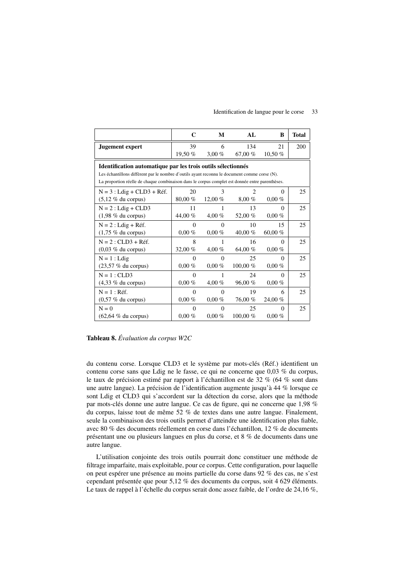|                                                                                                 | C         | М        | AL         | B         | <b>Total</b> |
|-------------------------------------------------------------------------------------------------|-----------|----------|------------|-----------|--------------|
| <b>Jugement expert</b>                                                                          | 39        | 6        | 134        | 21        | 200          |
|                                                                                                 | 19,50 %   | $3.00\%$ | 67.00%     | 10,50 %   |              |
| Identification automatique par les trois outils sélectionnés                                    |           |          |            |           |              |
| Les échantillons diffèrent par le nombre d'outils ayant reconnu le document comme corse (N).    |           |          |            |           |              |
| La proportion réelle de chaque combinaison dans le corpus complet est donnée entre parenthèses. |           |          |            |           |              |
| $N = 3$ : Ldig + CLD3 + Réf.                                                                    | 20        | 3        | 2          | 0         | 25           |
| $(5,12 \%$ du corpus)                                                                           | 80,00 %   | 12,00 %  | $8,00\%$   | $0.00\%$  |              |
| $N = 2$ : Ldig + CLD3                                                                           | 11        | 1        | 13         | $\Omega$  | 25           |
| $(1,98\%$ du corpus)                                                                            | 44,00 %   | $4,00\%$ | 52,00 %    | $0,00\%$  |              |
| $N = 2$ : Ldig + Réf.                                                                           | $\Omega$  | $\Omega$ | 10         | 15        | 25           |
| $(1,75\%$ du corpus)                                                                            | $0.00 \%$ | $0.00\%$ | 40,00 %    | 60.00 $%$ |              |
| $N = 2$ : CLD3 + Réf.                                                                           | 8         | 1        | 16         | $\Omega$  | 25           |
| $(0.03 \%$ du corpus)                                                                           | 32,00 %   | $4,00\%$ | 64,00 %    | $0,00\%$  |              |
| $N = 1$ : Ldig                                                                                  | $\Omega$  | $\Omega$ | 25         | $\Omega$  | 25           |
| $(23,57\%$ du corpus)                                                                           | $0.00 \%$ | $0.00\%$ | 100,00 %   | $0.00\%$  |              |
| $N = 1$ : CLD3                                                                                  | $\theta$  | 1        | 24         | 0         | 25           |
| $(4,33\%$ du corpus)                                                                            | $0.00 \%$ | $4,00\%$ | 96,00 %    | $0.00\%$  |              |
| $N = 1$ : Réf.                                                                                  | $\theta$  | $\Omega$ | 19         | 6         | 25           |
| $(0.57 \%$ du corpus)                                                                           | $0.00\%$  | $0.00\%$ | 76,00 %    | 24,00 %   |              |
| $N = 0$                                                                                         | $\theta$  | $\Omega$ | 25         | 0         | 25           |
| $(62, 64 \%$ du corpus)                                                                         | $0.00\%$  | $0.00\%$ | $100.00\%$ | $0,00\%$  |              |

#### Identification de langue pour le corse 33

## Tableau 8. *Évaluation du corpus W2C*

du contenu corse. Lorsque CLD3 et le système par mots-clés (Réf.) identifient un contenu corse sans que Ldig ne le fasse, ce qui ne concerne que 0,03 % du corpus, le taux de précision estimé par rapport à l'échantillon est de 32 % (64 % sont dans une autre langue). La précision de l'identification augmente jusqu'à 44 % lorsque ce sont Ldig et CLD3 qui s'accordent sur la détection du corse, alors que la méthode par mots-clés donne une autre langue. Ce cas de figure, qui ne concerne que 1,98 % du corpus, laisse tout de même 52 % de textes dans une autre langue. Finalement, seule la combinaison des trois outils permet d'atteindre une identification plus fiable, avec 80 % des documents réellement en corse dans l'échantillon, 12 % de documents présentant une ou plusieurs langues en plus du corse, et 8 % de documents dans une autre langue.

L'utilisation conjointe des trois outils pourrait donc constituer une méthode de filtrage imparfaite, mais exploitable, pour ce corpus. Cette configuration, pour laquelle on peut espérer une présence au moins partielle du corse dans 92 % des cas, ne s'est cependant présentée que pour 5,12 % des documents du corpus, soit 4 629 éléments. Le taux de rappel à l'échelle du corpus serait donc assez faible, de l'ordre de 24,16 %,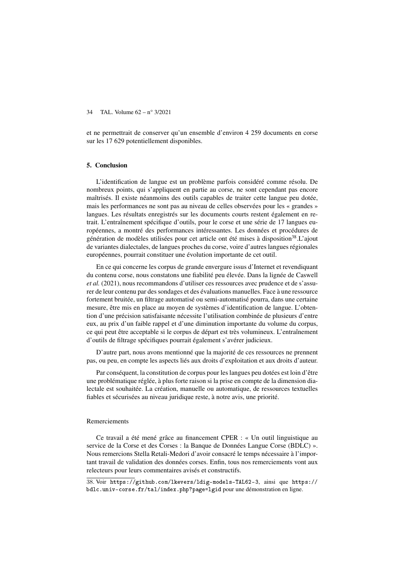et ne permettrait de conserver qu'un ensemble d'environ 4 259 documents en corse sur les 17 629 potentiellement disponibles.

## 5. Conclusion

L'identification de langue est un problème parfois considéré comme résolu. De nombreux points, qui s'appliquent en partie au corse, ne sont cependant pas encore maîtrisés. Il existe néanmoins des outils capables de traiter cette langue peu dotée, mais les performances ne sont pas au niveau de celles observées pour les « grandes » langues. Les résultats enregistrés sur les documents courts restent également en retrait. L'entraînement spécifique d'outils, pour le corse et une série de 17 langues européennes, a montré des performances intéressantes. Les données et procédures de génération de modèles utilisées pour cet article ont été mises à disposition<sup>38</sup>.L'ajout de variantes dialectales, de langues proches du corse, voire d'autres langues régionales européennes, pourrait constituer une évolution importante de cet outil.

En ce qui concerne les corpus de grande envergure issus d'Internet et revendiquant du contenu corse, nous constatons une fiabilité peu élevée. Dans la lignée de Caswell *et al.* (2021), nous recommandons d'utiliser ces ressources avec prudence et de s'assurer de leur contenu par des sondages et des évaluations manuelles. Face à une ressource fortement bruitée, un filtrage automatisé ou semi-automatisé pourra, dans une certaine mesure, être mis en place au moyen de systèmes d'identification de langue. L'obtention d'une précision satisfaisante nécessite l'utilisation combinée de plusieurs d'entre eux, au prix d'un faible rappel et d'une diminution importante du volume du corpus, ce qui peut être acceptable si le corpus de départ est très volumineux. L'entraînement d'outils de filtrage spécifiques pourrait également s'avérer judicieux.

D'autre part, nous avons mentionné que la majorité de ces ressources ne prennent pas, ou peu, en compte les aspects liés aux droits d'exploitation et aux droits d'auteur.

Par conséquent, la constitution de corpus pour les langues peu dotées est loin d'être une problématique réglée, à plus forte raison si la prise en compte de la dimension dialectale est souhaitée. La création, manuelle ou automatique, de ressources textuelles fiables et sécurisées au niveau juridique reste, à notre avis, une priorité.

#### Remerciements

Ce travail a été mené grâce au financement CPER : « Un outil linguistique au service de la Corse et des Corses : la Banque de Données Langue Corse (BDLC) ». Nous remercions Stella Retali-Medori d'avoir consacré le temps nécessaire à l'important travail de validation des données corses. Enfin, tous nos remerciements vont aux relecteurs pour leurs commentaires avisés et constructifs.

38. Voir https://github.com/lkevers/ldig-models-TAL62-3, ainsi que https:// bdlc.univ-corse.fr/tal/index.php?page=lgid pour une démonstration en ligne.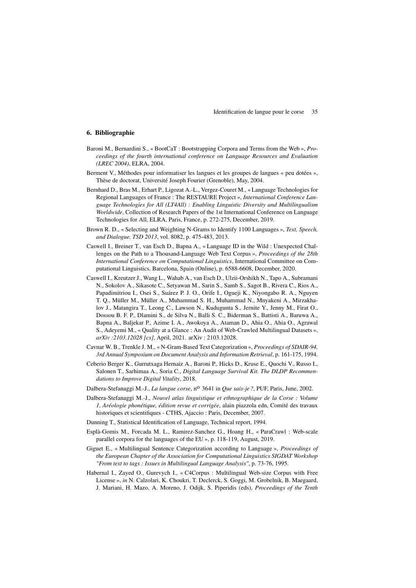## 6. Bibliographie

- Baroni M., Bernardini S., « BootCaT : Bootstrapping Corpora and Terms from the Web », *Proceedings of the fourth international conference on Language Resources and Evaluation (LREC 2004)*, ELRA, 2004.
- Berment V., Méthodes pour informatiser les langues et les groupes de langues « peu dotées », Thèse de doctorat, Université Joseph Fourier (Grenoble), May, 2004.
- Bernhard D., Bras M., Erhart P., Ligozat A.-L., Vergez-Couret M., « Language Technologies for Regional Languages of France : The RESTAURE Project », *International Conference Language Technologies for All (LT4All) : Enabling Linguistic Diversity and Multilingualism Worldwide*, Collection of Research Papers of the 1st International Conference on Language Technologies for All, ELRA, Paris, France, p. 272-275, December, 2019.
- Brown R. D., « Selecting and Weighting N-Grams to Identify 1100 Languages », *Text, Speech, and Dialogue. TSD 2013*, vol. 8082, p. 475-483, 2013.
- Caswell I., Breiner T., van Esch D., Bapna A., « Language ID in the Wild : Unexpected Challenges on the Path to a Thousand-Language Web Text Corpus », *Proceedings of the 28th International Conference on Computational Linguistics*, International Committee on Computational Linguistics, Barcelona, Spain (Online), p. 6588-6608, December, 2020.
- Caswell I., Kreutzer J., Wang L., Wahab A., van Esch D., Ulzii-Orshikh N., Tapo A., Subramani N., Sokolov A., Sikasote C., Setyawan M., Sarin S., Samb S., Sagot B., Rivera C., Rios A., Papadimitriou I., Osei S., Suárez P. J. O., Orife I., Ogueji K., Niyongabo R. A., Nguyen T. Q., Müller M., Müller A., Muhammad S. H., Muhammad N., Mnyakeni A., Mirzakhalov J., Matangira T., Leong C., Lawson N., Kudugunta S., Jernite Y., Jenny M., Firat O., Dossou B. F. P., Dlamini S., de Silva N., Balli S. C., Biderman S., Battisti A., Baruwa A., Bapna A., Baljekar P., Azime I. A., Awokoya A., Ataman D., Ahia O., Ahia O., Agrawal S., Adeyemi M., « Quality at a Glance : An Audit of Web-Crawled Multilingual Datasets », *arXiv :2103.12028 [cs]*, April, 2021. arXiv : 2103.12028.
- Cavnar W. B., Trenkle J. M., « N-Gram-Based Text Categorization », *Proceedings of SDAIR-94, 3rd Annual Symposium on Document Analysis and Information Retrieval*, p. 161-175, 1994.
- Ceberio Berger K., Gurrutxaga Hernaiz A., Baroni P., Hicks D., Kruse E., Quochi V., Russo I., Salonen T., Sarhimaa A., Soria C., *Digital Language Survival Kit. The DLDP Recommendations to Improve Digital Vitality*, 2018.
- Dalbera-Stefanaggi M.-J., *La langue corse*, nº 3641 in *Que sais-je ?*, PUF, Paris, June, 2002.
- Dalbera-Stefanaggi M.-J., *Nouvel atlas linguistique et ethnographique de la Corse : Volume 1, Aréologie phonétique, édition revue et corrigée*, alain piazzola edn, Comité des travaux historiques et scientifiques - CTHS, Ajaccio : Paris, December, 2007.
- Dunning T., Statistical Identification of Language, Technical report, 1994.
- Esplà-Gomis M., Forcada M. L., Ramirez-Sanchez G., Hoang H., « ParaCrawl : Web-scale parallel corpora for the languages of the EU », p. 118-119, August, 2019.
- Giguet E., « Multilingual Sentence Categorization according to Language », *Proceedings of the European Chapter of the Association for Computational Linguistics SIGDAT Workshop "From text to tags : Issues in Multilingual Language Analysis"*, p. 73-76, 1995.
- Habernal I., Zayed O., Gurevych I., « C4Corpus : Multilingual Web-size Corpus with Free License », *in* N. Calzolari, K. Choukri, T. Declerck, S. Goggi, M. Grobelnik, B. Maegaard, J. Mariani, H. Mazo, A. Moreno, J. Odijk, S. Piperidis (eds), *Proceedings of the Tenth*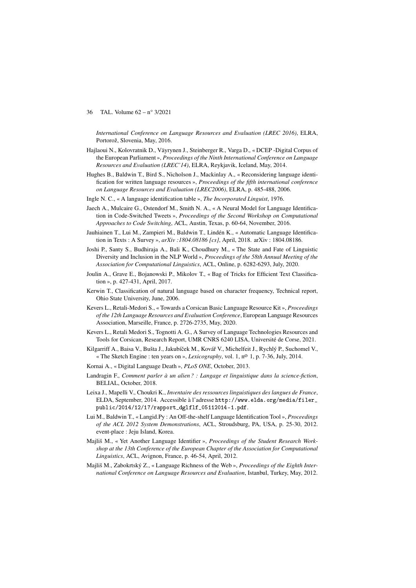*International Conference on Language Resources and Evaluation (LREC 2016)*, ELRA, Portorož, Slovenia, May, 2016.

- Hajlaoui N., Kolovratnik D., Väyrynen J., Steinberger R., Varga D., « DCEP -Digital Corpus of the European Parliament », *Proceedings of the Ninth International Conference on Language Resources and Evaluation (LREC'14)*, ELRA, Reykjavik, Iceland, May, 2014.
- Hughes B., Baldwin T., Bird S., Nicholson J., Mackinlay A., « Reconsidering language identification for written language resources », *Proceedings of the fifth international conference on Language Resources and Evaluation (LREC2006)*, ELRA, p. 485-488, 2006.
- Ingle N. C., « A language identification table », *The Incorporated Linguist*, 1976.
- Jaech A., Mulcaire G., Ostendorf M., Smith N. A., « A Neural Model for Language Identification in Code-Switched Tweets », *Proceedings of the Second Workshop on Computational Approaches to Code Switching*, ACL, Austin, Texas, p. 60-64, November, 2016.
- Jauhiainen T., Lui M., Zampieri M., Baldwin T., Lindén K., « Automatic Language Identification in Texts : A Survey », *arXiv :1804.08186 [cs]*, April, 2018. arXiv : 1804.08186.
- Joshi P., Santy S., Budhiraja A., Bali K., Choudhury M., « The State and Fate of Linguistic Diversity and Inclusion in the NLP World », *Proceedings of the 58th Annual Meeting of the Association for Computational Linguistics*, ACL, Online, p. 6282-6293, July, 2020.
- Joulin A., Grave E., Bojanowski P., Mikolov T., « Bag of Tricks for Efficient Text Classification », p. 427-431, April, 2017.
- Kerwin T., Classification of natural language based on character frequency, Technical report, Ohio State University, June, 2006.
- Kevers L., Retali-Medori S., « Towards a Corsican Basic Language Resource Kit », *Proceedings of the 12th Language Resources and Evaluation Conference*, European Language Resources Association, Marseille, France, p. 2726-2735, May, 2020.
- Kevers L., Retali Medori S., Tognotti A. G., A Survey of Language Technologies Resources and Tools for Corsican, Research Report, UMR CNRS 6240 LISA, Université de Corse, 2021.
- Kilgarriff A., Baisa V., Bušta J., Jakubíček M., Kovář V., Michelfeit J., Rychlý P., Suchomel V., « The Sketch Engine : ten years on », *Lexicography*, vol. 1, no 1, p. 7-36, July, 2014.
- Kornai A., « Digital Language Death », *PLoS ONE*, October, 2013.
- Landragin F., *Comment parler à un alien ? : Langage et linguistique dans la science-fiction*, BELIAL, October, 2018.
- Leixa J., Mapelli V., Choukri K., *Inventaire des ressources linguistiques des langues de France*, ELDA, September, 2014. Accessible à l'adresse http://www.elda.org/media/filer\_ public/2014/12/17/rapport\_dglflf\_05112014-1.pdf.
- Lui M., Baldwin T., « Langid.Py : An Off-the-shelf Language Identification Tool », *Proceedings of the ACL 2012 System Demonstrations*, ACL, Stroudsburg, PA, USA, p. 25-30, 2012. event-place : Jeju Island, Korea.
- Majliš M., « Yet Another Language Identifier », *Proceedings of the Student Research Workshop at the 13th Conference of the European Chapter of the Association for Computational Linguistics*, ACL, Avignon, France, p. 46-54, April, 2012.
- Majliš M., Zabokrtský Z., « Language Richness of the Web », *Proceedings of the Eighth International Conference on Language Resources and Evaluation*, Istanbul, Turkey, May, 2012.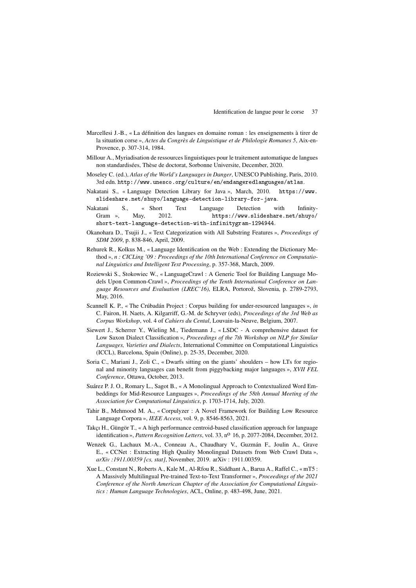- Marcellesi J.-B., « La définition des langues en domaine roman : les enseignements à tirer de la situation corse », *Actes du Congrès de Linguistique et de Philologie Romanes 5*, Aix-en-Provence, p. 307-314, 1984.
- Millour A., Myriadisation de ressources linguistiques pour le traitement automatique de langues non standardisées, Thèse de doctorat, Sorbonne Universite, December, 2020.
- Moseley C. (ed.), *Atlas of the World's Languages in Danger*, UNESCO Publishing, Paris, 2010. 3rd edn. http://www.unesco.org/culture/en/endangeredlanguages/atlas.
- Nakatani S., « Language Detection Library for Java », March, 2010. https://www. slideshare.net/shuyo/language-detection-library-for-java.
- Nakatani S., « Short Text Language Detection with Infinity-Gram », May, 2012. https://www.slideshare.net/shuyo/ short-text-language-detection-with-infinitygram-1294944.
- Okanohara D., Tsujii J., « Text Categorization with All Substring Features », *Proceedings of SDM 2009*, p. 838-846, April, 2009.
- Rehurek R., Kolkus M., « Language Identification on the Web : Extending the Dictionary Method », *n : CICLing '09 : Proceedings of the 10th International Conference on Computational Linguistics and Intelligent Text Processing*, p. 357-368, March, 2009.
- Roziewski S., Stokowiec W., « LanguageCrawl : A Generic Tool for Building Language Models Upon Common-Crawl », *Proceedings of the Tenth International Conference on Language Resources and Evaluation (LREC'16)*, ELRA, Portorož, Slovenia, p. 2789-2793, May, 2016.
- Scannell K. P., « The Crúbadán Project : Corpus building for under-resourced languages », *in* C. Fairon, H. Naets, A. Kilgarriff, G.-M. de Schryver (eds), *Proceedings of the 3rd Web as Corpus Workshop*, vol. 4 of *Cahiers du Cental*, Louvain-la-Neuve, Belgium, 2007.
- Siewert J., Scherrer Y., Wieling M., Tiedemann J., « LSDC A comprehensive dataset for Low Saxon Dialect Classification », *Proceedings of the 7th Workshop on NLP for Similar Languages, Varieties and Dialects*, International Committee on Computational Linguistics (ICCL), Barcelona, Spain (Online), p. 25-35, December, 2020.
- Soria C., Mariani J., Zoli C., « Dwarfs sitting on the giants' shoulders how LTs for regional and minority languages can benefit from piggybacking major languages », *XVII FEL Conference*, Ottawa, October, 2013.
- Suárez P. J. O., Romary L., Sagot B., « A Monolingual Approach to Contextualized Word Embeddings for Mid-Resource Languages », *Proceedings of the 58th Annual Meeting of the Association for Computational Linguistics*, p. 1703-1714, July, 2020.
- Tahir B., Mehmood M. A., « Corpulyzer : A Novel Framework for Building Low Resource Language Corpora », *IEEE Access*, vol. 9, p. 8546-8563, 2021.
- Takçı H., Güngör T., « A high performance centroid-based classification approach for language identification », *Pattern Recognition Letters*, vol. 33, n<sup>o</sup> 16, p. 2077-2084, December, 2012.
- Wenzek G., Lachaux M.-A., Conneau A., Chaudhary V., Guzmán F., Joulin A., Grave E., « CCNet : Extracting High Quality Monolingual Datasets from Web Crawl Data », *arXiv :1911.00359 [cs, stat]*, November, 2019. arXiv : 1911.00359.
- Xue L., Constant N., Roberts A., Kale M., Al-Rfou R., Siddhant A., Barua A., Raffel C., « mT5 : A Massively Multilingual Pre-trained Text-to-Text Transformer », *Proceedings of the 2021 Conference of the North American Chapter of the Association for Computational Linguistics : Human Language Technologies*, ACL, Online, p. 483-498, June, 2021.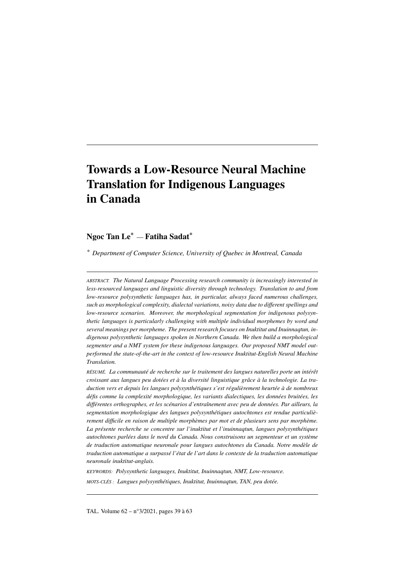# Towards a Low-Resource Neural Machine Translation for Indigenous Languages in Canada

## Ngoc Tan Le\* — Fatiha Sadat\*

*\* Department of Computer Science, University of Quebec in Montreal, Canada*

*ABSTRACT. The Natural Language Processing research community is increasingly interested in less-resourced languages and linguistic diversity through technology. Translation to and from low-resource polysynthetic languages has, in particular, always faced numerous challenges, such as morphological complexity, dialectal variations, noisy data due to different spellings and low-resource scenarios. Moreover, the morphological segmentation for indigenous polysynthetic languages is particularly challenging with multiple individual morphemes by word and several meanings per morpheme. The present research focuses on Inuktitut and Inuinnaqtun, indigenous polysynthetic languages spoken in Northern Canada. We then build a morphological segmenter and a NMT system for these indigenous languages. Our proposed NMT model outperformed the state-of-the-art in the context of low-resource Inuktitut-English Neural Machine Translation.*

*RÉSUMÉ. La communauté de recherche sur le traitement des langues naturelles porte un intérêt croissant aux langues peu dotées et à la diversité linguistique grâce à la technologie. La traduction vers et depuis les langues polysynthétiques s'est régulièrement heurtée à de nombreux défis comme la complexité morphologique, les variants dialectiques, les données bruitées, les différentes orthographes, et les scénarios d'entraînement avec peu de données. Par ailleurs, la segmentation morphologique des langues polysynthétiques autochtones est rendue particulièrement difficile en raison de multiple morphèmes par mot et de plusieurs sens par morphème. La présente recherche se concentre sur l'inuktitut et l'inuinnaqtun, langues polysynthétiques autochtones parlées dans le nord du Canada. Nous construisons un segmenteur et un système de traduction automatique neuronale pour langues autochtones du Canada. Notre modèle de traduction automatique a surpassé l'état de l'art dans le contexte de la traduction automatique neuronale inuktitut-anglais.*

*KEYWORDS: Polysynthetic languages, Inuktitut, Inuinnaqtun, NMT, Low-resource.*

*MOTS-CLÉS : Langues polysynthétiques, Inuktitut, Inuinnaqtun, TAN, peu dotée.*

TAL. Volume 62 – n°3/2021, pages 39 à 63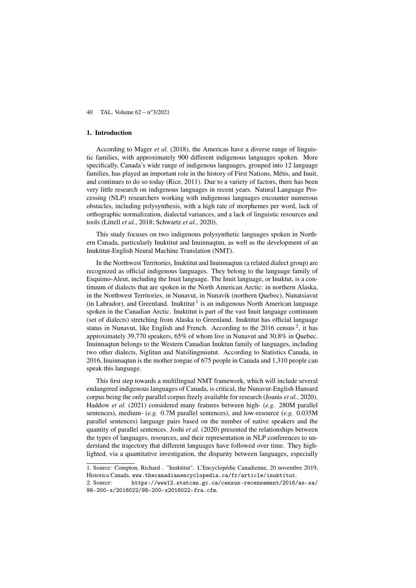#### 1. Introduction

According to Mager *et al.* (2018), the Americas have a diverse range of linguistic families, with approximately 900 different indigenous languages spoken. More specifically, Canada's wide range of indigenous languages, grouped into 12 language families, has played an important role in the history of First Nations, Métis, and Inuit, and continues to do so today (Rice, 2011). Due to a variety of factors, there has been very little research on indigenous languages in recent years. Natural Language Processing (NLP) researchers working with indigenous languages encounter numerous obstacles, including polysynthesis, with a high rate of morphemes per word, lack of orthographic normalization, dialectal variances, and a lack of linguistic resources and tools (Littell *et al.*, 2018; Schwartz *et al.*, 2020).

This study focuses on two indigenous polysynthetic languages spoken in Northern Canada, particularly Inuktitut and Inuinnaqtun, as well as the development of an Inuktitut-English Neural Machine Translation (NMT).

In the Northwest Territories, Inuktitut and Inuinnaqtun (a related dialect group) are recognized as official indigenous languages. They belong to the language family of Esquimo-Aleut, including the Inuit language. The Inuit language, or Inuktut, is a continuum of dialects that are spoken in the North American Arctic: in northern Alaska, in the Northwest Territories, in Nunavut, in Nunavik (northern Quebec), Nunatsiavut (in Labrador), and Greenland. Inuktitut<sup>1</sup> is an indigenous North American language spoken in the Canadian Arctic. Inuktitut is part of the vast Inuit language continuum (set of dialects) stretching from Alaska to Greenland. Inuktitut has official language status in Nunavut, like English and French. According to the  $2016$  census<sup>2</sup>, it has approximately 39,770 speakers, 65% of whom live in Nunavut and 30.8% in Quebec. Inuinnaqtun belongs to the Western Canadian Inuktun family of languages, including two other dialects, Siglitun and Natsilingmiutut. According to Statistics Canada, in 2016, Inuinnaqtun is the mother tongue of 675 people in Canada and 1,310 people can speak this language.

This first step towards a multilingual NMT framework, which will include several endangered indigenous languages of Canada, is critical, the Nunavut-English Hansard corpus being the only parallel corpus freely available for research (Joanis *et al.*, 2020). Haddow *et al.* (2021) considered many features between high- (*e.g.* 280M parallel sentences), medium- (*e.g.* 0.7M parallel sentences), and low-resource (*e.g.* 0.035M parallel sentences) language pairs based on the number of native speakers and the quantity of parallel sentences. Joshi *et al.* (2020) presented the relationships between the types of languages, resources, and their representation in NLP conferences to understand the trajectory that different languages have followed over time. They highlighted, via a quantitative investigation, the disparity between languages, especially

<sup>1</sup>. Source: Compton, Richard . "Inuktitut". L'Encyclopédie Canadienne, 20 novembre 2019, Historica Canada. www.thecanadianencyclopedia.ca/fr/article/inuktitut.

<sup>2</sup>. Source: https://www12.statcan.gc.ca/census-recensement/2016/as-sa/ 98-200-x/2016022/98-200-x2016022-fra.cfm.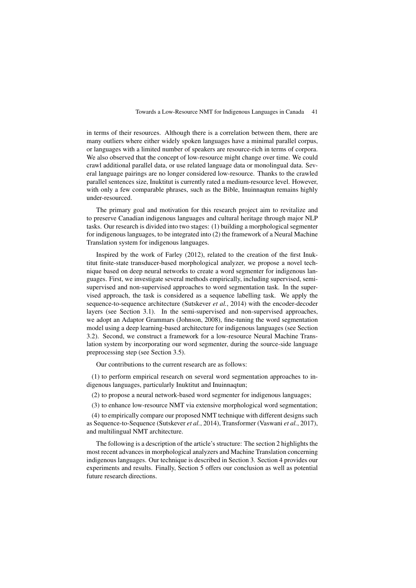in terms of their resources. Although there is a correlation between them, there are many outliers where either widely spoken languages have a minimal parallel corpus, or languages with a limited number of speakers are resource-rich in terms of corpora. We also observed that the concept of low-resource might change over time. We could crawl additional parallel data, or use related language data or monolingual data. Several language pairings are no longer considered low-resource. Thanks to the crawled parallel sentences size, Inuktitut is currently rated a medium-resource level. However, with only a few comparable phrases, such as the Bible, Inuinnaqtun remains highly under-resourced.

The primary goal and motivation for this research project aim to revitalize and to preserve Canadian indigenous languages and cultural heritage through major NLP tasks. Our research is divided into two stages: (1) building a morphological segmenter for indigenous languages, to be integrated into (2) the framework of a Neural Machine Translation system for indigenous languages.

Inspired by the work of Farley (2012), related to the creation of the first Inuktitut finite-state transducer-based morphological analyzer, we propose a novel technique based on deep neural networks to create a word segmenter for indigenous languages. First, we investigate several methods empirically, including supervised, semisupervised and non-supervised approaches to word segmentation task. In the supervised approach, the task is considered as a sequence labelling task. We apply the sequence-to-sequence architecture (Sutskever *et al.*, 2014) with the encoder-decoder layers (see Section 3.1). In the semi-supervised and non-supervised approaches, we adopt an Adaptor Grammars (Johnson, 2008), fine-tuning the word segmentation model using a deep learning-based architecture for indigenous languages (see Section 3.2). Second, we construct a framework for a low-resource Neural Machine Translation system by incorporating our word segmenter, during the source-side language preprocessing step (see Section 3.5).

Our contributions to the current research are as follows:

(1) to perform empirical research on several word segmentation approaches to indigenous languages, particularly Inuktitut and Inuinnaqtun;

(2) to propose a neural network-based word segmenter for indigenous languages;

(3) to enhance low-resource NMT via extensive morphological word segmentation;

(4) to empirically compare our proposed NMT technique with different designs such as Sequence-to-Sequence (Sutskever *et al.*, 2014), Transformer (Vaswani *et al.*, 2017), and multilingual NMT architecture.

The following is a description of the article's structure: The section 2 highlights the most recent advances in morphological analyzers and Machine Translation concerning indigenous languages. Our technique is described in Section 3. Section 4 provides our experiments and results. Finally, Section 5 offers our conclusion as well as potential future research directions.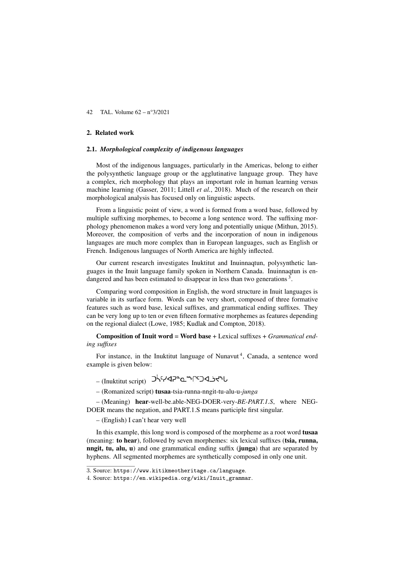#### 2. Related work

## 2.1. *Morphological complexity of indigenous languages*

Most of the indigenous languages, particularly in the Americas, belong to either the polysynthetic language group or the agglutinative language group. They have a complex, rich morphology that plays an important role in human learning versus machine learning (Gasser, 2011; Littell *et al.*, 2018). Much of the research on their morphological analysis has focused only on linguistic aspects.

From a linguistic point of view, a word is formed from a word base, followed by multiple suffixing morphemes, to become a long sentence word. The suffixing morphology phenomenon makes a word very long and potentially unique (Mithun, 2015). Moreover, the composition of verbs and the incorporation of noun in indigenous languages are much more complex than in European languages, such as English or French. Indigenous languages of North America are highly inflected.

Our current research investigates Inuktitut and Inuinnaqtun, polysynthetic languages in the Inuit language family spoken in Northern Canada. Inuinnaqtun is endangered and has been estimated to disappear in less than two generations<sup>3</sup>.

Comparing word composition in English, the word structure in Inuit languages is variable in its surface form. Words can be very short, composed of three formative features such as word base, lexical suffixes, and grammatical ending suffixes. They can be very long up to ten or even fifteen formative morphemes as features depending on the regional dialect (Lowe, 1985; Kudlak and Compton, 2018).

Composition of Inuit word = Word base + Lexical suffixes + *Grammatical ending suffixes*

For instance, in the Inuktitut language of Nunavut<sup>4</sup>, Canada, a sentence word example is given below:

- (Inuktitut script)
- (Romanized script) tusaa-tsia-runna-nngit-tu-alu-u-*junga*

– (Meaning) hear-well-be.able-NEG-DOER-very-*BE-PART.1.S*, where NEG-DOER means the negation, and PART.1.S means participle first singular.

– (English) I can't hear very well

In this example, this long word is composed of the morpheme as a root word tusaa (meaning: to hear), followed by seven morphemes: six lexical suffixes (tsia, runna, nngit, tu, alu, u) and one grammatical ending suffix (junga) that are separated by hyphens. All segmented morphemes are synthetically composed in only one unit.

<sup>3</sup>. Source: https://www.kitikmeotheritage.ca/language.

<sup>4</sup>. Source: https://en.wikipedia.org/wiki/Inuit\_grammar.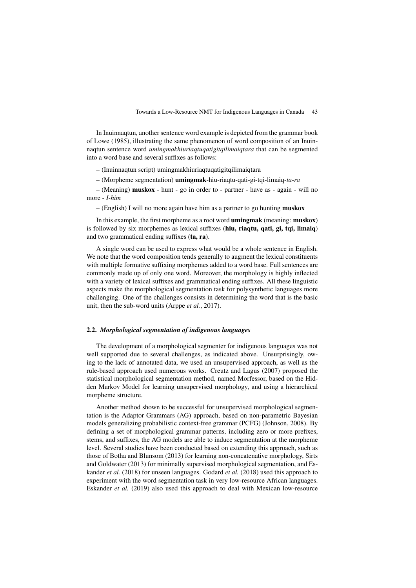In Inuinnaqtun, another sentence word example is depicted from the grammar book of Lowe (1985), illustrating the same phenomenon of word composition of an Inuinnaqtun sentence word *umingmakhiuriaqtuqatigitqilimaiqtara* that can be segmented into a word base and several suffixes as follows:

– (Inuinnaqtun script) umingmakhiuriaqtuqatigitqilimaiqtara

– (Morpheme segmentation) umingmak-hiu-riaqtu-qati-gi-tqi-limaiq-*ta-ra*

– (Meaning) muskox - hunt - go in order to - partner - have as - again - will no more - *I-him*

– (English) I will no more again have him as a partner to go hunting muskox

In this example, the first morpheme as a root word umingmak (meaning: muskox) is followed by six morphemes as lexical suffixes (hiu, riaqtu, qati, gi, tqi, limaiq) and two grammatical ending suffixes (ta, ra).

A single word can be used to express what would be a whole sentence in English. We note that the word composition tends generally to augment the lexical constituents with multiple formative suffixing morphemes added to a word base. Full sentences are commonly made up of only one word. Moreover, the morphology is highly inflected with a variety of lexical suffixes and grammatical ending suffixes. All these linguistic aspects make the morphological segmentation task for polysynthetic languages more challenging. One of the challenges consists in determining the word that is the basic unit, then the sub-word units (Arppe *et al.*, 2017).

#### 2.2. *Morphological segmentation of indigenous languages*

The development of a morphological segmenter for indigenous languages was not well supported due to several challenges, as indicated above. Unsurprisingly, owing to the lack of annotated data, we used an unsupervised approach, as well as the rule-based approach used numerous works. Creutz and Lagus (2007) proposed the statistical morphological segmentation method, named Morfessor, based on the Hidden Markov Model for learning unsupervised morphology, and using a hierarchical morpheme structure.

Another method shown to be successful for unsupervised morphological segmentation is the Adaptor Grammars (AG) approach, based on non-parametric Bayesian models generalizing probabilistic context-free grammar (PCFG) (Johnson, 2008). By defining a set of morphological grammar patterns, including zero or more prefixes, stems, and suffixes, the AG models are able to induce segmentation at the morpheme level. Several studies have been conducted based on extending this approach, such as those of Botha and Blunsom (2013) for learning non-concatenative morphology, Sirts and Goldwater (2013) for minimally supervised morphological segmentation, and Eskander *et al.* (2018) for unseen languages. Godard *et al.* (2018) used this approach to experiment with the word segmentation task in very low-resource African languages. Eskander *et al.* (2019) also used this approach to deal with Mexican low-resource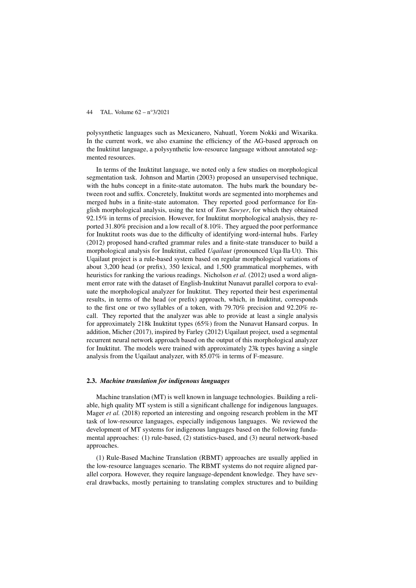polysynthetic languages such as Mexicanero, Nahuatl, Yorem Nokki and Wixarika. In the current work, we also examine the efficiency of the AG-based approach on the Inuktitut language, a polysynthetic low-resource language without annotated segmented resources.

In terms of the Inuktitut language, we noted only a few studies on morphological segmentation task. Johnson and Martin (2003) proposed an unsupervised technique, with the hubs concept in a finite-state automaton. The hubs mark the boundary between root and suffix. Concretely, Inuktitut words are segmented into morphemes and merged hubs in a finite-state automaton. They reported good performance for English morphological analysis, using the text of *Tom Sawyer*, for which they obtained 92.15% in terms of precision. However, for Inuktitut morphological analysis, they reported 31.80% precision and a low recall of 8.10%. They argued the poor performance for Inuktitut roots was due to the difficulty of identifying word-internal hubs. Farley (2012) proposed hand-crafted grammar rules and a finite-state transducer to build a morphological analysis for Inuktitut, called *Uqailaut* (pronounced Uqa·Ila·Ut). This Uqailaut project is a rule-based system based on regular morphological variations of about 3,200 head (or prefix), 350 lexical, and 1,500 grammatical morphemes, with heuristics for ranking the various readings. Nicholson *et al.* (2012) used a word alignment error rate with the dataset of English-Inuktitut Nunavut parallel corpora to evaluate the morphological analyzer for Inuktitut. They reported their best experimental results, in terms of the head (or prefix) approach, which, in Inuktitut, corresponds to the first one or two syllables of a token, with 79.70% precision and 92.20% recall. They reported that the analyzer was able to provide at least a single analysis for approximately 218k Inuktitut types (65%) from the Nunavut Hansard corpus. In addition, Micher (2017), inspired by Farley (2012) Uqailaut project, used a segmental recurrent neural network approach based on the output of this morphological analyzer for Inuktitut. The models were trained with approximately 23k types having a single analysis from the Uqailaut analyzer, with 85.07% in terms of F-measure.

## 2.3. *Machine translation for indigenous languages*

Machine translation (MT) is well known in language technologies. Building a reliable, high quality MT system is still a significant challenge for indigenous languages. Mager *et al.* (2018) reported an interesting and ongoing research problem in the MT task of low-resource languages, especially indigenous languages. We reviewed the development of MT systems for indigenous languages based on the following fundamental approaches: (1) rule-based, (2) statistics-based, and (3) neural network-based approaches.

(1) Rule-Based Machine Translation (RBMT) approaches are usually applied in the low-resource languages scenario. The RBMT systems do not require aligned parallel corpora. However, they require language-dependent knowledge. They have several drawbacks, mostly pertaining to translating complex structures and to building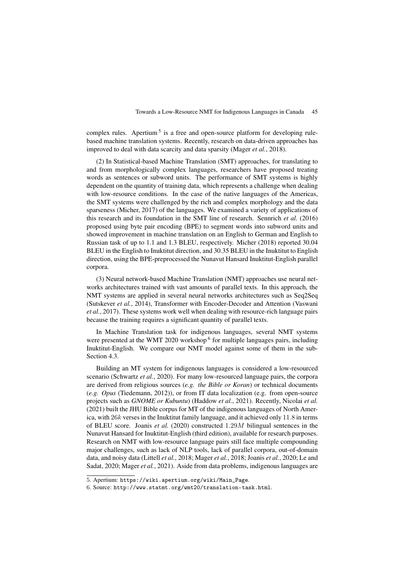complex rules. Apertium<sup>5</sup> is a free and open-source platform for developing rulebased machine translation systems. Recently, research on data-driven approaches has improved to deal with data scarcity and data sparsity (Mager *et al.*, 2018).

(2) In Statistical-based Machine Translation (SMT) approaches, for translating to and from morphologically complex languages, researchers have proposed treating words as sentences or subword units. The performance of SMT systems is highly dependent on the quantity of training data, which represents a challenge when dealing with low-resource conditions. In the case of the native languages of the Americas, the SMT systems were challenged by the rich and complex morphology and the data sparseness (Micher, 2017) of the languages. We examined a variety of applications of this research and its foundation in the SMT line of research. Sennrich *et al.* (2016) proposed using byte pair encoding (BPE) to segment words into subword units and showed improvement in machine translation on an English to German and English to Russian task of up to 1.1 and 1.3 BLEU, respectively. Micher (2018) reported 30.04 BLEU in the English to Inuktitut direction, and 30.35 BLEU in the Inuktitut to English direction, using the BPE-preprocessed the Nunavut Hansard Inuktitut-English parallel corpora.

(3) Neural network-based Machine Translation (NMT) approaches use neural networks architectures trained with vast amounts of parallel texts. In this approach, the NMT systems are applied in several neural networks architectures such as Seq2Seq (Sutskever *et al.*, 2014), Transformer with Encoder-Decoder and Attention (Vaswani *et al.*, 2017). These systems work well when dealing with resource-rich language pairs because the training requires a significant quantity of parallel texts.

In Machine Translation task for indigenous languages, several NMT systems were presented at the WMT 2020 workshop<sup>6</sup> for multiple languages pairs, including Inuktitut-English. We compare our NMT model against some of them in the sub-Section 4.3.

Building an MT system for indigenous languages is considered a low-resourced scenario (Schwartz *et al.*, 2020). For many low-resourced language pairs, the corpora are derived from religious sources (*e.g. the Bible or Koran*) or technical documents (*e.g. Opus* (Tiedemann, 2012)), or from IT data localization (e.g. from open-source projects such as *GNOME or Kubuntu*) (Haddow *et al.*, 2021). Recently, Nicolai *et al.* (2021) built the JHU Bible corpus for MT of the indigenous languages of North America, with  $26k$  verses in the Inuktitut family language, and it achieved only 11.8 in terms of BLEU score. Joanis *et al.* (2020) constructed 1.29M bilingual sentences in the Nunavut Hansard for Inuktitut-English (third edition), available for research purposes. Research on NMT with low-resource language pairs still face multiple compounding major challenges, such as lack of NLP tools, lack of parallel corpora, out-of-domain data, and noisy data (Littell *et al.*, 2018; Mager *et al.*, 2018; Joanis *et al.*, 2020; Le and Sadat, 2020; Mager *et al.*, 2021). Aside from data problems, indigenous languages are

<sup>5</sup>. Apertium: https://wiki.apertium.org/wiki/Main\_Page.

<sup>6</sup>. Source: http://www.statmt.org/wmt20/translation-task.html.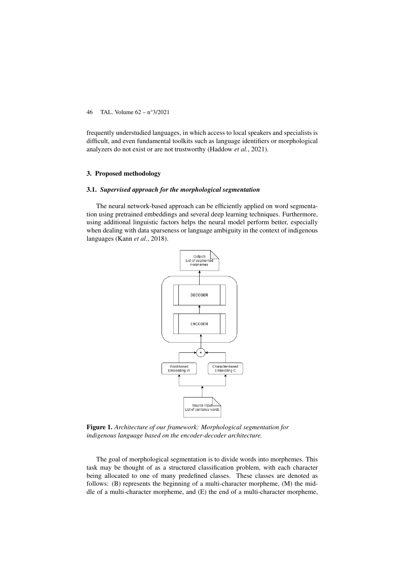frequently understudied languages, in which access to local speakers and specialists is difficult, and even fundamental toolkits such as language identifiers or morphological analyzers do not exist or are not trustworthy (Haddow *et al.*, 2021).

## 3. Proposed methodology

#### 3.1. *Supervised approach for the morphological segmentation*

The neural network-based approach can be efficiently applied on word segmentation using pretrained embeddings and several deep learning techniques. Furthermore, using additional linguistic factors helps the neural model perform better, especially when dealing with data sparseness or language ambiguity in the context of indigenous languages (Kann *et al.*, 2018).



Figure 1. *Architecture of our framework: Morphological segmentation for indigenous language based on the encoder-decoder architecture.*

The goal of morphological segmentation is to divide words into morphemes. This task may be thought of as a structured classification problem, with each character being allocated to one of many predefined classes. These classes are denoted as follows: (B) represents the beginning of a multi-character morpheme, (M) the middle of a multi-character morpheme, and (E) the end of a multi-character morpheme,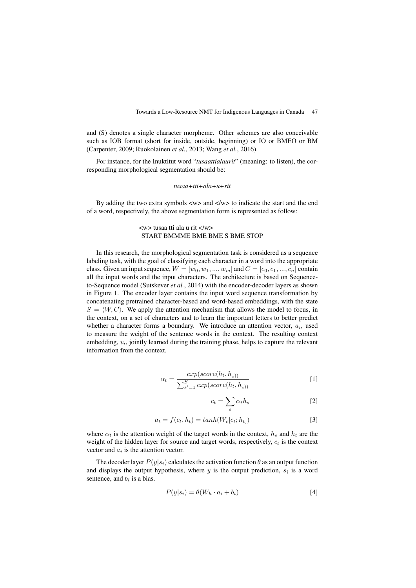and (S) denotes a single character morpheme. Other schemes are also conceivable such as IOB format (short for inside, outside, beginning) or IO or BMEO or BM (Carpenter, 2009; Ruokolainen *et al.*, 2013; Wang *et al.*, 2016).

For instance, for the Inuktitut word "*tusaattialaurit*" (meaning: to listen), the corresponding morphological segmentation should be:

#### *tusaa+tti+ala+u+rit*

By adding the two extra symbols  $\langle w \rangle$  and  $\langle w \rangle$  to indicate the start and the end of a word, respectively, the above segmentation form is represented as follow:

## $\langle w \rangle$  tusaa tti ala u rit  $\langle w \rangle$ START BMMME BME BME S BME STOP

In this research, the morphological segmentation task is considered as a sequence labeling task, with the goal of classifying each character in a word into the appropriate class. Given an input sequence,  $W = [w_0, w_1, ..., w_m]$  and  $C = [c_0, c_1, ..., c_n]$  contain all the input words and the input characters. The architecture is based on Sequenceto-Sequence model (Sutskever *et al.*, 2014) with the encoder-decoder layers as shown in Figure 1. The encoder layer contains the input word sequence transformation by concatenating pretrained character-based and word-based embeddings, with the state  $S = \langle W, C \rangle$ . We apply the attention mechanism that allows the model to focus, in the context, on a set of characters and to learn the important letters to better predict whether a character forms a boundary. We introduce an attention vector,  $a_i$ , used to measure the weight of the sentence words in the context. The resulting context embedding,  $v_i$ , jointly learned during the training phase, helps to capture the relevant information from the context.

$$
\alpha_t = \frac{exp(score(h_t, h_{s}))}{\sum_{s'=1}^{S} exp(score(h_t, h_{s}))}
$$
 [1]

$$
c_t = \sum_s \alpha_t h_s \tag{2}
$$

$$
a_t = f(c_t, h_t) = \tanh(W_c[c_t; h_t])
$$
\n<sup>(3)</sup>

where  $\alpha_t$  is the attention weight of the target words in the context,  $h_s$  and  $h_t$  are the weight of the hidden layer for source and target words, respectively,  $c_t$  is the context vector and  $a_i$  is the attention vector.

The decoder layer  $P(y|s_i)$  calculates the activation function  $\theta$  as an output function and displays the output hypothesis, where  $y$  is the output prediction,  $s_i$  is a word sentence, and  $b_i$  is a bias.

$$
P(y|s_i) = \theta(W_h \cdot a_i + b_i)
$$
 [4]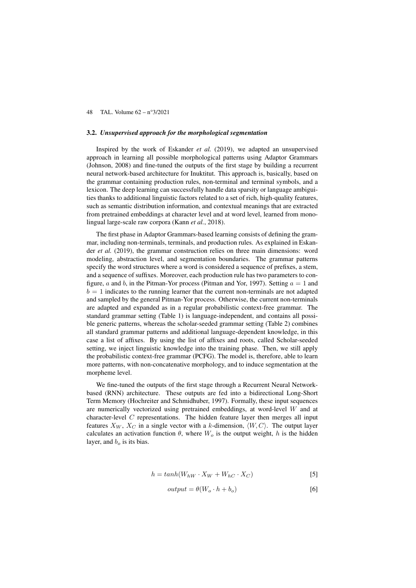#### 3.2. *Unsupervised approach for the morphological segmentation*

Inspired by the work of Eskander *et al.* (2019), we adapted an unsupervised approach in learning all possible morphological patterns using Adaptor Grammars (Johnson, 2008) and fine-tuned the outputs of the first stage by building a recurrent neural network-based architecture for Inuktitut. This approach is, basically, based on the grammar containing production rules, non-terminal and terminal symbols, and a lexicon. The deep learning can successfully handle data sparsity or language ambiguities thanks to additional linguistic factors related to a set of rich, high-quality features, such as semantic distribution information, and contextual meanings that are extracted from pretrained embeddings at character level and at word level, learned from monolingual large-scale raw corpora (Kann *et al.*, 2018).

The first phase in Adaptor Grammars-based learning consists of defining the grammar, including non-terminals, terminals, and production rules. As explained in Eskander *et al.* (2019), the grammar construction relies on three main dimensions: word modeling, abstraction level, and segmentation boundaries. The grammar patterns specify the word structures where a word is considered a sequence of prefixes, a stem, and a sequence of suffixes. Moreover, each production rule has two parameters to configure, a and b, in the Pitman-Yor process (Pitman and Yor, 1997). Setting  $a = 1$  and  $b = 1$  indicates to the running learner that the current non-terminals are not adapted and sampled by the general Pitman-Yor process. Otherwise, the current non-terminals are adapted and expanded as in a regular probabilistic context-free grammar. The standard grammar setting (Table 1) is language-independent, and contains all possible generic patterns, whereas the scholar-seeded grammar setting (Table 2) combines all standard grammar patterns and additional language-dependent knowledge, in this case a list of affixes. By using the list of affixes and roots, called Scholar-seeded setting, we inject linguistic knowledge into the training phase. Then, we still apply the probabilistic context-free grammar (PCFG). The model is, therefore, able to learn more patterns, with non-concatenative morphology, and to induce segmentation at the morpheme level.

We fine-tuned the outputs of the first stage through a Recurrent Neural Networkbased (RNN) architecture. These outputs are fed into a bidirectional Long-Short Term Memory (Hochreiter and Schmidhuber, 1997). Formally, these input sequences are numerically vectorized using pretrained embeddings, at word-level W and at character-level  $C$  representations. The hidden feature layer then merges all input features  $X_W$ ,  $X_C$  in a single vector with a k-dimension,  $\langle W, C \rangle$ . The output layer calculates an activation function  $\theta$ , where  $W_o$  is the output weight, h is the hidden layer, and  $b<sub>o</sub>$  is its bias.

$$
h = \tanh(W_{hW} \cdot X_W + W_{hC} \cdot X_C) \tag{5}
$$

$$
output = \theta(W_o \cdot h + b_o)
$$
 [6]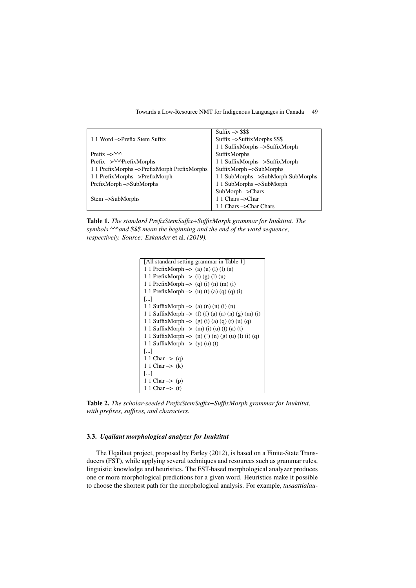|                                             | $Suffix \rightarrow$ \$\$\$              |
|---------------------------------------------|------------------------------------------|
| 1.1 Word ->Prefix Stem Suffix               | $Suffix \rightarrow SuffixMorphs$ \$\$\$ |
|                                             | 1 1 SuffixMorphs ->SuffixMorph           |
| Prefix $\rightarrow$                        | SuffixMorphs                             |
| Prefix $\rightarrow$ $\sim$ Prefix Morphs   | 1 1 SuffixMorphs ->SuffixMorph           |
| 1 1 PrefixMorphs ->PrefixMorph PrefixMorphs | SuffixMorph->SubMorphs                   |
| 1 1 PrefixMorphs ->PrefixMorph              | 1 1 SubMorphs ->SubMorph SubMorphs       |
| $PrefixMorph \rightarrow SubMorphs$         | 1 1 SubMorphs ->SubMorph                 |
|                                             | $SubMorph$ $\rightarrow$ Chars           |
| $Stem$ $\rightarrow$ SubMorphs              | 1 1 Chars -> Char                        |
|                                             | 1 1 Chars -> Char Chars                  |

Table 1. *The standard PrefixStemSuffix+SuffixMorph grammar for Inuktitut. The symbols ^^^and \$\$\$ mean the beginning and the end of the word sequence, respectively. Source: Eskander* et al. *(2019).*

```
[All standard setting grammar in Table 1]
1 1 PrefixMorph –> (a) (u) (l) (l) (a)
1 1 PrefixMorph \rightarrow (i) (g) (l) (u)
1 1 PrefixMorph \rightarrow (q) (i) (n) (m) (i)
1 1 PrefixMorph \rightarrow (u) (t) (a) (q) (q) (i)
[...]
1 1 SuffixMorph \rightarrow (a) (n) (n) (i) (n)
1 1 SuffixMorph \rightarrow (f) (f) (a) (a) (n) (g) (m) (i)
1 1 SuffixMorph \rightarrow (g) (i) (a) (q) (t) (u) (q)
1 1 SuffixMorph \rightarrow (m) (i) (u) (t) (a) (t)
1 1 SuffixMorph –> (n) (') (n) (g) (u) (l) (i) (q)
1 1 SuffixMorph \rightarrow (y) (u) (t)
[...]
1 1 Char \rightarrow (q)
1 1 Char \rightarrow (k)
[...]
1 1 Char \Rightarrow (p)
1 1 Char \rightarrow (t)
```
Table 2. *The scholar-seeded PrefixStemSuffix+SuffixMorph grammar for Inuktitut, with prefixes, suffixes, and characters.*

## 3.3. *Uqailaut morphological analyzer for Inuktitut*

The Uqailaut project, proposed by Farley (2012), is based on a Finite-State Transducers (FST), while applying several techniques and resources such as grammar rules, linguistic knowledge and heuristics. The FST-based morphological analyzer produces one or more morphological predictions for a given word. Heuristics make it possible to choose the shortest path for the morphological analysis. For example, *tusaattialau-*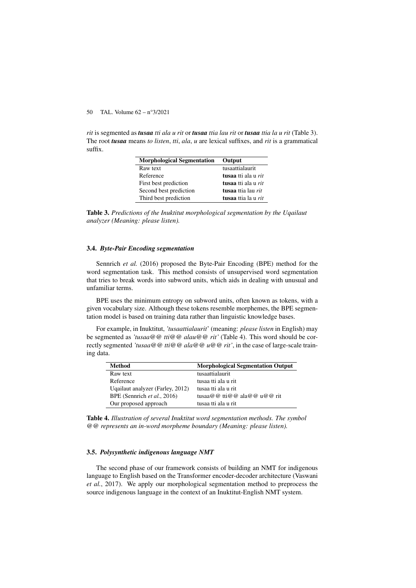*rit* is segmented as *tusaa tti ala u rit* or *tusaa ttia lau rit* or *tusaa ttia la u rit* (Table 3). The root *tusaa* means *to listen*, *tti*, *ala*, *u* are lexical suffixes, and *rit* is a grammatical suffix.

| <b>Morphological Segmentation</b> | Output              |
|-----------------------------------|---------------------|
| Raw text                          | tusaattialaurit     |
| Reference                         | tusaa tti ala u rit |
| First best prediction             | tusaa tti ala u rit |
| Second best prediction            | tusaa ttia lau rit  |
| Third best prediction             | tusaa ttia la u rit |

Table 3. *Predictions of the Inuktitut morphological segmentation by the Uqailaut analyzer (Meaning: please listen).*

## 3.4. *Byte-Pair Encoding segmentation*

Sennrich *et al.* (2016) proposed the Byte-Pair Encoding (BPE) method for the word segmentation task. This method consists of unsupervised word segmentation that tries to break words into subword units, which aids in dealing with unusual and unfamiliar terms.

BPE uses the minimum entropy on subword units, often known as tokens, with a given vocabulary size. Although these tokens resemble morphemes, the BPE segmentation model is based on training data rather than linguistic knowledge bases.

For example, in Inuktitut, *'tusaattialaurit*' (meaning: *please listen* in English) may be segmented as *'tusaa@@ tti@@ alau@@ rit'* (Table 4). This word should be correctly segmented *'tusaa@@ tti@@ ala@@ u@@ rit'*, in the case of large-scale training data.

| Method                           | <b>Morphological Segmentation Output</b> |
|----------------------------------|------------------------------------------|
| Raw text                         | tusaattialaurit                          |
| Reference                        | tusaa tti ala u rit                      |
| Uqailaut analyzer (Farley, 2012) | tusaa tti ala u rit                      |
| BPE (Sennrich et al., 2016)      | tusaa@@tti@@ala@@u@@rit                  |
| Our proposed approach            | tusaa tti ala u rit                      |

Table 4. *Illustration of several Inuktitut word segmentation methods. The symbol @@ represents an in-word morpheme boundary (Meaning: please listen).*

#### 3.5. *Polysynthetic indigenous language NMT*

The second phase of our framework consists of building an NMT for indigenous language to English based on the Transformer encoder-decoder architecture (Vaswani *et al.*, 2017). We apply our morphological segmentation method to preprocess the source indigenous language in the context of an Inuktitut-English NMT system.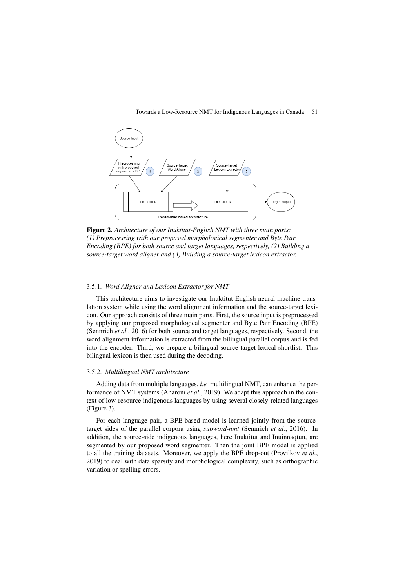

Figure 2. *Architecture of our Inuktitut-English NMT with three main parts: (1) Preprocessing with our proposed morphological segmenter and Byte Pair Encoding (BPE) for both source and target languages, respectively, (2) Building a source-target word aligner and (3) Building a source-target lexicon extractor.*

## 3.5.1. *Word Aligner and Lexicon Extractor for NMT*

This architecture aims to investigate our Inuktitut-English neural machine translation system while using the word alignment information and the source-target lexicon. Our approach consists of three main parts. First, the source input is preprocessed by applying our proposed morphological segmenter and Byte Pair Encoding (BPE) (Sennrich *et al.*, 2016) for both source and target languages, respectively. Second, the word alignment information is extracted from the bilingual parallel corpus and is fed into the encoder. Third, we prepare a bilingual source-target lexical shortlist. This bilingual lexicon is then used during the decoding.

#### 3.5.2. *Multilingual NMT architecture*

Adding data from multiple languages, *i.e.* multilingual NMT, can enhance the performance of NMT systems (Aharoni *et al.*, 2019). We adapt this approach in the context of low-resource indigenous languages by using several closely-related languages (Figure 3).

For each language pair, a BPE-based model is learned jointly from the sourcetarget sides of the parallel corpora using *subword-nmt* (Sennrich *et al.*, 2016). In addition, the source-side indigenous languages, here Inuktitut and Inuinnaqtun, are segmented by our proposed word segmenter. Then the joint BPE model is applied to all the training datasets. Moreover, we apply the BPE drop-out (Provilkov *et al.*, 2019) to deal with data sparsity and morphological complexity, such as orthographic variation or spelling errors.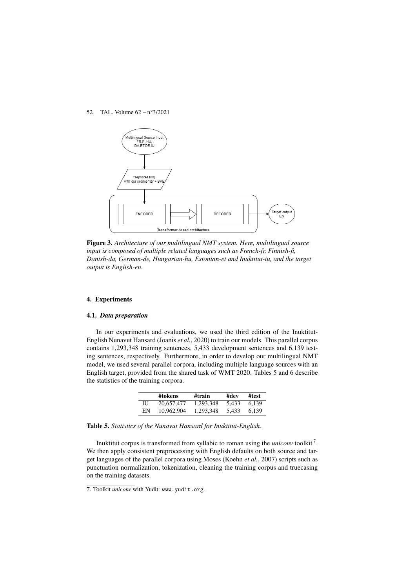

Figure 3. *Architecture of our multilingual NMT system. Here, multilingual source input is composed of multiple related languages such as French-fr, Finnish-fi, Danish-da, German-de, Hungarian-hu, Estonian-et and Inuktitut-iu, and the target output is English-en.*

## 4. Experiments

## 4.1. *Data preparation*

In our experiments and evaluations, we used the third edition of the Inuktitut-English Nunavut Hansard (Joanis *et al.*, 2020) to train our models. This parallel corpus contains 1,293,348 training sentences, 5,433 development sentences and 6,139 testing sentences, respectively. Furthermore, in order to develop our multilingual NMT model, we used several parallel corpora, including multiple language sources with an English target, provided from the shared task of WMT 2020. Tables 5 and 6 describe the statistics of the training corpora.

|    | #tokens    | #train    | #dev  | #test |
|----|------------|-----------|-------|-------|
| ΠJ | 20,657,477 | 1.293.348 | 5.433 | 6.139 |
| EN | 10.962.904 | 1,293,348 | 5.433 | 6.139 |

Table 5. *Statistics of the Nunavut Hansard for Inuktitut-English.*

Inuktitut corpus is transformed from syllabic to roman using the *uniconv* toolkit <sup>7</sup> . We then apply consistent preprocessing with English defaults on both source and target languages of the parallel corpora using Moses (Koehn *et al.*, 2007) scripts such as punctuation normalization, tokenization, cleaning the training corpus and truecasing on the training datasets.

<sup>7</sup>. Toolkit *uniconv* with Yudit: www.yudit.org.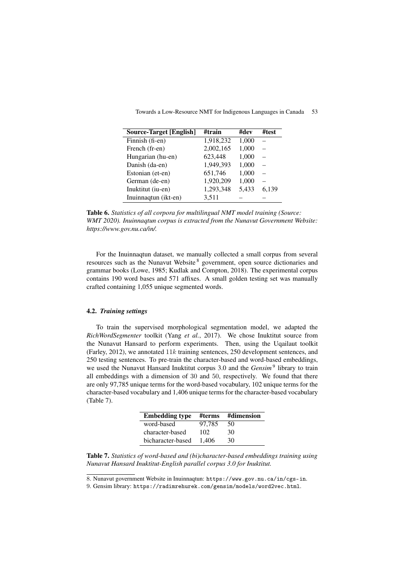| Source-Target [English] | #train    | #dev  | #test |
|-------------------------|-----------|-------|-------|
| Finnish (fi-en)         | 1,918,232 | 1,000 |       |
| French (fr-en)          | 2,002,165 | 1,000 |       |
| Hungarian (hu-en)       | 623.448   | 1,000 |       |
| Danish (da-en)          | 1,949,393 | 1,000 |       |
| Estonian (et-en)        | 651,746   | 1,000 |       |
| German (de-en)          | 1,920,209 | 1,000 |       |
| Inuktitut (iu-en)       | 1,293,348 | 5,433 | 6,139 |
| Inuinnaqtun (ikt-en)    | 3,511     |       |       |

Towards a Low-Resource NMT for Indigenous Languages in Canada 53

Table 6. *Statistics of all corpora for multilingual NMT model training (Source: WMT 2020). Inuinnaqtun corpus is extracted from the Nunavut Government Website: https://www.gov.nu.ca/in/.*

For the Inuinnaqtun dataset, we manually collected a small corpus from several resources such as the Nunavut Website <sup>8</sup> government, open source dictionaries and grammar books (Lowe, 1985; Kudlak and Compton, 2018). The experimental corpus contains 190 word bases and 571 affixes. A small golden testing set was manually crafted containing 1,055 unique segmented words.

## 4.2. *Training settings*

To train the supervised morphological segmentation model, we adapted the *RichWordSegmenter* toolkit (Yang *et al.*, 2017). We chose Inuktitut source from the Nunavut Hansard to perform experiments. Then, using the Uqailaut toolkit (Farley, 2012), we annotated 11k training sentences, 250 development sentences, and 250 testing sentences. To pre-train the character-based and word-based embeddings, we used the Nunavut Hansard Inuktitut corpus 3.0 and the *Gensim*<sup>9</sup> library to train all embeddings with a dimension of 30 and 50, respectively. We found that there are only 97,785 unique terms for the word-based vocabulary, 102 unique terms for the character-based vocabulary and 1,406 unique terms for the character-based vocabulary (Table 7).

| <b>Embedding type</b> | #terms | #dimension |
|-----------------------|--------|------------|
| word-based            | 97.785 | 50         |
| character-based       | 102    | 30         |
| bicharacter-based     | 1.406  | 30         |

Table 7. *Statistics of word-based and (bi)character-based embeddings training using Nunavut Hansard Inuktitut-English parallel corpus 3.0 for Inuktitut.*

8. Nunavut government Website in Inuinnaqtun: https://www.gov.nu.ca/in/cgs-in.

9. Gensim library: https://radimrehurek.com/gensim/models/word2vec.html.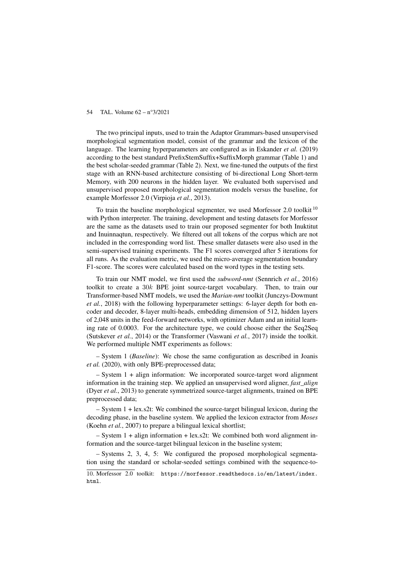The two principal inputs, used to train the Adaptor Grammars-based unsupervised morphological segmentation model, consist of the grammar and the lexicon of the language. The learning hyperparameters are configured as in Eskander *et al.* (2019) according to the best standard PrefixStemSuffix+SuffixMorph grammar (Table 1) and the best scholar-seeded grammar (Table 2). Next, we fine-tuned the outputs of the first stage with an RNN-based architecture consisting of bi-directional Long Short-term Memory, with 200 neurons in the hidden layer. We evaluated both supervised and unsupervised proposed morphological segmentation models versus the baseline, for example Morfessor 2.0 (Virpioja *et al.*, 2013).

To train the baseline morphological segmenter, we used Morfessor 2.0 toolkit <sup>10</sup> with Python interpreter. The training, development and testing datasets for Morfessor are the same as the datasets used to train our proposed segmenter for both Inuktitut and Inuinnaqtun, respectively. We filtered out all tokens of the corpus which are not included in the corresponding word list. These smaller datasets were also used in the semi-supervised training experiments. The F1 scores converged after 5 iterations for all runs. As the evaluation metric, we used the micro-average segmentation boundary F1-score. The scores were calculated based on the word types in the testing sets.

To train our NMT model, we first used the *subword-nmt* (Sennrich *et al.*, 2016) toolkit to create a 30k BPE joint source-target vocabulary. Then, to train our Transformer-based NMT models, we used the *Marian-nmt* toolkit (Junczys-Dowmunt *et al.*, 2018) with the following hyperparameter settings: 6-layer depth for both encoder and decoder, 8-layer multi-heads, embedding dimension of 512, hidden layers of 2,048 units in the feed-forward networks, with optimizer Adam and an initial learning rate of 0.0003. For the architecture type, we could choose either the Seq2Seq (Sutskever *et al.*, 2014) or the Transformer (Vaswani *et al.*, 2017) inside the toolkit. We performed multiple NMT experiments as follows:

– System 1 (*Baseline*): We chose the same configuration as described in Joanis *et al.* (2020), with only BPE-preprocessed data;

– System 1 + align information: We incorporated source-target word alignment information in the training step. We applied an unsupervised word aligner, *fast\_align* (Dyer *et al.*, 2013) to generate symmetrized source-target alignments, trained on BPE preprocessed data;

– System 1 + lex.s2t: We combined the source-target bilingual lexicon, during the decoding phase, in the baseline system. We applied the lexicon extractor from *Moses* (Koehn *et al.*, 2007) to prepare a bilingual lexical shortlist;

– System 1 + align information + lex.s2t: We combined both word alignment information and the source-target bilingual lexicon in the baseline system;

– Systems 2, 3, 4, 5: We configured the proposed morphological segmentation using the standard or scholar-seeded settings combined with the sequence-to-

<sup>10</sup>. Morfessor 2.0 toolkit: https://morfessor.readthedocs.io/en/latest/index. html.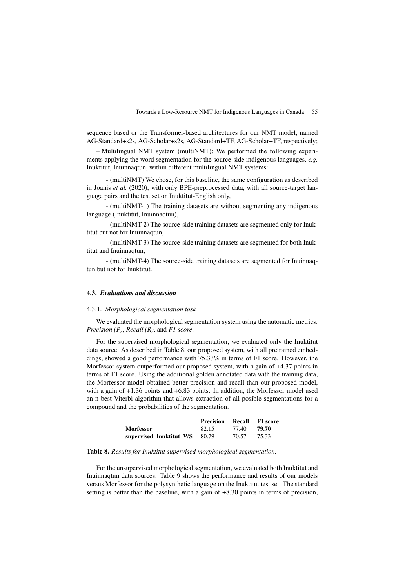sequence based or the Transformer-based architectures for our NMT model, named AG-Standard+s2s, AG-Scholar+s2s, AG-Standard+TF, AG-Scholar+TF, respectively;

– Multilingual NMT system (multiNMT): We performed the following experiments applying the word segmentation for the source-side indigenous languages, *e.g.* Inuktitut, Inuinnaqtun, within different multilingual NMT systems:

- (multiNMT) We chose, for this baseline, the same configuration as described in Joanis *et al.* (2020), with only BPE-preprocessed data, with all source-target language pairs and the test set on Inuktitut-English only,

- (multiNMT-1) The training datasets are without segmenting any indigenous language (Inuktitut, Inuinnaqtun),

- (multiNMT-2) The source-side training datasets are segmented only for Inuktitut but not for Inuinnaqtun,

- (multiNMT-3) The source-side training datasets are segmented for both Inuktitut and Inuinnaqtun,

- (multiNMT-4) The source-side training datasets are segmented for Inuinnaqtun but not for Inuktitut.

## 4.3. *Evaluations and discussion*

#### 4.3.1. *Morphological segmentation task*

We evaluated the morphological segmentation system using the automatic metrics: *Precision (P)*, *Recall (R)*, and *F1 score*.

For the supervised morphological segmentation, we evaluated only the Inuktitut data source. As described in Table 8, our proposed system, with all pretrained embeddings, showed a good performance with 75.33% in terms of F1 score. However, the Morfessor system outperformed our proposed system, with a gain of +4.37 points in terms of F1 score. Using the additional golden annotated data with the training data, the Morfessor model obtained better precision and recall than our proposed model, with a gain of +1.36 points and +6.83 points. In addition, the Morfessor model used an n-best Viterbi algorithm that allows extraction of all posible segmentations for a compound and the probabilities of the segmentation.

|                         | <b>Precision</b> | Recall | F1 score |
|-------------------------|------------------|--------|----------|
| <b>Morfessor</b>        | 82.15            | 77.40  | 79.70    |
| supervised Inuktitut WS | 80.79            | 70.57  | 75.33    |

#### Table 8. *Results for Inuktitut supervised morphological segmentation.*

For the unsupervised morphological segmentation, we evaluated both Inuktitut and Inuinnaqtun data sources. Table 9 shows the performance and results of our models versus Morfessor for the polysynthetic language on the Inuktitut test set. The standard setting is better than the baseline, with a gain of +8.30 points in terms of precision,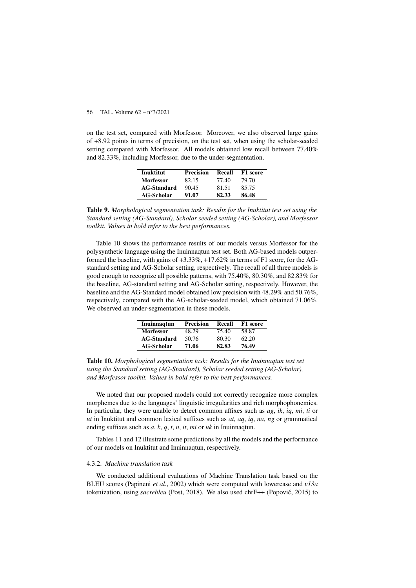on the test set, compared with Morfessor. Moreover, we also observed large gains of +8.92 points in terms of precision, on the test set, when using the scholar-seeded setting compared with Morfessor. All models obtained low recall between 77.40% and 82.33%, including Morfessor, due to the under-segmentation.

| <b>Inuktitut</b>   | <b>Precision</b> | Recall | F1 score |
|--------------------|------------------|--------|----------|
| <b>Morfessor</b>   | 82.15            | 77.40  | 79.70    |
| <b>AG-Standard</b> | 90.45            | 81.51  | 85.75    |
| <b>AG-Scholar</b>  | 91.07            | 82.33  | 86.48    |

Table 9. *Morphological segmentation task: Results for the Inuktitut test set using the Standard setting (AG-Standard), Scholar seeded setting (AG-Scholar), and Morfessor toolkit. Values in bold refer to the best performances.*

Table 10 shows the performance results of our models versus Morfessor for the polysynthetic language using the Inuinnaqtun test set. Both AG-based models outperformed the baseline, with gains of +3.33%, +17.62% in terms of F1 score, for the AGstandard setting and AG-Scholar setting, respectively. The recall of all three models is good enough to recognize all possible patterns, with 75.40%, 80.30%, and 82.83% for the baseline, AG-standard setting and AG-Scholar setting, respectively. However, the baseline and the AG-Standard model obtained low precision with 48.29% and 50.76%, respectively, compared with the AG-scholar-seeded model, which obtained 71.06%. We observed an under-segmentation in these models.

| Inuinnagtun        | <b>Precision</b> | Recall | F1 score |
|--------------------|------------------|--------|----------|
| <b>Morfessor</b>   | 48.29            | 75.40  | 58.87    |
| <b>AG-Standard</b> | 50.76            | 80.30  | 62.20    |
| <b>AG-Scholar</b>  | 71.06            | 82.83  | 76.49    |

Table 10. *Morphological segmentation task: Results for the Inuinnaqtun test set using the Standard setting (AG-Standard), Scholar seeded setting (AG-Scholar), and Morfessor toolkit. Values in bold refer to the best performances.*

We noted that our proposed models could not correctly recognize more complex morphemes due to the languages' linguistic irregularities and rich morphophonemics. In particular, they were unable to detect common affixes such as *ag*, *ik*, *iq*, *mi*, *ti* or *ut* in Inuktitut and common lexical suffixes such as *at*, *aq*, *iq*, *na*, *ng* or grammatical ending suffixes such as *a*, *k*, *q*, *t*, *n*, *it*, *mi* or *uk* in Inuinnaqtun.

Tables 11 and 12 illustrate some predictions by all the models and the performance of our models on Inuktitut and Inuinnaqtun, respectively.

#### 4.3.2. *Machine translation task*

We conducted additional evaluations of Machine Translation task based on the BLEU scores (Papineni *et al.*, 2002) which were computed with lowercase and *v13a* tokenization, using *sacrebleu* (Post, 2018). We also used chrF++ (Popovic, 2015) to ´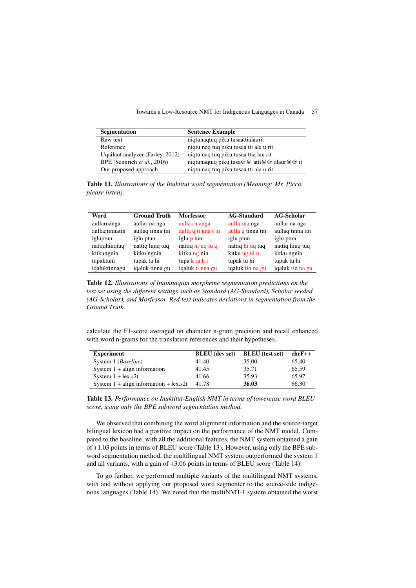| Segmentation                     | <b>Sentence Example</b>                   |
|----------------------------------|-------------------------------------------|
| Raw text                         | niqtunaqtuq piku tusaattialaurit          |
| Reference                        | nigtu nag tug piku tusaa tti ala u rit    |
| Uqailaut analyzer (Farley, 2012) | nigtu nag tug piku tusaa ttia lau rit     |
| BPE (Sennrich et al., 2016)      | niqtunaqtuq piku tusa@@ atti@@ alaur@@ it |
| Our proposed approach            | niqtu naq tuq piku tusaa tti ala u rit    |

Table 11. *Illustrations of the Inuktitut word segmentation (Meaning: Mr. Picco, please listen).*

| Word           | <b>Ground Truth</b> | <b>Morfessor</b>    | <b>AG-Standard</b> | <b>AG-Scholar</b> |
|----------------|---------------------|---------------------|--------------------|-------------------|
| aullarnanga    | aullar na nga       | aulla rn anga       | aulla rna nga      | aullar na nga     |
| aullaqtinnatin | aullaq tinna tin    | aulla q ti nna t in | aulla q tinna tin  | aullaq tinna tin  |
| igluptun       | iglu ptun           | iglu p tun          | iglu ptun          | iglu ptun         |
| nattighiugtug  | nattiq hiuq tuq     | nattiq hi uq tu q   | nattiq hi uq tuq   | nattiq hiuq tuq   |
| kitkungnin     | kitku ngnin         | kitku ng nin        | kitku ng ni n      | kitku ngnin       |
| tupaktuhi      | tupak tu hi         | tupa k tu h i       | tupak tu hi        | tupak tu hi       |
| iqaluktinnagu  | iqaluk tinna gu     | iqaluk ti nna gu    | iqaluk tin na gu   | iqaluk tin na gu  |

Table 12. *Illustrations of Inuinnaqtun morpheme segmentation predictions on the test set using the different settings such as Standard (AG-Standard), Scholar seeded (AG-Scholar), and Morfessor. Red text indicates deviations in segmentation from the Ground Truth.*

calculate the F1-score averaged on character n-gram precision and recall enhanced with word n-grams for the translation references and their hypotheses.

| <b>Experiment</b>                                       | <b>BLEU</b> (dev set) | <b>BLEU</b> (test set) | $chrF++$ |
|---------------------------------------------------------|-----------------------|------------------------|----------|
| System 1 ( <i>Baseline</i> )                            | 41.40                 | 35.00                  | 65.40    |
| System $1 + \text{align information}$                   | 41.45                 | 35.71                  | 65.59    |
| System $1 + \text{lex} . s2t$                           | 41.66                 | 35.93                  | 65.97    |
| System $1 + \text{align information} + \text{lex } s2t$ | 41.78                 | 36.03                  | 66.30    |

Table 13. *Performance on Inuktitut-English NMT in terms of lowercase word BLEU score, using only the BPE subword segmentation method.*

We observed that combining the word alignment information and the source-target bilingual lexicon had a positive impact on the performance of the NMT model. Compared to the baseline, with all the additional features, the NMT system obtained a gain of +1.03 points in terms of BLEU score (Table 13). However, using only the BPE subword segmentation method, the multilingual NMT system outperformed the system 1 and all variants, with a gain of +3.06 points in terms of BLEU score (Table 14).

To go further, we performed multiple variants of the multilingual NMT systems, with and without applying our proposed word segmenter to the source-side indigenous languages (Table 14). We noted that the multiNMT-1 system obtained the worst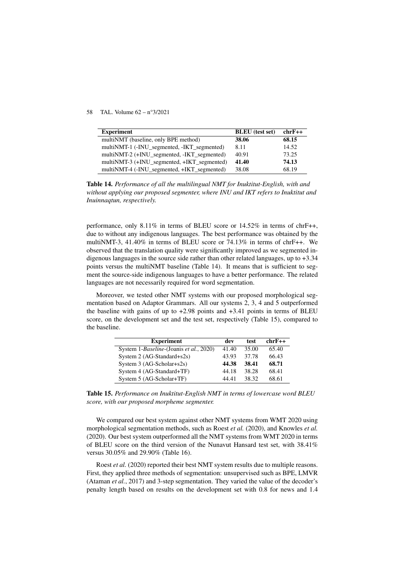| <b>Experiment</b>                           | <b>BLEU</b> (test set) | $chrF++$ |
|---------------------------------------------|------------------------|----------|
| multiNMT (baseline, only BPE method)        | 38.06                  | 68.15    |
| multiNMT-1 (-INU_segmented, -IKT_segmented) | 8.11                   | 14.52    |
| multiNMT-2 (+INU_segmented, -IKT_segmented) | 40.91                  | 73.25    |
| multiNMT-3 (+INU_segmented, +IKT_segmented) | 41.40                  | 74.13    |
| multiNMT-4 (-INU_segmented, +IKT_segmented) | 38.08                  | 68.19    |

Table 14. *Performance of all the multilingual NMT for Inuktitut-English, with and without applying our proposed segmenter, where INU and IKT refers to Inuktitut and Inuinnaqtun, respectively.*

performance, only 8.11% in terms of BLEU score or 14.52% in terms of chrF++, due to without any indigenous languages. The best performance was obtained by the multiNMT-3, 41.40% in terms of BLEU score or 74.13% in terms of chrF++. We observed that the translation quality were significantly improved as we segmented indigenous languages in the source side rather than other related languages, up to +3.34 points versus the multiNMT baseline (Table 14). It means that is sufficient to segment the source-side indigenous languages to have a better performance. The related languages are not necessarily required for word segmentation.

Moreover, we tested other NMT systems with our proposed morphological segmentation based on Adaptor Grammars. All our systems 2, 3, 4 and 5 outperformed the baseline with gains of up to  $+2.98$  points and  $+3.41$  points in terms of BLEU score, on the development set and the test set, respectively (Table 15), compared to the baseline.

| <b>Experiment</b>                                | dev   | test  | $chrF++$ |
|--------------------------------------------------|-------|-------|----------|
| System 1- <i>Baseline</i> -(Joanis et al., 2020) | 41.40 | 35.00 | 65.40    |
| System 2 (AG-Standard+s2s)                       | 43.93 | 37.78 | 66.43    |
| System $3$ (AG-Scholar+s2s)                      | 44.38 | 38.41 | 68.71    |
| System 4 (AG-Standard+TF)                        | 44.18 | 38.28 | 68.41    |
| System 5 (AG-Scholar+TF)                         | 44.41 | 38.32 | 68.61    |

Table 15. *Performance on Inuktitut-English NMT in terms of lowercase word BLEU score, with our proposed morpheme segmenter.*

We compared our best system against other NMT systems from WMT 2020 using morphological segmentation methods, such as Roest *et al.* (2020), and Knowles *et al.* (2020). Our best system outperformed all the NMT systems from WMT 2020 in terms of BLEU score on the third version of the Nunavut Hansard test set, with 38.41% versus 30.05% and 29.90% (Table 16).

Roest *et al.* (2020) reported their best NMT system results due to multiple reasons. First, they applied three methods of segmentation: unsupervised such as BPE, LMVR (Ataman *et al.*, 2017) and 3-step segmentation. They varied the value of the decoder's penalty length based on results on the development set with 0.8 for news and 1.4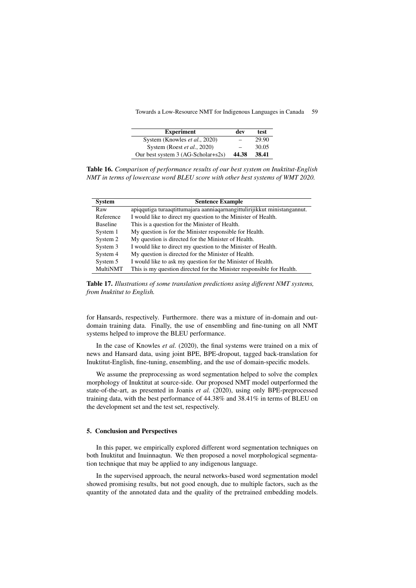| <b>Experiment</b>                  | dev   | test  |
|------------------------------------|-------|-------|
| System (Knowles et al., 2020)      |       | 29.90 |
| System (Roest et al., 2020)        |       | 30.05 |
| Our best system 3 (AG-Scholar+s2s) | 44.38 | 38.41 |

Table 16. *Comparison of performance results of our best system on Inuktitut-English NMT in terms of lowercase word BLEU score with other best systems of WMT 2020.*

| <b>System</b>   | <b>Sentence Example</b>                                                  |
|-----------------|--------------------------------------------------------------------------|
| Raw             | apiggutiga turaagtittumajara aanniagarnangittulirijikkut ministangannut. |
| Reference       | I would like to direct my question to the Minister of Health.            |
| <b>Baseline</b> | This is a question for the Minister of Health.                           |
| System 1        | My question is for the Minister responsible for Health.                  |
| System 2        | My question is directed for the Minister of Health.                      |
| System 3        | I would like to direct my question to the Minister of Health.            |
| System 4        | My question is directed for the Minister of Health.                      |
| System 5        | I would like to ask my question for the Minister of Health.              |
| <b>MultiNMT</b> | This is my question directed for the Minister responsible for Health.    |

Table 17. *Illustrations of some translation predictions using different NMT systems, from Inuktitut to English.*

for Hansards, respectively. Furthermore. there was a mixture of in-domain and outdomain training data. Finally, the use of ensembling and fine-tuning on all NMT systems helped to improve the BLEU performance.

In the case of Knowles *et al.* (2020), the final systems were trained on a mix of news and Hansard data, using joint BPE, BPE-dropout, tagged back-translation for Inuktitut-English, fine-tuning, ensembling, and the use of domain-specific models.

We assume the preprocessing as word segmentation helped to solve the complex morphology of Inuktitut at source-side. Our proposed NMT model outperformed the state-of-the-art, as presented in Joanis *et al.* (2020), using only BPE-preprocessed training data, with the best performance of 44.38% and 38.41% in terms of BLEU on the development set and the test set, respectively.

## 5. Conclusion and Perspectives

In this paper, we empirically explored different word segmentation techniques on both Inuktitut and Inuinnaqtun. We then proposed a novel morphological segmentation technique that may be applied to any indigenous language.

In the supervised approach, the neural networks-based word segmentation model showed promising results, but not good enough, due to multiple factors, such as the quantity of the annotated data and the quality of the pretrained embedding models.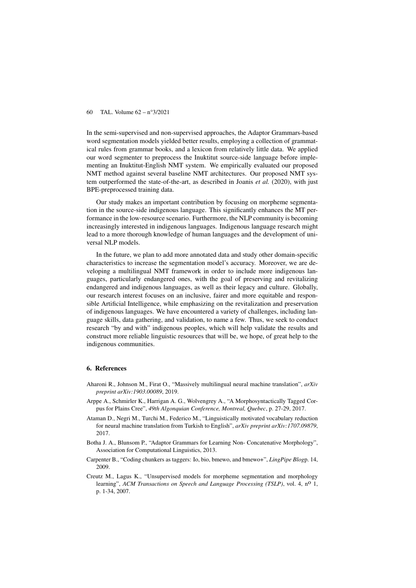In the semi-supervised and non-supervised approaches, the Adaptor Grammars-based word segmentation models yielded better results, employing a collection of grammatical rules from grammar books, and a lexicon from relatively little data. We applied our word segmenter to preprocess the Inuktitut source-side language before implementing an Inuktitut-English NMT system. We empirically evaluated our proposed NMT method against several baseline NMT architectures. Our proposed NMT system outperformed the state-of-the-art, as described in Joanis *et al.* (2020), with just BPE-preprocessed training data.

Our study makes an important contribution by focusing on morpheme segmentation in the source-side indigenous language. This significantly enhances the MT performance in the low-resource scenario. Furthermore, the NLP community is becoming increasingly interested in indigenous languages. Indigenous language research might lead to a more thorough knowledge of human languages and the development of universal NLP models.

In the future, we plan to add more annotated data and study other domain-specific characteristics to increase the segmentation model's accuracy. Moreover, we are developing a multilingual NMT framework in order to include more indigenous languages, particularly endangered ones, with the goal of preserving and revitalizing endangered and indigenous languages, as well as their legacy and culture. Globally, our research interest focuses on an inclusive, fairer and more equitable and responsible Artificial Intelligence, while emphasizing on the revitalization and preservation of indigenous languages. We have encountered a variety of challenges, including language skills, data gathering, and validation, to name a few. Thus, we seek to conduct research "by and with" indigenous peoples, which will help validate the results and construct more reliable linguistic resources that will be, we hope, of great help to the indigenous communities.

#### 6. References

- Aharoni R., Johnson M., Firat O., "Massively multilingual neural machine translation", *arXiv preprint arXiv:1903.00089*, 2019.
- Arppe A., Schmirler K., Harrigan A. G., Wolvengrey A., "A Morphosyntactically Tagged Corpus for Plains Cree", *49th Algonquian Conference, Montreal, Quebec*, p. 27-29, 2017.
- Ataman D., Negri M., Turchi M., Federico M., "Linguistically motivated vocabulary reduction for neural machine translation from Turkish to English", *arXiv preprint arXiv:1707.09879*, 2017.
- Botha J. A., Blunsom P., "Adaptor Grammars for Learning Non- Concatenative Morphology", Association for Computational Linguistics, 2013.
- Carpenter B., "Coding chunkers as taggers: Io, bio, bmewo, and bmewo+", *LingPipe Blog*p. 14, 2009.
- Creutz M., Lagus K., "Unsupervised models for morpheme segmentation and morphology learning", *ACM Transactions on Speech and Language Processing (TSLP)*, vol. 4, n<sup>o</sup> 1, p. 1-34, 2007.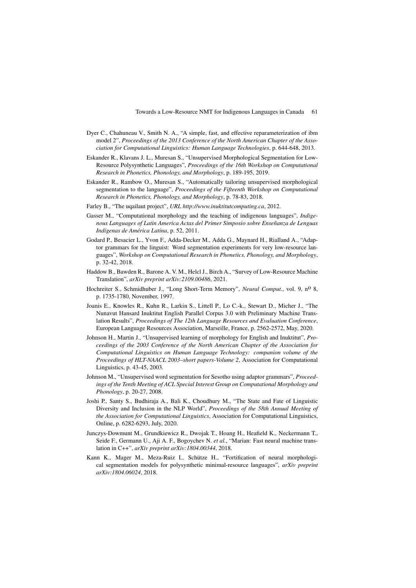- Dyer C., Chahuneau V., Smith N. A., "A simple, fast, and effective reparameterization of ibm model 2", *Proceedings of the 2013 Conference of the North American Chapter of the Association for Computational Linguistics: Human Language Technologies*, p. 644-648, 2013.
- Eskander R., Klavans J. L., Muresan S., "Unsupervised Morphological Segmentation for Low-Resource Polysynthetic Languages", *Proceedings of the 16th Workshop on Computational Research in Phonetics, Phonology, and Morphology*, p. 189-195, 2019.
- Eskander R., Rambow O., Muresan S., "Automatically tailoring unsupervised morphological segmentation to the language", *Proceedings of the Fifteenth Workshop on Computational Research in Phonetics, Phonology, and Morphology*, p. 78-83, 2018.
- Farley B., "The uqailaut project", *URL http://www.inuktitutcomputing.ca*, 2012.
- Gasser M., "Computational morphology and the teaching of indigenous languages", *Indigenous Languages of Latin America Actas del Primer Simposio sobre Enseñanza de Lenguas Indígenas de América Latina*, p. 52, 2011.
- Godard P., Besacier L., Yvon F., Adda-Decker M., Adda G., Maynard H., Rialland A., "Adaptor grammars for the linguist: Word segmentation experiments for very low-resource languages", *Workshop on Computational Research in Phonetics, Phonology, and Morphology*, p. 32-42, 2018.
- Haddow B., Bawden R., Barone A. V. M., Helcl J., Birch A., "Survey of Low-Resource Machine Translation", *arXiv preprint arXiv:2109.00486*, 2021.
- Hochreiter S., Schmidhuber J., "Long Short-Term Memory", *Neural Comput.*, vol. 9, nº 8, p. 1735-1780, November, 1997.
- Joanis E., Knowles R., Kuhn R., Larkin S., Littell P., Lo C.-k., Stewart D., Micher J., "The Nunavut Hansard Inuktitut English Parallel Corpus 3.0 with Preliminary Machine Translation Results", *Proceedings of The 12th Language Resources and Evaluation Conference*, European Language Resources Association, Marseille, France, p. 2562-2572, May, 2020.
- Johnson H., Martin J., "Unsupervised learning of morphology for English and Inuktitut", *Proceedings of the 2003 Conference of the North American Chapter of the Association for Computational Linguistics on Human Language Technology: companion volume of the Proceedings of HLT-NAACL 2003–short papers-Volume 2*, Association for Computational Linguistics, p. 43-45, 2003.
- Johnson M., "Unsupervised word segmentation for Sesotho using adaptor grammars", *Proceedings of the Tenth Meeting of ACL Special Interest Group on Computational Morphology and Phonology*, p. 20-27, 2008.
- Joshi P., Santy S., Budhiraja A., Bali K., Choudhury M., "The State and Fate of Linguistic Diversity and Inclusion in the NLP World", *Proceedings of the 58th Annual Meeting of the Association for Computational Linguistics*, Association for Computational Linguistics, Online, p. 6282-6293, July, 2020.
- Junczys-Dowmunt M., Grundkiewicz R., Dwojak T., Hoang H., Heafield K., Neckermann T., Seide F., Germann U., Aji A. F., Bogoychev N. *et al.*, "Marian: Fast neural machine translation in C++", *arXiv preprint arXiv:1804.00344*, 2018.
- Kann K., Mager M., Meza-Ruiz I., Schütze H., "Fortification of neural morphological segmentation models for polysynthetic minimal-resource languages", *arXiv preprint arXiv:1804.06024*, 2018.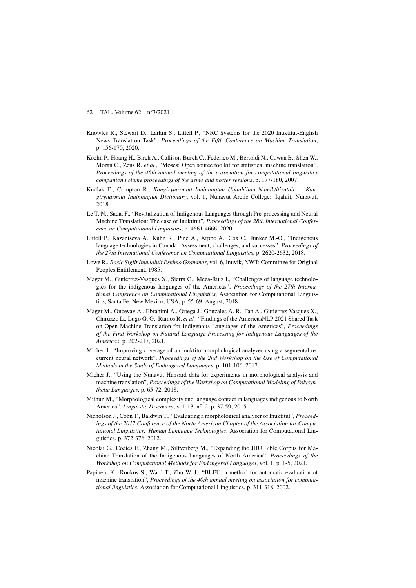- Knowles R., Stewart D., Larkin S., Littell P., "NRC Systems for the 2020 Inuktitut-English News Translation Task", *Proceedings of the Fifth Conference on Machine Translation*, p. 156-170, 2020.
- Koehn P., Hoang H., Birch A., Callison-Burch C., Federico M., Bertoldi N., Cowan B., Shen W., Moran C., Zens R. *et al.*, "Moses: Open source toolkit for statistical machine translation". *Proceedings of the 45th annual meeting of the association for computational linguistics companion volume proceedings of the demo and poster sessions*, p. 177-180, 2007.
- Kudlak E., Compton R., *Kangiryuarmiut Inuinnaqtun Uqauhiitaa Numiktitirutait Kangiryuarmiut Inuinnaqtun Dictionary*, vol. 1, Nunavut Arctic College: Iqaluit, Nunavut, 2018.
- Le T. N., Sadat F., "Revitalization of Indigenous Languages through Pre-processing and Neural Machine Translation: The case of Inuktitut", *Proceedings of the 28th International Conference on Computational Linguistics*, p. 4661-4666, 2020.
- Littell P., Kazantseva A., Kuhn R., Pine A., Arppe A., Cox C., Junker M.-O., "Indigenous language technologies in Canada: Assessment, challenges, and successes", *Proceedings of the 27th International Conference on Computational Linguistics*, p. 2620-2632, 2018.
- Lowe R., *Basic Siglit Inuvialuit Eskimo Grammar*, vol. 6, Inuvik, NWT: Committee for Original Peoples Entitlement, 1985.
- Mager M., Gutierrez-Vasques X., Sierra G., Meza-Ruiz I., "Challenges of language technologies for the indigenous languages of the Americas", *Proceedings of the 27th International Conference on Computational Linguistics*, Association for Computational Linguistics, Santa Fe, New Mexico, USA, p. 55-69, August, 2018.
- Mager M., Oncevay A., Ebrahimi A., Ortega J., Gonzales A. R., Fan A., Gutierrez-Vasques X., Chiruzzo L., Lugo G. G., Ramos R. *et al.*, "Findings of the AmericasNLP 2021 Shared Task on Open Machine Translation for Indigenous Languages of the Americas", *Proceedings of the First Workshop on Natural Language Processing for Indigenous Languages of the Americas*, p. 202-217, 2021.
- Micher J., "Improving coverage of an inuktitut morphological analyzer using a segmental recurrent neural network", *Proceedings of the 2nd Workshop on the Use of Computational Methods in the Study of Endangered Languages*, p. 101-106, 2017.
- Micher J., "Using the Nunavut Hansard data for experiments in morphological analysis and machine translation", *Proceedings of the Workshop on Computational Modeling of Polysynthetic Languages*, p. 65-72, 2018.
- Mithun M., "Morphological complexity and language contact in languages indigenous to North America", *Linguistic Discovery*, vol. 13, no 2, p. 37-59, 2015.
- Nicholson J., Cohn T., Baldwin T., "Evaluating a morphological analyser of Inuktitut", *Proceedings of the 2012 Conference of the North American Chapter of the Association for Computational Linguistics: Human Language Technologies*, Association for Computational Linguistics, p. 372-376, 2012.
- Nicolai G., Coates E., Zhang M., Silfverberg M., "Expanding the JHU Bible Corpus for Machine Translation of the Indigenous Languages of North America", *Proceedings of the Workshop on Computational Methods for Endangered Languages*, vol. 1, p. 1-5, 2021.
- Papineni K., Roukos S., Ward T., Zhu W.-J., "BLEU: a method for automatic evaluation of machine translation", *Proceedings of the 40th annual meeting on association for computational linguistics*, Association for Computational Linguistics, p. 311-318, 2002.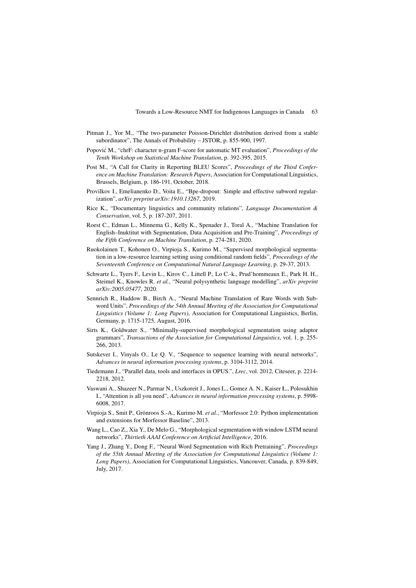- Pitman J., Yor M., "The two-parameter Poisson-Dirichlet distribution derived from a stable subordinator", The Annals of Probability – JSTOR, p. 855-900, 1997.
- Popović M., "chrF: character n-gram F-score for automatic MT evaluation", *Proceedings of the Tenth Workshop on Statistical Machine Translation*, p. 392-395, 2015.
- Post M., "A Call for Clarity in Reporting BLEU Scores", *Proceedings of the Third Conference on Machine Translation: Research Papers*, Association for Computational Linguistics, Brussels, Belgium, p. 186-191, October, 2018.
- Provilkov I., Emelianenko D., Voita E., "Bpe-dropout: Simple and effective subword regularization", *arXiv preprint arXiv:1910.13267*, 2019.
- Rice K., "Documentary linguistics and community relations", *Language Documentation & Conservation*, vol. 5, p. 187-207, 2011.
- Roest C., Edman L., Minnema G., Kelly K., Spenader J., Toral A., "Machine Translation for English–Inuktitut with Segmentation, Data Acquisition and Pre-Training", *Proceedings of the Fifth Conference on Machine Translation*, p. 274-281, 2020.
- Ruokolainen T., Kohonen O., Virpioja S., Kurimo M., "Supervised morphological segmentation in a low-resource learning setting using conditional random fields", *Proceedings of the Seventeenth Conference on Computational Natural Language Learning*, p. 29-37, 2013.
- Schwartz L., Tyers F., Levin L., Kirov C., Littell P., Lo C.-k., Prud'hommeaux E., Park H. H., Steimel K., Knowles R. *et al.*, "Neural polysynthetic language modelling", *arXiv preprint arXiv:2005.05477*, 2020.
- Sennrich R., Haddow B., Birch A., "Neural Machine Translation of Rare Words with Subword Units", *Proceedings of the 54th Annual Meeting of the Association for Computational Linguistics (Volume 1: Long Papers)*, Association for Computational Linguistics, Berlin, Germany, p. 1715-1725, August, 2016.
- Sirts K., Goldwater S., "Minimally-supervised morphological segmentation using adaptor grammars", *Transactions of the Association for Computational Linguistics*, vol. 1, p. 255- 266, 2013.
- Sutskever I., Vinyals O., Le Q. V., "Sequence to sequence learning with neural networks", *Advances in neural information processing systems*, p. 3104-3112, 2014.
- Tiedemann J., "Parallel data, tools and interfaces in OPUS.", *Lrec*, vol. 2012, Citeseer, p. 2214- 2218, 2012.
- Vaswani A., Shazeer N., Parmar N., Uszkoreit J., Jones L., Gomez A. N., Kaiser Ł., Polosukhin I., "Attention is all you need", *Advances in neural information processing systems*, p. 5998- 6008, 2017.
- Virpioja S., Smit P., Grönroos S.-A., Kurimo M. *et al.*, "Morfessor 2.0: Python implementation and extensions for Morfessor Baseline", 2013.
- Wang L., Cao Z., Xia Y., De Melo G., "Morphological segmentation with window LSTM neural networks", *Thirtieth AAAI Conference on Artificial Intelligence*, 2016.
- Yang J., Zhang Y., Dong F., "Neural Word Segmentation with Rich Pretraining", *Proceedings of the 55th Annual Meeting of the Association for Computational Linguistics (Volume 1: Long Papers)*, Association for Computational Linguistics, Vancouver, Canada, p. 839-849, July, 2017.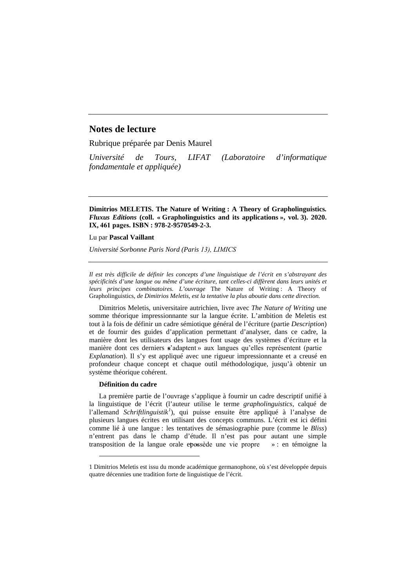# **Notes de lecture**

Rubrique préparée par Denis Maurel

*Université de Tours, LIFAT (Laboratoire d'informatique fondamentale et appliquée)*

**Dimitrios MELETIS. The Nature of Writing : A Theory of Grapholinguistics***. Fluxus Editions* **(coll. « Grapholinguistics and its applications », vol. 3). 2020. IX, 461 pages. ISBN : 978-2-9570549-2-3.**

Lu par **Pascal Vaillant**

*Université Sorbonne Paris Nord (Paris 13), LIMICS*

*Il est très difficile de définir les concepts d'une linguistique de l'écrit en s'abstrayant des spécificités d'une langue ou même d'une écriture, tant celles-ci diffèrent dans leurs unités et leurs principes combinatoires. L'ouvrage* The Nature of Writing : A Theory of Grapholinguistics*, de Dimitrios Meletis, est la tentative la plus aboutie dans cette direction.*

Dimitrios Meletis, universitaire autrichien, livre avec *The Nature of Writing* une somme théorique impressionnante sur la langue écrite. L'ambition de Meletis est tout à la fois de définir un cadre sémiotique général de l'écriture (partie *Description*) et de fournir des guides d'application permettant d'analyser, dans ce cadre, la manière dont les utilisateurs des langues font usage des systèmes d'écriture et la manière dont ces derniers « s'adaptent » aux langues qu'elles représentent (partie *Explanation*). Il s'y est appliqué avec une rigueur impressionnante et a creusé en profondeur chaque concept et chaque outil méthodologique, jusqu'à obtenir un système théorique cohérent.

#### **Définition du cadre**

-

La première partie de l'ouvrage s'applique à fournir un cadre descriptif unifié à la linguistique de l'écrit (l'auteur utilise le terme *grapholinguistics*, calqué de l'allemand *Schriftlinguistik<sup>1</sup>* ), qui puisse ensuite être appliqué à l'analyse de plusieurs langues écrites en utilisant des concepts communs. L'écrit est ici défini comme lié à une langue : les tentatives de sémasiographie pure (comme le *Bliss*) n'entrent pas dans le champ d'étude. Il n'est pas pour autant une simple transposition de la langue orale epossède une vie propre » : en témoigne la

<sup>1</sup> Dimitrios Meletis est issu du monde académique germanophone, où s'est développée depuis quatre décennies une tradition forte de linguistique de l'écrit.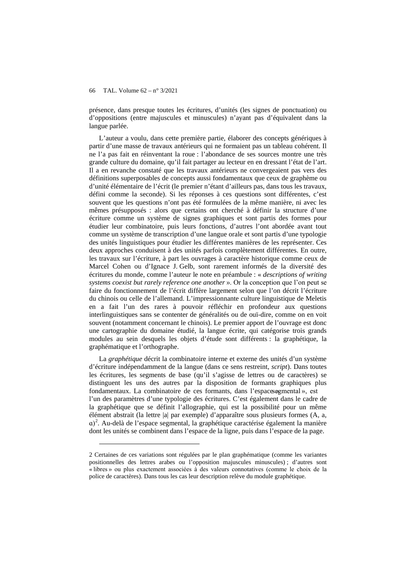-

présence, dans presque toutes les écritures, d'unités (les signes de ponctuation) ou d'oppositions (entre majuscules et minuscules) n'ayant pas d'équivalent dans la langue parlée.

L'auteur a voulu, dans cette première partie, élaborer des concepts génériques à partir d'une masse de travaux antérieurs qui ne formaient pas un tableau cohérent. Il ne l'a pas fait en réinventant la roue : l'abondance de ses sources montre une très grande culture du domaine, qu'il fait partager au lecteur en en dressant l'état de l'art. Il a en revanche constaté que les travaux antérieurs ne convergeaient pas vers des définitions superposables de concepts aussi fondamentaux que ceux de graphème ou d'unité élémentaire de l'écrit (le premier n'étant d'ailleurs pas, dans tous les travaux, défini comme la seconde). Si les réponses à ces questions sont différentes, c'est souvent que les questions n'ont pas été formulées de la même manière, ni avec les mêmes présupposés : alors que certains ont cherché à définir la structure d'une écriture comme un système de signes graphiques et sont partis des formes pour étudier leur combinatoire, puis leurs fonctions, d'autres l'ont abordée avant tout comme un système de transcription d'une langue orale et sont partis d'une typologie des unités linguistiques pour étudier les différentes manières de les représenter. Ces deux approches conduisent à des unités parfois complètement différentes. En outre, les travaux sur l'écriture, à part les ouvrages à caractère historique comme ceux de Marcel Cohen ou d'Ignace J. Gelb, sont rarement informés de la diversité des écritures du monde, comme l'auteur le note en préambule : « *descriptions of writing systems coexist but rarely reference one another* ». Or la conception que l'on peut se faire du fonctionnement de l'écrit diffère largement selon que l'on décrit l'écriture du chinois ou celle de l'allemand. L'impressionnante culture linguistique de Meletis en a fait l'un des rares à pouvoir réfléchir en profondeur aux questions interlinguistiques sans se contenter de généralités ou de ouï-dire, comme on en voit souvent (notamment concernant le chinois). Le premier apport de l'ouvrage est donc une cartographie du domaine étudié, la langue écrite, qui catégorise trois grands modules au sein desquels les objets d'étude sont différents : la graphétique, la graphématique et l'orthographe.

La *graphétique* décrit la combinatoire interne et externe des unités d'un système d'écriture indépendamment de la langue (dans ce sens restreint, *script*). Dans toutes les écritures, les segments de base (qu'il s'agisse de lettres ou de caractères) se distinguent les uns des autres par la disposition de formants graphiques plus fondamentaux. La combinatoire de ces formants, dans l'espaces egmental», est l'un des paramètres d'une typologie des écritures. C'est également dans le cadre de la graphétique que se définit l'allographie, qui est la possibilité pour un même élément abstrait (la lettre |a| par exemple) d'apparaître sous plusieurs formes (A, a, ɑ)<sup>2</sup> . Au-delà de l'espace segmental, la graphétique caractérise également la manière dont les unités se combinent dans l'espace de la ligne, puis dans l'espace de la page.

<sup>2</sup> Certaines de ces variations sont régulées par le plan graphématique (comme les variantes positionnelles des lettres arabes ou l'opposition majuscules minuscules) ; d'autres sont « libres » ou plus exactement associées à des valeurs connotatives (comme le choix de la police de caractères). Dans tous les cas leur description relève du module graphétique.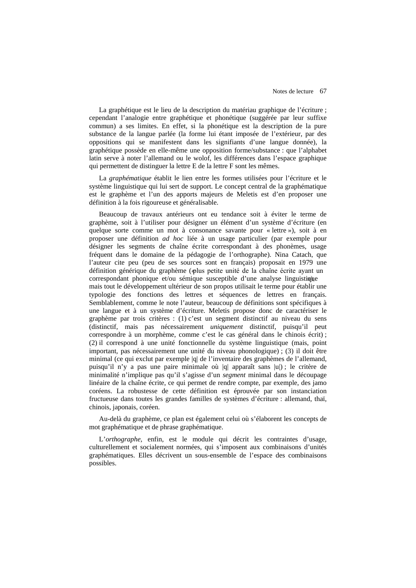La graphétique est le lieu de la description du matériau graphique de l'écriture ; cependant l'analogie entre graphétique et phonétique (suggérée par leur suffixe commun) a ses limites. En effet, si la phonétique est la description de la pure substance de la langue parlée (la forme lui étant imposée de l'extérieur, par des oppositions qui se manifestent dans les signifiants d'une langue donnée), la graphétique possède en elle-même une opposition forme/substance : que l'alphabet latin serve à noter l'allemand ou le wolof, les différences dans l'espace graphique qui permettent de distinguer la lettre E de la lettre F sont les mêmes.

La *graphématique* établit le lien entre les formes utilisées pour l'écriture et le système linguistique qui lui sert de support. Le concept central de la graphématique est le graphème et l'un des apports majeurs de Meletis est d'en proposer une définition à la fois rigoureuse et généralisable.

Beaucoup de travaux antérieurs ont eu tendance soit à éviter le terme de graphème, soit à l'utiliser pour désigner un élément d'un système d'écriture (en quelque sorte comme un mot à consonance savante pour « lettre »), soit à en proposer une définition *ad hoc* liée à un usage particulier (par exemple pour désigner les segments de chaîne écrite correspondant à des phonèmes, usage fréquent dans le domaine de la pédagogie de l'orthographe). Nina Catach, que l'auteur cite peu (peu de ses sources sont en français) proposait en 1979 une définition générique du graphème ( $\phi$ lus petite unité de la chaîne écrite ayant un correspondant phonique et/ou sémique susceptible d'une analyse linguistique mais tout le développement ultérieur de son propos utilisait le terme pour établir une typologie des fonctions des lettres et séquences de lettres en français. Semblablement, comme le note l'auteur, beaucoup de définitions sont spécifiques à une langue et à un système d'écriture. Meletis propose donc de caractériser le graphème par trois critères : (1) c'est un segment distinctif au niveau du sens (distinctif, mais pas nécessairement *uniquement* distinctif, puisqu'il peut correspondre à un morphème, comme c'est le cas général dans le chinois écrit) ; (2) il correspond à une unité fonctionnelle du système linguistique (mais, point important, pas nécessairement une unité du niveau phonologique) ; (3) il doit être minimal (ce qui exclut par exemple |q| de l'inventaire des graphèmes de l'allemand, puisqu'il n'y a pas une paire minimale où |q| apparaît sans |u|) ; le critère de minimalité n'implique pas qu'il s'agisse d'un *segment* minimal dans le découpage linéaire de la chaîne écrite, ce qui permet de rendre compte, par exemple, des jamo coréens. La robustesse de cette définition est éprouvée par son instanciation fructueuse dans toutes les grandes familles de systèmes d'écriture : allemand, thaï, chinois, japonais, coréen.

Au-delà du graphème, ce plan est également celui où s'élaborent les concepts de mot graphématique et de phrase graphématique.

L'*orthographe*, enfin, est le module qui décrit les contraintes d'usage, culturellement et socialement normées, qui s'imposent aux combinaisons d'unités graphématiques. Elles décrivent un sous-ensemble de l'espace des combinaisons possibles.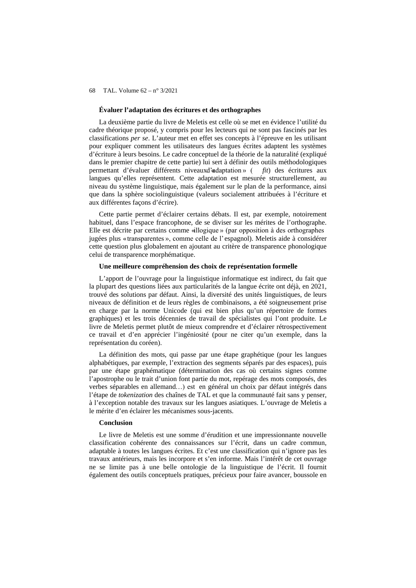## **Évaluer l'adaptation des écritures et des orthographes**

La deuxième partie du livre de Meletis est celle où se met en évidence l'utilité du cadre théorique proposé, y compris pour les lecteurs qui ne sont pas fascinés par les classifications *per se*. L'auteur met en effet ses concepts à l'épreuve en les utilisant pour expliquer comment les utilisateurs des langues écrites adaptent les systèmes d'écriture à leurs besoins. Le cadre conceptuel de la théorie de la naturalité (expliqué dans le premier chapitre de cette partie) lui sert à définir des outils méthodologiques permettant d'évaluer différents niveaux d'adaptation » ( *fit*) des écritures aux langues qu'elles représentent. Cette adaptation est mesurée structurellement, au niveau du système linguistique, mais également sur le plan de la performance, ainsi que dans la sphère sociolinguistique (valeurs socialement attribuées à l'écriture et aux différentes façons d'écrire).

Cette partie permet d'éclairer certains débats. Il est, par exemple, notoirement habituel, dans l'espace francophone, de se diviser sur les mérites de l'orthographe. Elle est décrite par certains comme « illogique » (par opposition à des orthographes jugées plus « transparentes », comme celle de l'espagnol). Meletis aide à considérer cette question plus globalement en ajoutant au critère de transparence phonologique celui de transparence morphématique.

### **Une meilleure compréhension des choix de représentation formelle**

L'apport de l'ouvrage pour la linguistique informatique est indirect, du fait que la plupart des questions liées aux particularités de la langue écrite ont déjà, en 2021, trouvé des solutions par défaut. Ainsi, la diversité des unités linguistiques, de leurs niveaux de définition et de leurs règles de combinaisons, a été soigneusement prise en charge par la norme Unicode (qui est bien plus qu'un répertoire de formes graphiques) et les trois décennies de travail de spécialistes qui l'ont produite. Le livre de Meletis permet plutôt de mieux comprendre et d'éclairer rétrospectivement ce travail et d'en apprécier l'ingéniosité (pour ne citer qu'un exemple, dans la représentation du coréen).

La définition des mots, qui passe par une étape graphétique (pour les langues alphabétiques, par exemple, l'extraction des segments séparés par des espaces), puis par une étape graphématique (détermination des cas où certains signes comme l'apostrophe ou le trait d'union font partie du mot, repérage des mots composés, des verbes séparables en allemand …) est en général un choix par défaut intégrés dans l'étape de *tokenization* des chaînes de TAL et que la communauté fait sans y penser, à l'exception notable des travaux sur les langues asiatiques. L'ouvrage de Meletis a le mérite d'en éclairer les mécanismes sous-jacents.

## **Conclusion**

Le livre de Meletis est une somme d'érudition et une impressionnante nouvelle classification cohérente des connaissances sur l'écrit, dans un cadre commun, adaptable à toutes les langues écrites. Et c'est une classification qui n'ignore pas les travaux antérieurs, mais les incorpore et s'en informe. Mais l'intérêt de cet ouvrage ne se limite pas à une belle ontologie de la linguistique de l'écrit. Il fournit également des outils conceptuels pratiques, précieux pour faire avancer, boussole en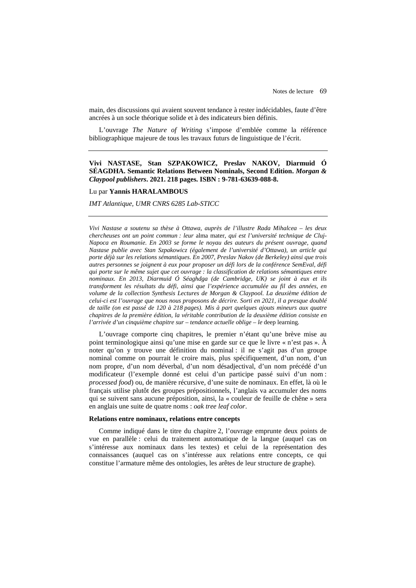main, des discussions qui avaient souvent tendance à rester indécidables, faute d'être ancrées à un socle théorique solide et à des indicateurs bien définis.

L'ouvrage *The Nature of Writing* s'impose d'emblée comme la référence bibliographique majeure de tous les travaux futurs de linguistique de l'écrit.

# **Vivi NASTASE, Stan SZPAKOWICZ, Preslav NAKOV, Diarmuid Ó SÉAGDHA. Semantic Relations Between Nominals, Second Edition.** *Morgan & Claypool publishers***. 2021. 218 pages. ISBN : 9-781-63639-088-8.**

# Lu par **Yannis HARALAMBOUS**

*IMT Atlantique, UMR CNRS 6285 Lab-STICC*

*Vivi Nastase a soutenu sa thèse à Ottawa, auprès de l'illustre Rada Mihalcea – les deux chercheuses ont un point commun : leur* alma mater*, qui est l'université technique de Cluj-Napoca en Roumanie. En 2003 se forme le noyau des auteurs du présent ouvrage, quand Nastase publie avec Stan Szpakowicz (également de l'université d'Ottawa), un article qui porte déjà sur les relations sémantiques. En 2007, Preslav Nakov (de Berkeley) ainsi que trois autres personnes se joignent à eux pour proposer un défi lors de la conférence SemEval, défi qui porte sur le même sujet que cet ouvrage : la classification de relations sémantiques entre nominaux. En 2013, Diarmuid Ó Séaghdga (de Cambridge, UK) se joint à eux et ils transforment les résultats du défi, ainsi que l'expérience accumulée au fil des années, en volume de la collection Synthesis Lectures de Morgan & Claypool. La deuxième édition de celui-ci est l'ouvrage que nous nous proposons de décrire. Sorti en 2021, il a presque doublé de taille (on est passé de 120 à 218 pages). Mis à part quelques ajouts mineurs aux quatre chapitres de la première édition, la véritable contribution de la deuxième édition consiste en l'arrivée d'un cinquième chapitre sur – tendance actuelle oblige – le* deep learning*.*

L'ouvrage comporte cinq chapitres, le premier n'étant qu'une brève mise au point terminologique ainsi qu'une mise en garde sur ce que le livre « n'est pas ». À noter qu'on y trouve une définition du nominal : il ne s'agit pas d'un groupe nominal comme on pourrait le croire mais, plus spécifiquement, d'un nom, d'un nom propre, d'un nom déverbal, d'un nom désadjectival, d'un nom précédé d'un modificateur (l'exemple donné est celui d'un participe passé suivi d'un nom : *processed food*) ou, de manière récursive, d'une suite de nominaux. En effet, là où le français utilise plutôt des groupes prépositionnels, l'anglais va accumuler des noms qui se suivent sans aucune préposition, ainsi, la « couleur de feuille de chêne » sera en anglais une suite de quatre noms : *oak tree leaf color*.

#### **Relations entre nominaux, relations entre concepts**

Comme indiqué dans le titre du chapitre 2, l'ouvrage emprunte deux points de vue en parallèle : celui du traitement automatique de la langue (auquel cas on s'intéresse aux nominaux dans les textes) et celui de la représentation des connaissances (auquel cas on s'intéresse aux relations entre concepts, ce qui constitue l'armature même des ontologies, les arêtes de leur structure de graphe).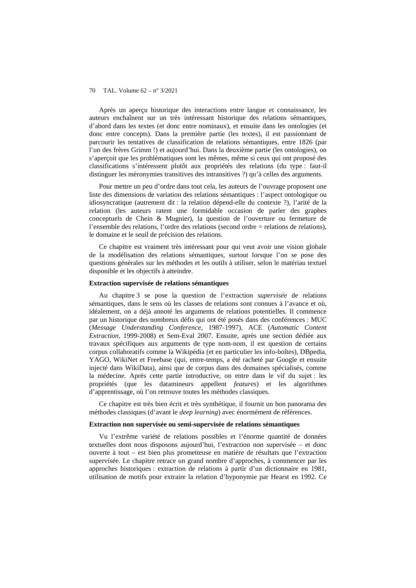Après un aperçu historique des interactions entre langue et connaissance, les auteurs enchaînent sur un très intéressant historique des relations sémantiques, d'abord dans les textes (et donc entre nominaux), et ensuite dans les ontologies (et donc entre concepts). Dans la première partie (les textes), il est passionnant de parcourir les tentatives de classification de relations sémantiques, entre 1826 (par l'un des frères Grimm !) et aujourd'hui. Dans la deuxième partie (les ontologies), on s'aperçoit que les problématiques sont les mêmes, même si ceux qui ont proposé des classifications s'intéressent plutôt aux propriétés des relations (du type : faut-il distinguer les méronymies transitives des intransitives ?) qu'à celles des arguments.

Pour mettre un peu d'ordre dans tout cela, les auteurs de l'ouvrage proposent une liste des dimensions de variation des relations sémantiques : l'aspect ontologique ou idiosyncratique (autrement dit : la relation dépend-elle du contexte ?), l'arité de la relation (les auteurs ratent une formidable occasion de parler des graphes conceptuels de Chein & Mugnier), la question de l'ouverture ou fermeture de l'ensemble des relations, l'ordre des relations (second ordre = relations de relations), le domaine et le seuil de précision des relations.

Ce chapitre est vraiment très intéressant pour qui veut avoir une vision globale de la modélisation des relations sémantiques, surtout lorsque l'on se pose des questions générales sur les méthodes et les outils à utiliser, selon le matériau textuel disponible et les objectifs à atteindre.

# **Extraction supervisée de relations sémantiques**

Au chapitre 3 se pose la question de l'extraction *supervisée* de relations sémantiques, dans le sens où les classes de relations sont connues à l'avance et où, idéalement, on a déjà annoté les arguments de relations potentielles. Il commence par un historique des nombreux défis qui ont été posés dans des conférences : MUC (*Message Understanding Conference*, 1987-1997), ACE (*Automatic Content Extraction*, 1999-2008) et Sem-Eval 2007. Ensuite, après une section dédiée aux travaux spécifiques aux arguments de type nom-nom, il est question de certains corpus collaboratifs comme la Wikipédia (et en particulier les info-boîtes), DBpedia, YAGO, WikiNet et Freebase (qui, entre-temps, a été racheté par Google et ensuite injecté dans WikiData), ainsi que de corpus dans des domaines spécialisés, comme la médecine. Après cette partie introductive, on entre dans le vif du sujet : les propriétés (que les datamineurs appellent *features*) et les algorithmes d'apprentissage, où l'on retrouve toutes les méthodes classiques.

Ce chapitre est très bien écrit et très synthétique, il fournit un bon panorama des méthodes classiques (d'avant le *deep learning*) avec énormément de références.

#### **Extraction non supervisée ou semi-supervisée de relations sémantiques**

Vu l'extrême variété de relations possibles et l'énorme quantité de données textuelles dont nous disposons aujourd'hui, l'extraction non supervisée – et donc ouverte à tout – est bien plus prometteuse en matière de résultats que l'extraction supervisée. Le chapitre retrace un grand nombre d'approches, à commencer par les approches historiques : extraction de relations à partir d'un dictionnaire en 1981, utilisation de motifs pour extraire la relation d'hyponymie par Hearst en 1992. Ce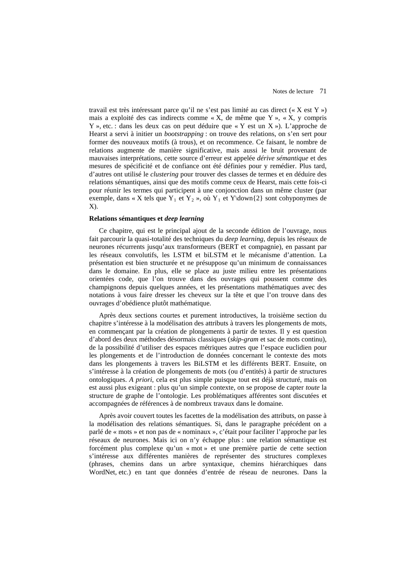travail est très intéressant parce qu'il ne s'est pas limité au cas direct (« X est Y ») mais a exploité des cas indirects comme « X, de même que Y », « X, y compris Y », etc. : dans les deux cas on peut déduire que « Y est un X »). L'approche de Hearst a servi à initier un *bootstrapping* : on trouve des relations, on s'en sert pour former des nouveaux motifs (à trous), et on recommence. Ce faisant, le nombre de relations augmente de manière significative, mais aussi le bruit provenant de mauvaises interprétations, cette source d'erreur est appelée *dérive sémantique* et des mesures de spécificité et de confiance ont été définies pour y remédier. Plus tard, d'autres ont utilisé le *clustering* pour trouver des classes de termes et en déduire des relations sémantiques, ainsi que des motifs comme ceux de Hearst, mais cette fois-ci pour réunir les termes qui participent à une conjonction dans un même cluster (par exemple, dans « X tels que  $Y_1$  et  $Y_2$  », où  $Y_1$  et  $Y\downarrow$  down $\{2\}$  sont cohyponymes de X).

# **Relations sémantiques et** *deep learning*

Ce chapitre, qui est le principal ajout de la seconde édition de l'ouvrage, nous fait parcourir la quasi-totalité des techniques du *deep learning*, depuis les réseaux de neurones récurrents jusqu'aux transformeurs (BERT et compagnie), en passant par les réseaux convolutifs, les LSTM et biLSTM et le mécanisme d'attention. La présentation est bien structurée et ne présuppose qu'un minimum de connaissances dans le domaine. En plus, elle se place au juste milieu entre les présentations orientées code, que l'on trouve dans des ouvrages qui poussent comme des champignons depuis quelques années, et les présentations mathématiques avec des notations à vous faire dresser les cheveux sur la tête et que l'on trouve dans des ouvrages d'obédience plutôt mathématique.

Après deux sections courtes et purement introductives, la troisième section du chapitre s'intéresse à la modélisation des attributs à travers les plongements de mots, en commençant par la création de plongements à partir de textes. Il y est question d'abord des deux méthodes désormais classiques (*skip-gram* et sac de mots continu), de la possibilité d'utiliser des espaces métriques autres que l'espace euclidien pour les plongements et de l'introduction de données concernant le contexte des mots dans les plongements à travers les BiLSTM et les différents BERT. Ensuite, on s'intéresse à la création de plongements de mots (ou d'entités) à partir de structures ontologiques. *A priori*, cela est plus simple puisque tout est déjà structuré, mais on est aussi plus exigeant : plus qu'un simple contexte, on se propose de capter *toute* la structure de graphe de l'ontologie. Les problématiques afférentes sont discutées et accompagnées de références à de nombreux travaux dans le domaine.

Après avoir couvert toutes les facettes de la modélisation des attributs, on passe à la modélisation des relations sémantiques. Si, dans le paragraphe précédent on a parlé de « mots » et non pas de « nominaux », c'était pour faciliter l'approche par les réseaux de neurones. Mais ici on n'y échappe plus : une relation sémantique est forcément plus complexe qu'un « mot » et une première partie de cette section s'intéresse aux différentes manières de représenter des structures complexes (phrases, chemins dans un arbre syntaxique, chemins hiérarchiques dans WordNet, etc.) en tant que données d'entrée de réseau de neurones. Dans la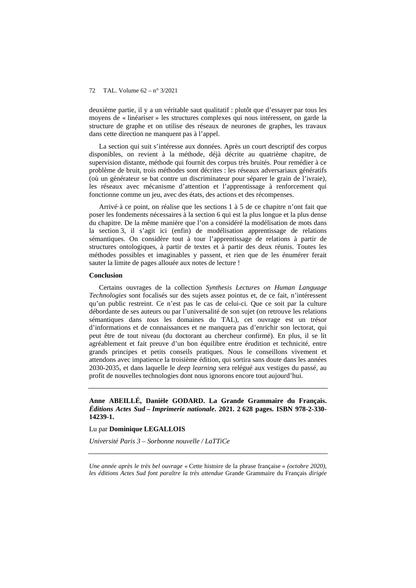deuxième partie, il y a un véritable saut qualitatif : plutôt que d'essayer par tous les moyens de « linéariser » les structures complexes qui nous intéressent, on garde la structure de graphe et on utilise des réseaux de neurones de graphes, les travaux dans cette direction ne manquent pas à l'appel.

La section qui suit s'intéresse aux données. Après un court descriptif des corpus disponibles, on revient à la méthode, déjà décrite au quatrième chapitre, de supervision distante, méthode qui fournit des corpus très bruités. Pour remédier à ce problème de bruit, trois méthodes sont décrites : les réseaux adversariaux génératifs (où un générateur se bat contre un discriminateur pour séparer le grain de l'ivraie), les réseaux avec mécanisme d'attention et l'apprentissage à renforcement qui fonctionne comme un jeu, avec des états, des actions et des récompenses.

Arrivé·à ce point, on réalise que les sections 1 à 5 de ce chapitre n'ont fait que poser les fondements nécessaires à la section 6 qui est la plus longue et la plus dense du chapitre. De la même manière que l'on a considéré la modélisation de mots dans la section 3, il s'agit ici (enfin) de modélisation apprentissage de relations sémantiques. On considère tout à tour l'apprentissage de relations à partir de structures ontologiques, à partir de textes et à partir des deux réunis. Toutes les méthodes possibles et imaginables y passent, et rien que de les énumérer ferait sauter la limite de pages allouée aux notes de lecture !

#### **Conclusion**

Certains ouvrages de la collection *Synthesis Lectures on Human Language Technologies* sont focalisés sur des sujets assez pointus et, de ce fait, n'intéressent qu'un public restreint. Ce n'est pas le cas de celui-ci. Que ce soit par la culture débordante de ses auteurs ou par l'universalité de son sujet (on retrouve les relations sémantiques dans *tous* les domaines du TAL), cet ouvrage est un trésor d'informations et de connaissances et ne manquera pas d'enrichir son lectorat, qui peut être de tout niveau (du doctorant au chercheur confirmé). En plus, il se lit agréablement et fait preuve d'un bon équilibre entre érudition et technicité, entre grands principes et petits conseils pratiques. Nous le conseillons vivement et attendons avec impatience la troisième édition, qui sortira sans doute dans les années 2030-2035, et dans laquelle le *deep learning* sera relégué aux vestiges du passé, au profit de nouvelles technologies dont nous ignorons encore tout aujourd'hui.

**Anne ABEILLÉ, Danièle GODARD. La Grande Grammaire du Français.**  *Éditions Actes Sud – Imprimerie nationale***. 2021. 2 628 pages. ISBN 978-2-330- 14239-1.**

Lu par **Dominique LEGALLOIS**

*Université Paris 3 – Sorbonne nouvelle / LaTTiCe*

*Une année après le très bel ouvrage* « Cette histoire de la phrase française » *(octobre 2020), les éditions Actes Sud font paraître la très attendue* Grande Grammaire du Français *dirigée*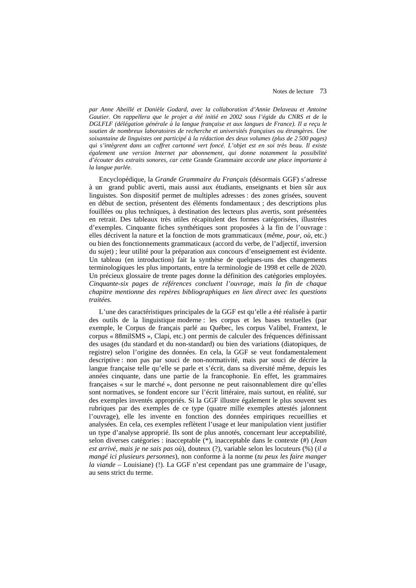*par Anne Abeillé et Danièle Godard, avec la collaboration d'Annie Delaveau et Antoine*  Gautier. On rappellera que le projet a été initié en 2002 sous l'égide du CNRS et de la *DGLFLF (délégation générale à la langue française et aux langues de France). Il a reçu le soutien de nombreux laboratoires de recherche et universités françaises ou étrangères. Une soixantaine de linguistes ont participé à la rédaction des deux volumes (plus de 2 500 pages) qui s'intègrent dans un coffret cartonné vert foncé. L'objet est en soi très beau. Il existe également une version Internet par abonnement, qui donne notamment la possibilité d'écouter des extraits sonores, car cette* Grande Grammaire *accorde une place importante à la langue parlée.* 

Encyclopédique, la *Grande Grammaire du Français* (désormais GGF) s'adresse à un grand public averti, mais aussi aux étudiants, enseignants et bien sûr aux linguistes. Son dispositif permet de multiples adresses : des zones grisées, souvent en début de section, présentent des éléments fondamentaux ; des descriptions plus fouillées ou plus techniques, à destination des lecteurs plus avertis, sont présentées en retrait. Des tableaux très utiles récapitulent des formes catégorisées, illustrées d'exemples. Cinquante fiches synthétiques sont proposées à la fin de l'ouvrage : elles décrivent la nature et la fonction de mots grammaticaux (*même, pour, où*, etc.) ou bien des fonctionnements grammaticaux (accord du verbe, de l'adjectif, inversion du sujet) ; leur utilité pour la préparation aux concours d'enseignement est évidente. Un tableau (en introduction) fait la synthèse de quelques-uns des changements terminologiques les plus importants, entre la terminologie de 1998 et celle de 2020. Un précieux glossaire de trente pages donne la définition des catégories employées. *Cinquante-six pages de références concluent l'ouvrage, mais la fin de chaque chapitre mentionne des repères bibliographiques en lien direct avec les questions traitées.* 

L'une des caractéristiques principales de la GGF est qu'elle a été réalisée à partir des outils de la linguistique moderne : les corpus et les bases textuelles (par exemple, le Corpus de français parlé au Québec, les corpus Valibel, Frantext, le corpus « 88milSMS », Clapi, etc.) ont permis de calculer des fréquences définissant des usages (du standard et du non-standard) ou bien des variations (diatopiques, de registre) selon l'origine des données. En cela, la GGF se veut fondamentalement descriptive : non pas par souci de non-normativité, mais par souci de décrire la langue française telle qu'elle se parle et s'écrit, dans sa diversité même, depuis les années cinquante, dans une partie de la francophonie. En effet, les grammaires françaises « sur le marché », dont personne ne peut raisonnablement dire qu'elles sont normatives, se fondent encore sur l'écrit littéraire, mais surtout, en réalité, sur des exemples inventés appropriés. Si la GGF illustre également le plus souvent ses rubriques par des exemples de ce type (quatre mille exemples attestés jalonnent l'ouvrage), elle les invente en fonction des données empiriques recueillies et analysées. En cela, ces exemples reflètent l'usage et leur manipulation vient justifier un type d'analyse approprié. Ils sont de plus annotés, concernant leur acceptabilité, selon diverses catégories : inacceptable (\*), inacceptable dans le contexte (#) (*Jean est arrivé, mais je ne sais pas où*), douteux (?), variable selon les locuteurs (%) (*il a mangé ici plusieurs personnes*), non conforme à la norme (*tu peux les faire manger la viande* – Louisiane) (!). La GGF n'est cependant pas une grammaire de l'usage, au sens strict du terme *.*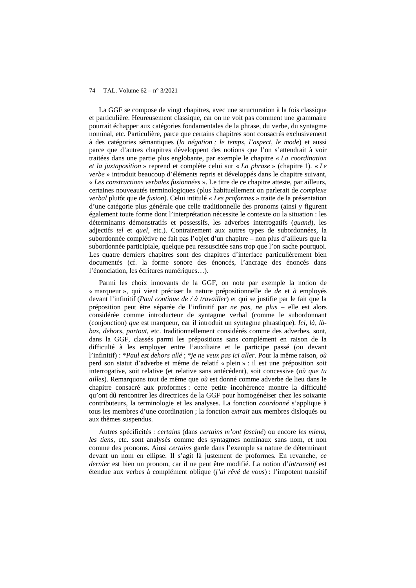La GGF se compose de vingt chapitres, avec une structuration à la fois classique et particulière. Heureusement classique, car on ne voit pas comment une grammaire pourrait échapper aux catégories fondamentales de la phrase, du verbe, du syntagme nominal, etc. Particulière, parce que certains chapitres sont consacrés exclusivement à des catégories sémantiques (*la négation ; le temps, l'aspect, le mode*) et aussi parce que d'autres chapitres développent des notions que l'on s'attendrait à voir traitées dans une partie plus englobante, par exemple le chapitre « *La coordination et la juxtaposition* » reprend et complète celui sur « *La phrase* » (chapitre 1). « *Le verbe* » introduit beaucoup d'éléments repris et développés dans le chapitre suivant, « *Les constructions verbales fusionnées* ». Le titre de ce chapitre atteste, par ailleurs, certaines nouveautés terminologiques (plus habituellement on parlerait de *complexe verbal* plutôt que de *fusion*). Celui intitulé « *Les proformes* » traite de la présentation d'une catégorie plus générale que celle traditionnelle des pronoms (ainsi y figurent également toute forme dont l'interprétation nécessite le contexte ou la situation : les déterminants démonstratifs et possessifs, les adverbes interrogatifs (*quand*), les adjectifs *tel* et *quel*, etc.). Contrairement aux autres types de subordonnées, la subordonnée complétive ne fait pas l'objet d'un chapitre – non plus d'ailleurs que la subordonnée participiale, quelque peu ressuscitée sans trop que l'on sache pourquoi. Les quatre derniers chapitres sont des chapitres d'interface particulièrement bien documentés (cf. la forme sonore des énoncés, l'ancrage des énoncés dans l'énonciation, les écritures numériques…).

Parmi les choix innovants de la GGF, on note par exemple la notion de « marqueur », qui vient préciser la nature prépositionnelle de *de* et *à* employés devant l'infinitif (*Paul continue de / à travailler*) et qui se justifie par le fait que la préposition peut être séparée de l'infinitif par *ne pas*, *ne plus* – elle est alors considérée comme introducteur de syntagme verbal (comme le subordonnant (conjonction) *que* est marqueur, car il introduit un syntagme phrastique). *Ici, là*, *làbas*, *dehors, partout*, etc. traditionnellement considérés comme des adverbes, sont, dans la GGF, classés parmi les prépositions sans complément en raison de la difficulté à les employer entre l'auxiliaire et le participe passé (ou devant l'infinitif) : \**Paul est dehors allé* ; \**je ne veux pas ici aller*. Pour la même raison, *où*  perd son statut d'adverbe et même de relatif « plein » : il est une préposition soit interrogative, soit relative (et relative sans antécédent), soit concessive (*où que tu ailles*). Remarquons tout de même que *où* est donné comme adverbe de lieu dans le chapitre consacré aux proformes : cette petite incohérence montre la difficulté qu'ont dû rencontrer les directrices de la GGF pour homogénéiser chez les soixante contributeurs, la terminologie et les analyses. La fonction *coordonné* s'applique à tous les membres d'une coordination ; la fonction *extrait* aux membres disloqués ou aux thèmes suspendus.

Autres spécificités : *certains* (dans *certains m'ont fasciné*) ou encore *les miens, les tiens*, etc. sont analysés comme des syntagmes nominaux sans nom, et non comme des pronoms. Ainsi *certains* garde dans l'exemple sa nature de déterminant devant un nom en ellipse. Il s'agit là justement de proformes. En revanche, *ce dernier* est bien un pronom, car il ne peut être modifié. La notion d'*intransitif* est étendue aux verbes à complément oblique (*j'ai rêvé de vous*) : l'impotent transitif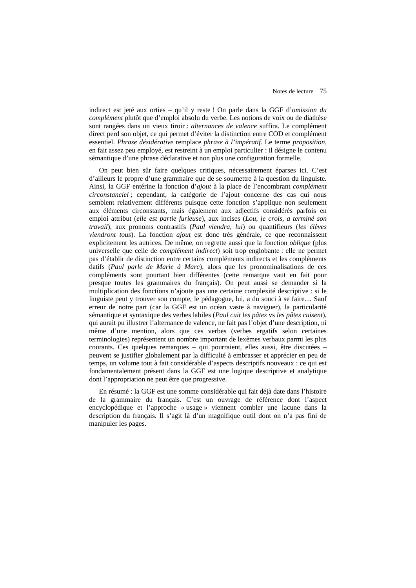indirect est jeté aux orties – qu'il y reste ! On parle dans la GGF d'*omission du complément* plutôt que d'emploi absolu du verbe. Les notions de voix ou de diathèse sont rangées dans un vieux tiroir : *alternances de valence* suffira. Le complément direct perd son objet, ce qui permet d'éviter la distinction entre COD et complément essentiel. *Phrase désidérative* remplace *phrase à l'impératif*. Le terme *proposition*, en fait assez peu employé, est restreint à un emploi particulier : il désigne le contenu sémantique d'une phrase déclarative et non plus une configuration formelle.

On peut bien sûr faire quelques critiques, nécessairement éparses ici. C'est d'ailleurs le propre d'une grammaire que de se soumettre à la question du linguiste. Ainsi, la GGF entérine la fonction d'*ajout* à la place de l'encombrant *complément circonstanciel* ; cependant, la catégorie de l'ajout concerne des cas qui nous semblent relativement différents puisque cette fonction s'applique non seulement aux éléments circonstants, mais également aux adjectifs considérés parfois en emploi attribut (*elle est partie furieuse*), aux incises (*Lou, je crois, a terminé son travail*), aux pronoms contrastifs (*Paul viendra, lui*) ou quantifieurs (*les élèves viendront tous*). La fonction *ajout* est donc très générale, ce que reconnaissent explicitement les autrices. De même, on regrette aussi que la fonction *oblique* (plus universelle que celle de *complément indirect*) soit trop englobante : elle ne permet pas d'établir de distinction entre certains compléments indirects et les compléments datifs (*Paul parle de Marie à Marc*), alors que les pronominalisations de ces compléments sont pourtant bien différentes (cette remarque vaut en fait pour presque toutes les grammaires du français). On peut aussi se demander si la multiplication des fonctions n'ajoute pas une certaine complexité descriptive : si le linguiste peut y trouver son compte, le pédagogue, lui, a du souci à se faire… Sauf erreur de notre part (car la GGF est un océan vaste à naviguer), la particularité sémantique et syntaxique des verbes labiles (*Paul cuit les pâtes* vs *les pâtes cuisent*), qui aurait pu illustrer l'alternance de valence, ne fait pas l'objet d'une description, ni même d'une mention, alors que ces verbes (verbes ergatifs selon certaines terminologies) représentent un nombre important de lexèmes verbaux parmi les plus courants. Ces quelques remarques – qui pourraient, elles aussi, être discutées – peuvent se justifier globalement par la difficulté à embrasser et apprécier en peu de temps, un volume tout à fait considérable d'aspects descriptifs nouveaux : ce qui est fondamentalement présent dans la GGF est une logique descriptive et analytique dont l'appropriation ne peut être que progressive.

En résumé : la GGF est une somme considérable qui fait déjà date dans l'histoire de la grammaire du français. C'est un ouvrage de référence dont l'aspect encyclopédique et l'approche « usage » viennent combler une lacune dans la description du français. Il s'agit là d'un magnifique outil dont on n'a pas fini de manipuler les pages.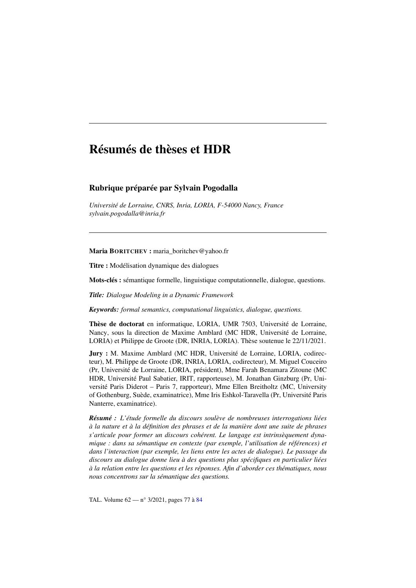# Résumés de thèses et HDR

# Rubrique préparée par Sylvain Pogodalla

*Université de Lorraine, CNRS, Inria, LORIA, F-54000 Nancy, France sylvain.pogodalla@inria.fr*

Maria BORITCHEV : maria\_boritchev@yahoo.fr

Titre : Modélisation dynamique des dialogues

Mots-clés : sémantique formelle, linguistique computationnelle, dialogue, questions.

*Title: Dialogue Modeling in a Dynamic Framework*

*Keywords: formal semantics, computational linguistics, dialogue, questions.*

Thèse de doctorat en informatique, LORIA, UMR 7503, Université de Lorraine, Nancy, sous la direction de Maxime Amblard (MC HDR, Université de Lorraine, LORIA) et Philippe de Groote (DR, INRIA, LORIA). Thèse soutenue le 22/11/2021.

Jury : M. Maxime Amblard (MC HDR, Université de Lorraine, LORIA, codirecteur), M. Philippe de Groote (DR, INRIA, LORIA, codirecteur), M. Miguel Couceiro (Pr, Université de Lorraine, LORIA, président), Mme Farah Benamara Zitoune (MC HDR, Université Paul Sabatier, IRIT, rapporteuse), M. Jonathan Ginzburg (Pr, Université Paris Diderot – Paris 7, rapporteur), Mme Ellen Breitholtz (MC, University of Gothenburg, Suède, examinatrice), Mme Iris Eshkol-Taravella (Pr, Université Paris Nanterre, examinatrice).

*Résumé : L'étude formelle du discours soulève de nombreuses interrogations liées à la nature et à la définition des phrases et de la manière dont une suite de phrases s'articule pour former un discours cohérent. Le langage est intrinsèquement dynamique : dans sa sémantique en contexte (par exemple, l'utilisation de références) et dans l'interaction (par exemple, les liens entre les actes de dialogue). Le passage du discours au dialogue donne lieu à des questions plus spécifiques en particulier liées à la relation entre les questions et les réponses. Afin d'aborder ces thématiques, nous nous concentrons sur la sémantique des questions.*

TAL. Volume 62 — n° 3/2021, pages 77 à 84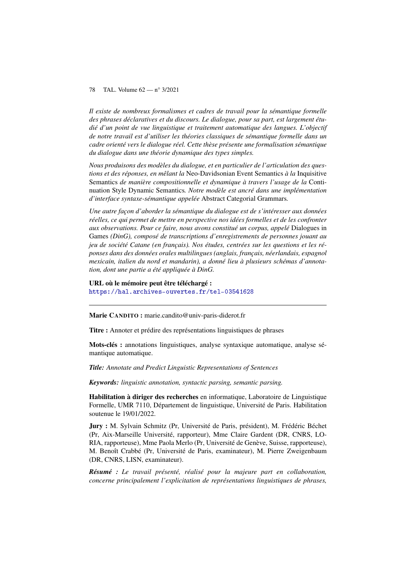*Il existe de nombreux formalismes et cadres de travail pour la sémantique formelle des phrases déclaratives et du discours. Le dialogue, pour sa part, est largement étudié d'un point de vue linguistique et traitement automatique des langues. L'objectif de notre travail est d'utiliser les théories classiques de sémantique formelle dans un cadre orienté vers le dialogue réel. Cette thèse présente une formalisation sémantique du dialogue dans une théorie dynamique des types simples.*

*Nous produisons des modèles du dialogue, et en particulier de l'articulation des questions et des réponses, en mêlant la* Neo-Davidsonian Event Semantics *à la* Inquisitive Semantics *de manière compositionnelle et dynamique à travers l'usage de la* Continuation Style Dynamic Semantics*. Notre modèle est ancré dans une implémentation d'interface syntaxe-sémantique appelée* Abstract Categorial Grammars*.*

*Une autre façon d'aborder la sémantique du dialogue est de s'intéresser aux données réelles, ce qui permet de mettre en perspective nos idées formelles et de les confronter aux observations. Pour ce faire, nous avons constitué un corpus, appelé* Dialogues in Games *(DinG), composé de transcriptions d'enregistrements de personnes jouant au jeu de société Catane (en français). Nos études, centrées sur les questions et les réponses dans des données orales multilingues (anglais, français, néerlandais, espagnol mexicain, italien du nord et mandarin), a donné lieu à plusieurs schémas d'annotation, dont une partie a été appliquée à DinG.*

URL où le mémoire peut être téléchargé : https://hal.archives-ouvertes.fr/tel-03541628

Marie CANDITO : marie.candito@univ-paris-diderot.fr

Titre : Annoter et prédire des représentations linguistiques de phrases

Mots-clés : annotations linguistiques, analyse syntaxique automatique, analyse sémantique automatique.

*Title: Annotate and Predict Linguistic Representations of Sentences*

*Keywords: linguistic annotation, syntactic parsing, semantic parsing.*

Habilitation à diriger des recherches en informatique, Laboratoire de Linguistique Formelle, UMR 7110, Département de linguistique, Université de Paris. Habilitation soutenue le 19/01/2022.

Jury : M. Sylvain Schmitz (Pr, Université de Paris, président), M. Frédéric Béchet (Pr, Aix-Marseille Université, rapporteur), Mme Claire Gardent (DR, CNRS, LO-RIA, rapporteuse), Mme Paola Merlo (Pr, Université de Genève, Suisse, rapporteuse), M. Benoît Crabbé (Pr, Université de Paris, examinateur), M. Pierre Zweigenbaum (DR, CNRS, LISN, examinateur).

*Résumé : Le travail présenté, réalisé pour la majeure part en collaboration, concerne principalement l'explicitation de représentations linguistiques de phrases,*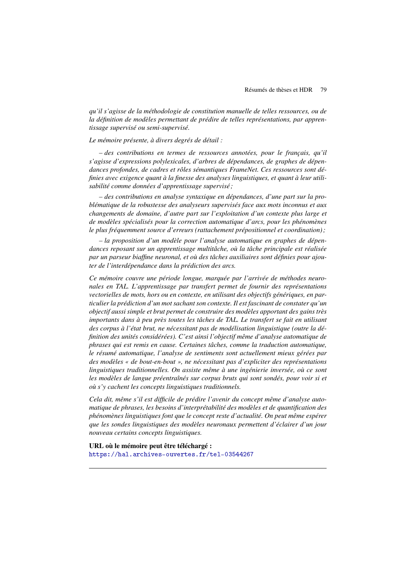*qu'il s'agisse de la méthodologie de constitution manuelle de telles ressources, ou de la définition de modèles permettant de prédire de telles représentations, par apprentissage supervisé ou semi-supervisé.*

*Le mémoire présente, à divers degrés de détail :*

*– des contributions en termes de ressources annotées, pour le français, qu'il s'agisse d'expressions polylexicales, d'arbres de dépendances, de graphes de dépendances profondes, de cadres et rôles sémantiques FrameNet. Ces ressources sont définies avec exigence quant à la finesse des analyses linguistiques, et quant à leur utilisabilité comme données d'apprentissage supervisé ;*

*– des contributions en analyse syntaxique en dépendances, d'une part sur la problématique de la robustesse des analyseurs supervisés face aux mots inconnus et aux changements de domaine, d'autre part sur l'exploitation d'un contexte plus large et de modèles spécialisés pour la correction automatique d'arcs, pour les phénomènes le plus fréquemment source d'erreurs (rattachement prépositionnel et coordination) ;*

*– la proposition d'un modèle pour l'analyse automatique en graphes de dépendances reposant sur un apprentissage multitâche, où la tâche principale est réalisée par un parseur biaffine neuronal, et où des tâches auxiliaires sont définies pour ajouter de l'interdépendance dans la prédiction des arcs.*

*Ce mémoire couvre une période longue, marquée par l'arrivée de méthodes neuronales en TAL. L'apprentissage par transfert permet de fournir des représentations vectorielles de mots, hors ou en contexte, en utilisant des objectifs génériques, en particulier la prédiction d'un mot sachant son contexte. Il est fascinant de constater qu'un objectif aussi simple et brut permet de construire des modèles apportant des gains très importants dans à peu près toutes les tâches de TAL. Le transfert se fait en utilisant des corpus à l'état brut, ne nécessitant pas de modélisation linguistique (outre la définition des unités considérées). C'est ainsi l'objectif même d'analyse automatique de phrases qui est remis en cause. Certaines tâches, comme la traduction automatique, le résumé automatique, l'analyse de sentiments sont actuellement mieux gérées par des modèles « de bout-en-bout », ne nécessitant pas d'expliciter des représentations linguistiques traditionnelles. On assiste même à une ingénierie inversée, où ce sont les modèles de langue préentraînés sur corpus bruts qui sont sondés, pour voir si et où s'y cachent les concepts linguistiques traditionnels.*

*Cela dit, même s'il est difficile de prédire l'avenir du concept même d'analyse automatique de phrases, les besoins d'interprétabilité des modèles et de quantification des phénomènes linguistiques font que le concept reste d'actualité. On peut même espérer que les sondes linguistiques des modèles neuronaux permettent d'éclairer d'un jour nouveau certains concepts linguistiques.*

URL où le mémoire peut être téléchargé : https://hal.archives-ouvertes.fr/tel-03544267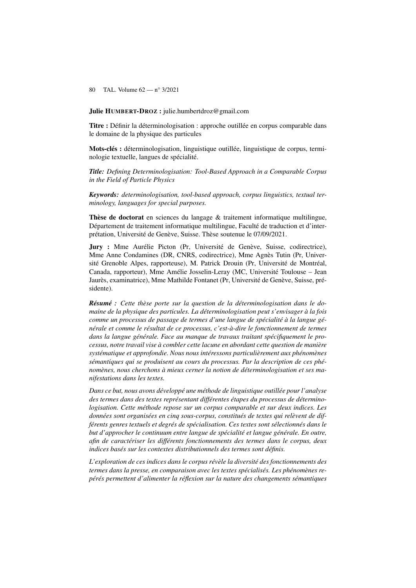Julie HUMBERT-DROZ : julie.humbertdroz@gmail.com

Titre : Définir la déterminologisation : approche outillée en corpus comparable dans le domaine de la physique des particules

Mots-clés : déterminologisation, linguistique outillée, linguistique de corpus, terminologie textuelle, langues de spécialité.

*Title: Defining Determinologisation: Tool-Based Approach in a Comparable Corpus in the Field of Particle Physics*

*Keywords: determinologisation, tool-based approach, corpus linguistics, textual terminology, languages for special purposes.*

Thèse de doctorat en sciences du langage & traitement informatique multilingue, Département de traitement informatique multilingue, Faculté de traduction et d'interprétation, Université de Genève, Suisse. Thèse soutenue le 07/09/2021.

Jury : Mme Aurélie Picton (Pr, Université de Genève, Suisse, codirectrice), Mme Anne Condamines (DR, CNRS, codirectrice), Mme Agnès Tutin (Pr, Université Grenoble Alpes, rapporteuse), M. Patrick Drouin (Pr, Université de Montréal, Canada, rapporteur), Mme Amélie Josselin-Leray (MC, Université Toulouse – Jean Jaurès, examinatrice), Mme Mathilde Fontanet (Pr, Université de Genève, Suisse, présidente).

*Résumé : Cette thèse porte sur la question de la déterminologisation dans le domaine de la physique des particules. La déterminologisation peut s'envisager à la fois comme un processus de passage de termes d'une langue de spécialité à la langue générale et comme le résultat de ce processus, c'est-à-dire le fonctionnement de termes dans la langue générale. Face au manque de travaux traitant spécifiquement le processus, notre travail vise à combler cette lacune en abordant cette question de manière systématique et approfondie. Nous nous intéressons particulièrement aux phénomènes sémantiques qui se produisent au cours du processus. Par la description de ces phénomènes, nous cherchons à mieux cerner la notion de déterminologisation et ses manifestations dans les textes.*

*Dans ce but, nous avons développé une méthode de linguistique outillée pour l'analyse des termes dans des textes représentant différentes étapes du processus de déterminologisation. Cette méthode repose sur un corpus comparable et sur deux indices. Les données sont organisées en cinq sous-corpus, constitués de textes qui relèvent de différents genres textuels et degrés de spécialisation. Ces textes sont sélectionnés dans le but d'approcher le continuum entre langue de spécialité et langue générale. En outre, afin de caractériser les différents fonctionnements des termes dans le corpus, deux indices basés sur les contextes distributionnels des termes sont définis.*

*L'exploration de ces indices dans le corpus révèle la diversité des fonctionnements des termes dans la presse, en comparaison avec les textes spécialisés. Les phénomènes repérés permettent d'alimenter la réflexion sur la nature des changements sémantiques*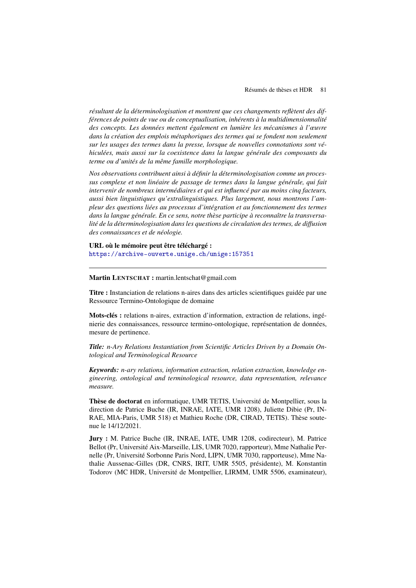*résultant de la déterminologisation et montrent que ces changements reflètent des différences de points de vue ou de conceptualisation, inhérents à la multidimensionnalité des concepts. Les données mettent également en lumière les mécanismes à l'œuvre dans la création des emplois métaphoriques des termes qui se fondent non seulement sur les usages des termes dans la presse, lorsque de nouvelles connotations sont véhiculées, mais aussi sur la coexistence dans la langue générale des composants du terme ou d'unités de la même famille morphologique.*

*Nos observations contribuent ainsi à définir la déterminologisation comme un processus complexe et non linéaire de passage de termes dans la langue générale, qui fait intervenir de nombreux intermédiaires et qui est influencé par au moins cinq facteurs, aussi bien linguistiques qu'extralinguistiques. Plus largement, nous montrons l'ampleur des questions liées au processus d'intégration et au fonctionnement des termes dans la langue générale. En ce sens, notre thèse participe à reconnaître la transversalité de la déterminologisation dans les questions de circulation des termes, de diffusion des connaissances et de néologie.*

URL où le mémoire peut être téléchargé : https://archive-ouverte.unige.ch/unige:157351

# Martin LENTSCHAT : martin.lentschat@gmail.com

Titre : Instanciation de relations n-aires dans des articles scientifiques guidée par une Ressource Termino-Ontologique de domaine

Mots-clés : relations n-aires, extraction d'information, extraction de relations, ingénierie des connaissances, ressource termino-ontologique, représentation de données, mesure de pertinence.

*Title: n-Ary Relations Instantiation from Scientific Articles Driven by a Domain Ontological and Terminological Resource*

*Keywords: n-ary relations, information extraction, relation extraction, knowledge engineering, ontological and terminological resource, data representation, relevance measure.*

Thèse de doctorat en informatique, UMR TETIS, Université de Montpellier, sous la direction de Patrice Buche (IR, INRAE, IATE, UMR 1208), Juliette Dibie (Pr, IN-RAE, MIA-Paris, UMR 518) et Mathieu Roche (DR, CIRAD, TETIS). Thèse soutenue le 14/12/2021.

Jury : M. Patrice Buche (IR, INRAE, IATE, UMR 1208, codirecteur), M. Patrice Bellot (Pr, Université Aix-Marseille, LIS, UMR 7020, rapporteur), Mme Nathalie Pernelle (Pr, Université Sorbonne Paris Nord, LIPN, UMR 7030, rapporteuse), Mme Nathalie Aussenac-Gilles (DR, CNRS, IRIT, UMR 5505, présidente), M. Konstantin Todorov (MC HDR, Université de Montpellier, LIRMM, UMR 5506, examinateur),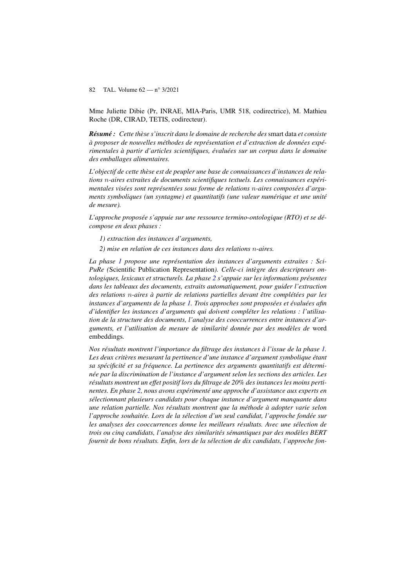Mme Juliette Dibie (Pr, INRAE, MIA-Paris, UMR 518, codirectrice), M. Mathieu Roche (DR, CIRAD, TETIS, codirecteur).

*Résumé : Cette thèse s'inscrit dans le domaine de recherche des* smart data *et consiste à proposer de nouvelles méthodes de représentation et d'extraction de données expérimentales à partir d'articles scientifiques, évaluées sur un corpus dans le domaine des emballages alimentaires.*

*L'objectif de cette thèse est de peupler une base de connaissances d'instances de relations* n*-aires extraites de documents scientifiques textuels. Les connaissances expérimentales visées sont représentées sous forme de relations* n*-aires composées d'arguments symboliques (un syntagme) et quantitatifs (une valeur numérique et une unité de mesure).*

*L'approche proposée s'appuie sur une ressource termino-ontologique (RTO) et se décompose en deux phases :*

*1) extraction des instances d'arguments,*

*2) mise en relation de ces instances dans des relations* n*-aires.*

*La phase 1 propose une représentation des instances d'arguments extraites : Sci-PuRe (*Scientific Publication Representation*). Celle-ci intègre des descripteurs ontologiques, lexicaux et structurels. La phase 2 s'appuie sur les informations présentes dans les tableaux des documents, extraits automatiquement, pour guider l'extraction des relations* n*-aires à partir de relations partielles devant être complétées par les instances d'arguments de la phase 1. Trois approches sont proposées et évaluées afin d'identifier les instances d'arguments qui doivent compléter les relations : l'utilisation de la structure des documents, l'analyse des cooccurrences entre instances d'arguments, et l'utilisation de mesure de similarité donnée par des modèles de* word embeddings*.*

*Nos résultats montrent l'importance du filtrage des instances à l'issue de la phase 1. Les deux critères mesurant la pertinence d'une instance d'argument symbolique étant sa spécificité et sa fréquence. La pertinence des arguments quantitatifs est déterminée par la discrimination de l'instance d'argument selon les sections des articles. Les résultats montrent un effet positif lors du filtrage de 20% des instances les moins pertinentes. En phase 2, nous avons expérimenté une approche d'assistance aux experts en sélectionnant plusieurs candidats pour chaque instance d'argument manquante dans une relation partielle. Nos résultats montrent que la méthode à adopter varie selon l'approche souhaitée. Lors de la sélection d'un seul candidat, l'approche fondée sur les analyses des cooccurrences donne les meilleurs résultats. Avec une sélection de trois ou cinq candidats, l'analyse des similarités sémantiques par des modèles BERT fournit de bons résultats. Enfin, lors de la sélection de dix candidats, l'approche fon-*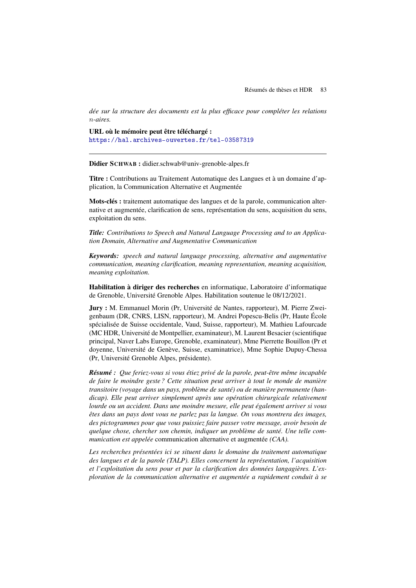*dée sur la structure des documents est la plus efficace pour compléter les relations* n*-aires.*

URL où le mémoire peut être téléchargé : https://hal.archives-ouvertes.fr/tel-03587319

Didier SCHWAB : didier.schwab@univ-grenoble-alpes.fr

Titre : Contributions au Traitement Automatique des Langues et à un domaine d'application, la Communication Alternative et Augmentée

Mots-clés : traitement automatique des langues et de la parole, communication alternative et augmentée, clarification de sens, représentation du sens, acquisition du sens, exploitation du sens.

*Title: Contributions to Speech and Natural Language Processing and to an Application Domain, Alternative and Augmentative Communication*

*Keywords: speech and natural language processing, alternative and augmentative communication, meaning clarification, meaning representation, meaning acquisition, meaning exploitation.*

Habilitation à diriger des recherches en informatique, Laboratoire d'informatique de Grenoble, Université Grenoble Alpes. Habilitation soutenue le 08/12/2021.

Jury : M. Emmanuel Morin (Pr, Université de Nantes, rapporteur), M. Pierre Zweigenbaum (DR, CNRS, LISN, rapporteur), M. Andrei Popescu-Belis (Pr, Haute École spécialisée de Suisse occidentale, Vaud, Suisse, rapporteur), M. Mathieu Lafourcade (MC HDR, Université de Montpellier, examinateur), M. Laurent Besacier (scientifique principal, Naver Labs Europe, Grenoble, examinateur), Mme Pierrette Bouillon (Pr et doyenne, Université de Genève, Suisse, examinatrice), Mme Sophie Dupuy-Chessa (Pr, Université Grenoble Alpes, présidente).

*Résumé : Que feriez-vous si vous étiez privé de la parole, peut-être même incapable de faire le moindre geste ? Cette situation peut arriver à tout le monde de manière transitoire (voyage dans un pays, problème de santé) ou de manière permanente (handicap). Elle peut arriver simplement après une opération chirurgicale relativement lourde ou un accident. Dans une moindre mesure, elle peut également arriver si vous êtes dans un pays dont vous ne parlez pas la langue. On vous montrera des images, des pictogrammes pour que vous puissiez faire passer votre message, avoir besoin de quelque chose, chercher son chemin, indiquer un problème de santé. Une telle communication est appelée* communication alternative et augmentée *(CAA).*

*Les recherches présentées ici se situent dans le domaine du traitement automatique des langues et de la parole (TALP). Elles concernent la représentation, l'acquisition et l'exploitation du sens pour et par la clarification des données langagières. L'exploration de la communication alternative et augmentée a rapidement conduit à se*